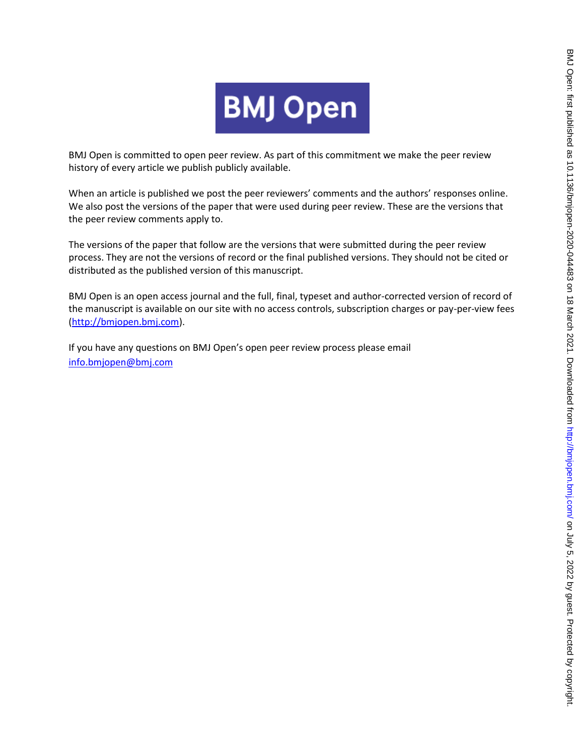

BMJ Open is committed to open peer review. As part of this commitment we make the peer review history of every article we publish publicly available.

When an article is published we post the peer reviewers' comments and the authors' responses online. We also post the versions of the paper that were used during peer review. These are the versions that the peer review comments apply to.

The versions of the paper that follow are the versions that were submitted during the peer review process. They are not the versions of record or the final published versions. They should not be cited or distributed as the published version of this manuscript.

BMJ Open is an open access journal and the full, final, typeset and author-corrected version of record of the manuscript is available on our site with no access controls, subscription charges or pay-per-view fees [\(http://bmjopen.bmj.com\)](http://bmjopen.bmj.com/).

If you have any questions on BMJ Open's open peer review process please email <info.bmjopen@bmj.com>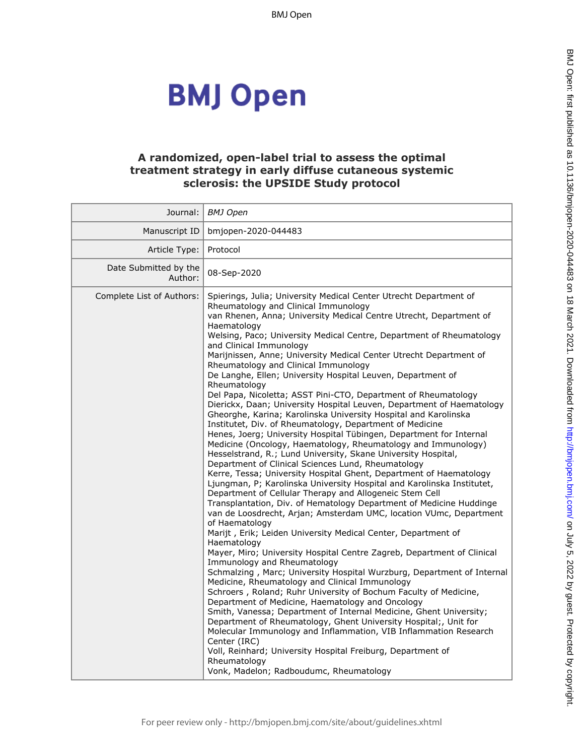BMJ Open

# **BMJ Open**

### **A randomized, open-label trial to assess the optimal treatment strategy in early diffuse cutaneous systemic sclerosis: the UPSIDE Study protocol**

| Journal:                         | BMJ Open                                                                                                                                                                                                                                                                                                                                                                                                                                                                                                                                                                                                                                                                                                                                                                                                                                                                                                                                                                                                                                                                                                                                                                                                                                                                                                                                                                                                                                                                                                                                                                                                                                                                                                                                                                                                                                                                                                                                                                                                                                                                                                                                                                                                               |
|----------------------------------|------------------------------------------------------------------------------------------------------------------------------------------------------------------------------------------------------------------------------------------------------------------------------------------------------------------------------------------------------------------------------------------------------------------------------------------------------------------------------------------------------------------------------------------------------------------------------------------------------------------------------------------------------------------------------------------------------------------------------------------------------------------------------------------------------------------------------------------------------------------------------------------------------------------------------------------------------------------------------------------------------------------------------------------------------------------------------------------------------------------------------------------------------------------------------------------------------------------------------------------------------------------------------------------------------------------------------------------------------------------------------------------------------------------------------------------------------------------------------------------------------------------------------------------------------------------------------------------------------------------------------------------------------------------------------------------------------------------------------------------------------------------------------------------------------------------------------------------------------------------------------------------------------------------------------------------------------------------------------------------------------------------------------------------------------------------------------------------------------------------------------------------------------------------------------------------------------------------------|
| Manuscript ID                    | bmjopen-2020-044483                                                                                                                                                                                                                                                                                                                                                                                                                                                                                                                                                                                                                                                                                                                                                                                                                                                                                                                                                                                                                                                                                                                                                                                                                                                                                                                                                                                                                                                                                                                                                                                                                                                                                                                                                                                                                                                                                                                                                                                                                                                                                                                                                                                                    |
| Article Type:                    | Protocol                                                                                                                                                                                                                                                                                                                                                                                                                                                                                                                                                                                                                                                                                                                                                                                                                                                                                                                                                                                                                                                                                                                                                                                                                                                                                                                                                                                                                                                                                                                                                                                                                                                                                                                                                                                                                                                                                                                                                                                                                                                                                                                                                                                                               |
| Date Submitted by the<br>Author: | 08-Sep-2020                                                                                                                                                                                                                                                                                                                                                                                                                                                                                                                                                                                                                                                                                                                                                                                                                                                                                                                                                                                                                                                                                                                                                                                                                                                                                                                                                                                                                                                                                                                                                                                                                                                                                                                                                                                                                                                                                                                                                                                                                                                                                                                                                                                                            |
| Complete List of Authors:        | Spierings, Julia; University Medical Center Utrecht Department of<br>Rheumatology and Clinical Immunology<br>van Rhenen, Anna; University Medical Centre Utrecht, Department of<br>Haematology<br>Welsing, Paco; University Medical Centre, Department of Rheumatology<br>and Clinical Immunology<br>Marijnissen, Anne; University Medical Center Utrecht Department of<br>Rheumatology and Clinical Immunology<br>De Langhe, Ellen; University Hospital Leuven, Department of<br>Rheumatology<br>Del Papa, Nicoletta; ASST Pini-CTO, Department of Rheumatology<br>Dierickx, Daan; University Hospital Leuven, Department of Haematology<br>Gheorghe, Karina; Karolinska University Hospital and Karolinska<br>Institutet, Div. of Rheumatology, Department of Medicine<br>Henes, Joerg; University Hospital Tübingen, Department for Internal<br>Medicine (Oncology, Haematology, Rheumatology and Immunology)<br>Hesselstrand, R.; Lund University, Skane University Hospital,<br>Department of Clinical Sciences Lund, Rheumatology<br>Kerre, Tessa; University Hospital Ghent, Department of Haematology<br>Ljungman, P; Karolinska University Hospital and Karolinska Institutet,<br>Department of Cellular Therapy and Allogeneic Stem Cell<br>Transplantation, Div. of Hematology Department of Medicine Huddinge<br>van de Loosdrecht, Arjan; Amsterdam UMC, location VUmc, Department<br>of Haematology<br>Marijt, Erik; Leiden University Medical Center, Department of<br>Haematology<br>Mayer, Miro; University Hospital Centre Zagreb, Department of Clinical<br>Immunology and Rheumatology<br>Schmalzing, Marc; University Hospital Wurzburg, Department of Internal<br>Medicine, Rheumatology and Clinical Immunology<br>Schroers, Roland; Ruhr University of Bochum Faculty of Medicine,<br>Department of Medicine, Haematology and Oncology<br>Smith, Vanessa; Department of Internal Medicine, Ghent University;<br>Department of Rheumatology, Ghent University Hospital;, Unit for<br>Molecular Immunology and Inflammation, VIB Inflammation Research<br>Center (IRC)<br>Voll, Reinhard; University Hospital Freiburg, Department of<br>Rheumatology<br>Vonk, Madelon; Radboudumc, Rheumatology |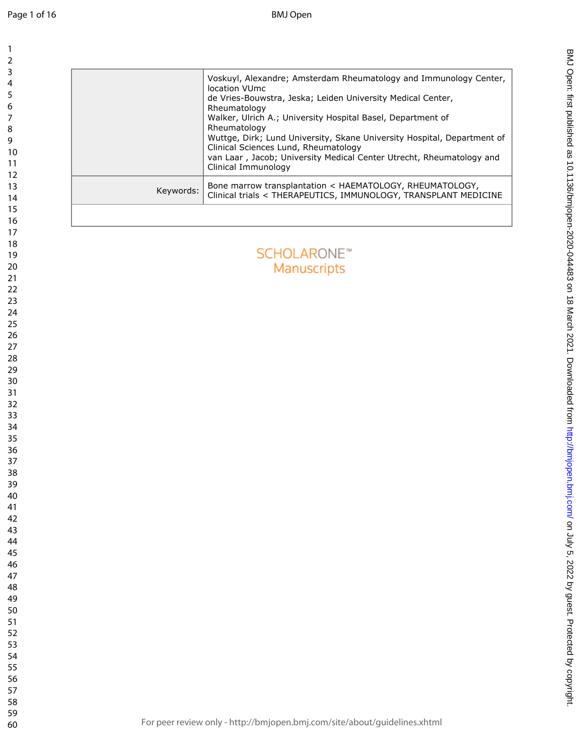$\mathbf{1}$ 

|           | Voskuyl, Alexandre; Amsterdam Rheumatology and Immunology Center,<br>location VUmc<br>de Vries-Bouwstra, Jeska; Leiden University Medical Center,<br>Rheumatology<br>Walker, Ulrich A.; University Hospital Basel, Department of<br>Rheumatology<br>Wuttge, Dirk; Lund University, Skane University Hospital, Department of<br>Clinical Sciences Lund, Rheumatology<br>van Laar, Jacob; University Medical Center Utrecht, Rheumatology and<br>Clinical Immunology |
|-----------|--------------------------------------------------------------------------------------------------------------------------------------------------------------------------------------------------------------------------------------------------------------------------------------------------------------------------------------------------------------------------------------------------------------------------------------------------------------------|
| Keywords: | Bone marrow transplantation < HAEMATOLOGY, RHEUMATOLOGY,<br>Clinical trials < THERAPEUTICS, IMMUNOLOGY, TRANSPLANT MEDICINE                                                                                                                                                                                                                                                                                                                                        |
|           |                                                                                                                                                                                                                                                                                                                                                                                                                                                                    |
|           | <b>SCHOLARONE™</b><br>Manuscripts                                                                                                                                                                                                                                                                                                                                                                                                                                  |
|           |                                                                                                                                                                                                                                                                                                                                                                                                                                                                    |
|           |                                                                                                                                                                                                                                                                                                                                                                                                                                                                    |
|           |                                                                                                                                                                                                                                                                                                                                                                                                                                                                    |
|           |                                                                                                                                                                                                                                                                                                                                                                                                                                                                    |
|           |                                                                                                                                                                                                                                                                                                                                                                                                                                                                    |
|           |                                                                                                                                                                                                                                                                                                                                                                                                                                                                    |
|           |                                                                                                                                                                                                                                                                                                                                                                                                                                                                    |
|           |                                                                                                                                                                                                                                                                                                                                                                                                                                                                    |
|           |                                                                                                                                                                                                                                                                                                                                                                                                                                                                    |
|           | For peer review only - http://bmjopen.bmj.com/site/about/guidelines.xhtml                                                                                                                                                                                                                                                                                                                                                                                          |

BMJ Septimals on July 5, 2022 by guest. Publishight. During also as 10.21 this comograph of 10.2021. Downloaded from the intersed as 10.12136/birabd by copyright. Published as 10.1136/birabd by 10.2021. Downloaded from Def

BMJ Open: first published as 10.1136/bmjopen-2020-044483 on 18 March 2021. Downloaded from http://bmjopen.bmj.com/ on July 5, 2022 by guest. Protected by copyright.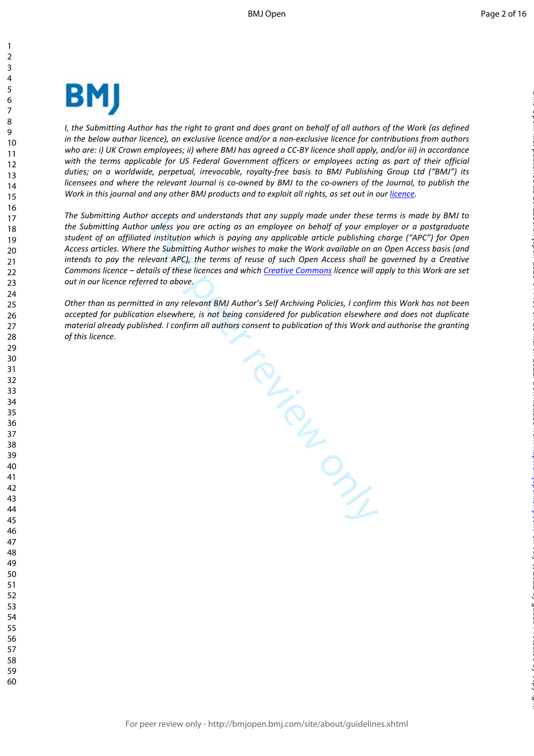

*I*, the Submitting Author has the right to grant and does grant on behalf of all authors of the Work (as defined *in the below author licence), an exclusive licence and/or a non-exclusive licence for contributions from authors who are: i) UK Crown employees; ii) where BMJ has agreed a CC-BY licence shall apply, and/or iii) in accordance with the terms applicable for US Federal Government officers or employees acting as part of their official duties; on a worldwide, perpetual, irrevocable, royalty-free basis to BMJ Publishing Group Ltd ("BMJ") its licensees and where the relevant Journal is co-owned by BMJ to the co-owners of the Journal, to publish the*  Work in this journal and any other BMJ products and to exploit all rights, as set out in our *[licence](https://authors.bmj.com/wp-content/uploads/2018/11/BMJ_Journals_Combined_Author_Licence_2018.pdf)*.

*The Submitting Author accepts and understands that any supply made under these terms is made by BMJ to the Submitting Author unless you are acting as an employee on behalf of your employer or a postgraduate student of an affiliated institution which is paying any applicable article publishing charge ("APC") for Open Access articles. Where the Submitting Author wishes to make the Work available on an Open Access basis (and intends to pay the relevant APC), the terms of reuse of such Open Access shall be governed by a Creative Commons licence – details of these licences and which Creative Commons licence will apply to this Work are set out in our licence referred to above.* 

*Other than as permitted in any relevant BMJ Author's Self Archiving Policies, I confirm this Work has not been accepted for publication elsewhere, is not being considered for publication elsewhere and does not duplicate material already published. I confirm all authors consent to publication of this Work and authorise the granting of this licence.*

For Prince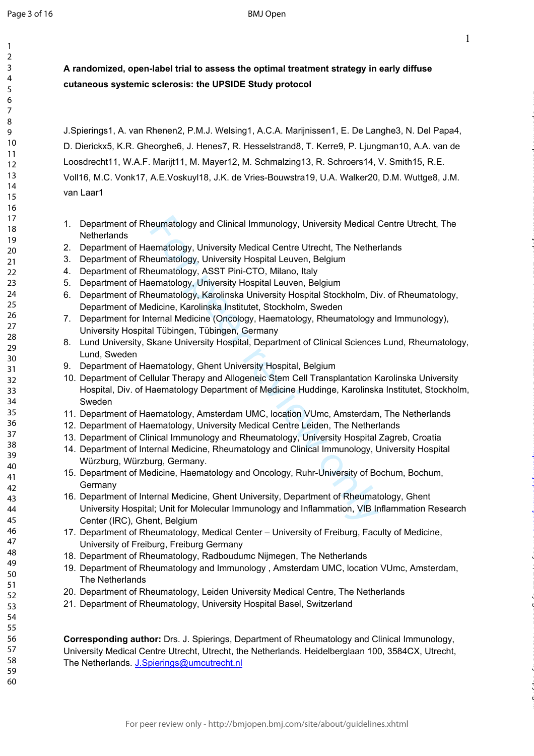$\mathbf{1}$  $\overline{2}$  $\overline{3}$  $\overline{4}$ 5 6  $\overline{7}$ 8  $\mathsf{Q}$ 

1

on July 5, 2022 by guest. Protected by copyright. <http://bmjopen.bmj.com/> BMJ Open: first published as 10.1136/bmjopen-2020-044483 on 18 March 2021. Downloaded from

**A randomized, open-label trial to assess the optimal treatment strategy in early diffuse cutaneous systemic sclerosis: the UPSIDE Study protocol**

J.Spierings1, A. van Rhenen2, P.M.J. Welsing1, A.C.A. Marijnissen1, E. De Langhe3, N. Del Papa4, D. Dierickx5, K.R. Gheorghe6, J. Henes7, R. Hesselstrand8, T. Kerre9, P. Ljungman10, A.A. van de Loosdrecht11, W.A.F. Marijt11, M. Mayer12, M. Schmalzing13, R. Schroers14, V. Smith15, R.E. Voll16, M.C. Vonk17, A.E.Voskuyl18, J.K. de Vries-Bouwstra19, U.A. Walker20, D.M. Wuttge8, J.M. van Laar1

- 1. Department of Rheumatology and Clinical Immunology, University Medical Centre Utrecht, The **Netherlands**
- 2. Department of Haematology, University Medical Centre Utrecht, The Netherlands
- 3. Department of Rheumatology, University Hospital Leuven, Belgium
- 4. Department of Rheumatology, ASST Pini-CTO, Milano, Italy
- 5. Department of Haematology, University Hospital Leuven, Belgium
- 6. Department of Rheumatology, Karolinska University Hospital Stockholm, Div. of Rheumatology, Department of Medicine, Karolinska Institutet, Stockholm, Sweden
- 7. Department for Internal Medicine (Oncology, Haematology, Rheumatology and Immunology), University Hospital Tübingen, Tübingen, Germany
- 8. Lund University, Skane University Hospital, Department of Clinical Sciences Lund, Rheumatology, Lund, Sweden
- 9. Department of Haematology, Ghent University Hospital, Belgium
- eumatology and Clinical Immunology, University Medical eematology, University Medical Centre Utrecht, The Nether<br>eumatology, University Hospital Leuven, Belgium<br>eumatology, ASST Pini-CTO, Milano, Italy<br>ematology, ASST Pini 10. Department of Cellular Therapy and Allogeneic Stem Cell Transplantation Karolinska University Hospital, Div. of Haematology Department of Medicine Huddinge, Karolinska Institutet, Stockholm, Sweden
- 11. Department of Haematology, Amsterdam UMC, location VUmc, Amsterdam, The Netherlands
- 12. Department of Haematology, University Medical Centre Leiden, The Netherlands
- 13. Department of Clinical Immunology and Rheumatology, University Hospital Zagreb, Croatia
- 14. Department of Internal Medicine, Rheumatology and Clinical Immunology, University Hospital Würzburg, Würzburg, Germany.
- 15. Department of Medicine, Haematology and Oncology, Ruhr-University of Bochum, Bochum, **Germany**
- 16. Department of Internal Medicine, Ghent University, Department of Rheumatology, Ghent University Hospital; Unit for Molecular Immunology and Inflammation, VIB Inflammation Research Center (IRC), Ghent, Belgium
- 17. Department of Rheumatology, Medical Center University of Freiburg, Faculty of Medicine, University of Freiburg, Freiburg Germany
- 18. Department of Rheumatology, Radboudumc Nijmegen, The Netherlands
- 19. Department of Rheumatology and Immunology , Amsterdam UMC, location VUmc, Amsterdam, The Netherlands
- 20. Department of Rheumatology, Leiden University Medical Centre, The Netherlands
- 21. Department of Rheumatology, University Hospital Basel, Switzerland

**Corresponding author:** Drs. J. Spierings, Department of Rheumatology and Clinical Immunology, University Medical Centre Utrecht, Utrecht, the Netherlands. Heidelberglaan 100, 3584CX, Utrecht, The Netherlands. [J.Spierings@umcutrecht.nl](mailto:J.Spierings@umcutrecht.nl)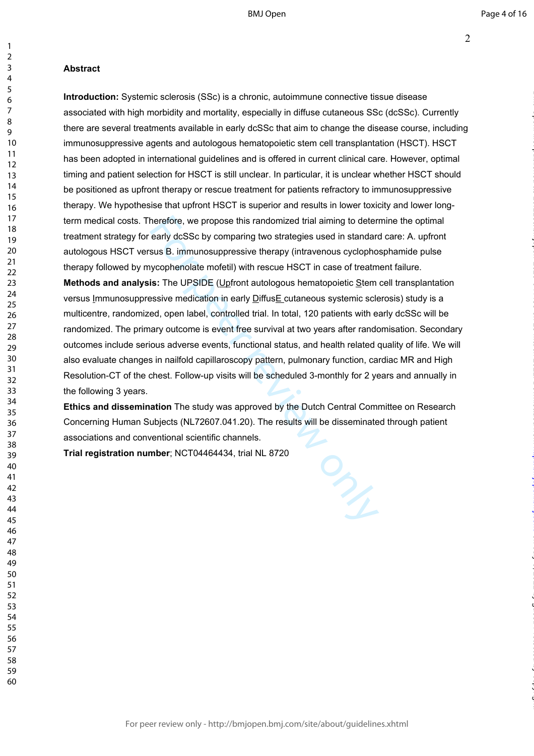## **Abstract**

herefore, we propose this randomized trial aiming to deter<br>early dcSSc by comparing two strategies used in standard<br>sus B. immunosuppressive therapy (intravenous cyclopho<br>ycophenolate mofetil) with rescue HSCT in case of t **Introduction:** Systemic sclerosis (SSc) is a chronic, autoimmune connective tissue disease associated with high morbidity and mortality, especially in diffuse cutaneous SSc (dcSSc). Currently there are several treatments available in early dcSSc that aim to change the disease course, including immunosuppressive agents and autologous hematopoietic stem cell transplantation (HSCT). HSCT has been adopted in international guidelines and is offered in current clinical care. However, optimal timing and patient selection for HSCT is still unclear. In particular, it is unclear whether HSCT should be positioned as upfront therapy or rescue treatment for patients refractory to immunosuppressive therapy. We hypothesise that upfront HSCT is superior and results in lower toxicity and lower longterm medical costs. Therefore, we propose this randomized trial aiming to determine the optimal treatment strategy for early dcSSc by comparing two strategies used in standard care: A. upfront autologous HSCT versus B. immunosuppressive therapy (intravenous cyclophosphamide pulse therapy followed by mycophenolate mofetil) with rescue HSCT in case of treatment failure. **Methods and analysis:** The UPSIDE (Upfront autologous hematopoietic Stem cell transplantation versus Immunosuppressive medication in early DiffusE cutaneous systemic sclerosis) study is a multicentre, randomized, open label, controlled trial. In total, 120 patients with early dcSSc will be randomized. The primary outcome is event free survival at two years after randomisation. Secondary outcomes include serious adverse events, functional status, and health related quality of life. We will also evaluate changes in nailfold capillaroscopy pattern, pulmonary function, cardiac MR and High Resolution-CT of the chest. Follow-up visits will be scheduled 3-monthly for 2 years and annually in the following 3 years.

**Ethics and dissemination** The study was approved by the Dutch Central Committee on Research Concerning Human Subjects (NL72607.041.20). The results will be disseminated through patient associations and conventional scientific channels.

**Trial registration number**; NCT04464434, trial NL 8720

 $\mathbf{1}$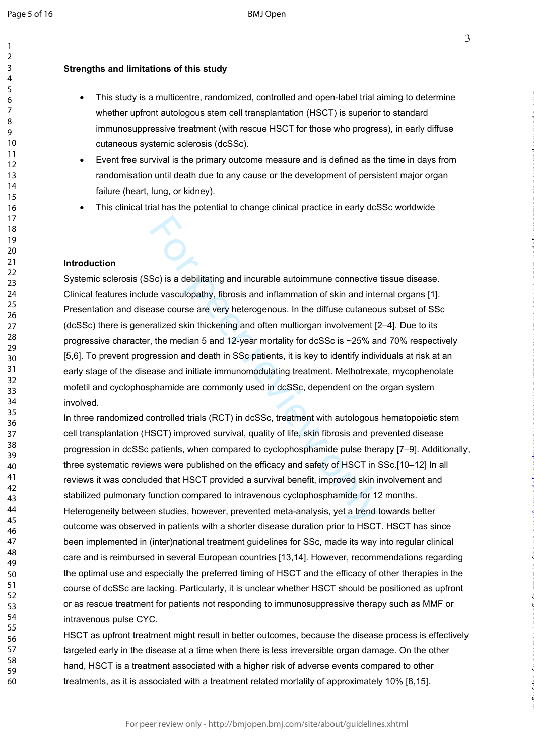$\mathbf{1}$  $\overline{2}$  $\overline{3}$  $\overline{4}$ 5 6  $\overline{7}$ 8 q

### **Strengths and limitations of this study**

- This study is a multicentre, randomized, controlled and open-label trial aiming to determine whether upfront autologous stem cell transplantation (HSCT) is superior to standard immunosuppressive treatment (with rescue HSCT for those who progress), in early diffuse cutaneous systemic sclerosis (dcSSc).
- Event free survival is the primary outcome measure and is defined as the time in days from randomisation until death due to any cause or the development of persistent major organ failure (heart, lung, or kidney).
- This clinical trial has the potential to change clinical practice in early dcSSc worldwide

### **Introduction**

Sc) is a debilitating and incurable autoimmune connective<br>de vasculopathy, fibrosis and inflammation of skin and inte<br>ase course are very heterogenous. In the diffuse cutaneou<br>ralized skin thickening and often multiorgan i Systemic sclerosis (SSc) is a debilitating and incurable autoimmune connective tissue disease. Clinical features include vasculopathy, fibrosis and inflammation of skin and internal organs [1]. Presentation and disease course are very heterogenous. In the diffuse cutaneous subset of SSc (dcSSc) there is generalized skin thickening and often multiorgan involvement [2–4]. Due to its progressive character, the median 5 and 12-year mortality for dcSSc is ~25% and 70% respectively [5,6]. To prevent progression and death in SSc patients, it is key to identify individuals at risk at an early stage of the disease and initiate immunomodulating treatment. Methotrexate, mycophenolate mofetil and cyclophosphamide are commonly used in dcSSc, dependent on the organ system involved.

In three randomized controlled trials (RCT) in dcSSc, treatment with autologous hematopoietic stem cell transplantation (HSCT) improved survival, quality of life, skin fibrosis and prevented disease progression in dcSSc patients, when compared to cyclophosphamide pulse therapy [7–9]. Additionally, three systematic reviews were published on the efficacy and safety of HSCT in SSc.[10–12] In all reviews it was concluded that HSCT provided a survival benefit, improved skin involvement and stabilized pulmonary function compared to intravenous cyclophosphamide for 12 months. Heterogeneity between studies, however, prevented meta-analysis, yet a trend towards better outcome was observed in patients with a shorter disease duration prior to HSCT. HSCT has since been implemented in (inter)national treatment guidelines for SSc, made its way into regular clinical care and is reimbursed in several European countries [13,14]. However, recommendations regarding the optimal use and especially the preferred timing of HSCT and the efficacy of other therapies in the course of dcSSc are lacking. Particularly, it is unclear whether HSCT should be positioned as upfront or as rescue treatment for patients not responding to immunosuppressive therapy such as MMF or intravenous pulse CYC.

HSCT as upfront treatment might result in better outcomes, because the disease process is effectively targeted early in the disease at a time when there is less irreversible organ damage. On the other hand, HSCT is a treatment associated with a higher risk of adverse events compared to other treatments, as it is associated with a treatment related mortality of approximately 10% [8,15].

on July 5, 2022 by guest. Protected by copyright. <http://bmjopen.bmj.com/> BMJ Open: first published as 10.1136/bmjopen-2020-044483 on 18 March 2021. Downloaded from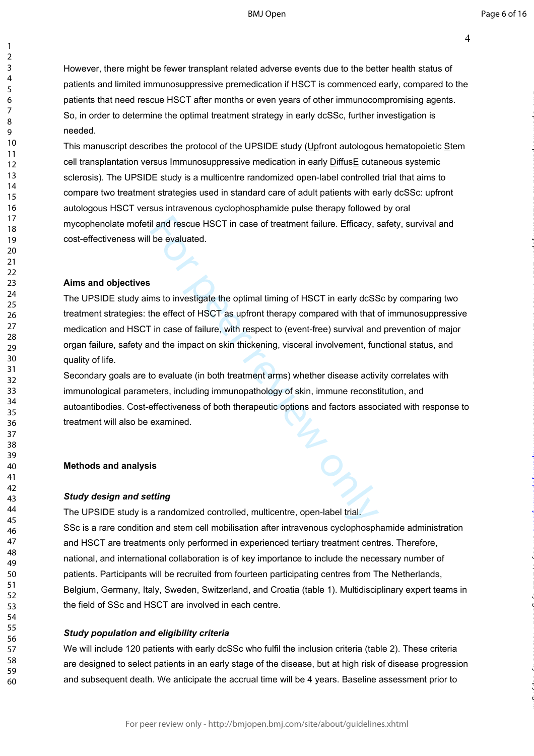BMJ Open

on July 5, 2022 by guest. Protected by copyright. <http://bmjopen.bmj.com/> BMJ Open: first published as 10.1136/bmjopen-2020-044483 on 18 March 2021. Downloaded from

However, there might be fewer transplant related adverse events due to the better health status of patients and limited immunosuppressive premedication if HSCT is commenced early, compared to the patients that need rescue HSCT after months or even years of other immunocompromising agents. So, in order to determine the optimal treatment strategy in early dcSSc, further investigation is needed.

This manuscript describes the protocol of the UPSIDE study (Upfront autologous hematopoietic Stem cell transplantation versus Immunosuppressive medication in early DiffusE cutaneous systemic sclerosis). The UPSIDE study is a multicentre randomized open-label controlled trial that aims to compare two treatment strategies used in standard care of adult patients with early dcSSc: upfront autologous HSCT versus intravenous cyclophosphamide pulse therapy followed by oral mycophenolate mofetil and rescue HSCT in case of treatment failure. Efficacy, safety, survival and cost-effectiveness will be evaluated.

### **Aims and objectives**

123456789

 $\mathbf{1}$  $\overline{2}$  $\overline{3}$  $\overline{4}$ 5 6  $\overline{7}$ 8  $\mathsf{o}$ 

il and rescue HSCT in case of treatment failure. Efficacy, s<br>be evaluated.<br>This to investigate the optimal timing of HSCT in early dcSS<br>the effect of HSCT as upfront therapy compared with that<br>in case of failure, with resp The UPSIDE study aims to investigate the optimal timing of HSCT in early dcSSc by comparing two treatment strategies: the effect of HSCT as upfront therapy compared with that of immunosuppressive medication and HSCT in case of failure, with respect to (event-free) survival and prevention of major organ failure, safety and the impact on skin thickening, visceral involvement, functional status, and quality of life.

Secondary goals are to evaluate (in both treatment arms) whether disease activity correlates with immunological parameters, including immunopathology of skin, immune reconstitution, and autoantibodies. Cost-effectiveness of both therapeutic options and factors associated with response to treatment will also be examined.

### **Methods and analysis**

### *Study design and setting*

The UPSIDE study is a randomized controlled, multicentre, open-label trial. SSc is a rare condition and stem cell mobilisation after intravenous cyclophosphamide administration and HSCT are treatments only performed in experienced tertiary treatment centres. Therefore, national, and international collaboration is of key importance to include the necessary number of patients. Participants will be recruited from fourteen participating centres from The Netherlands, Belgium, Germany, Italy, Sweden, Switzerland, and Croatia (table 1). Multidisciplinary expert teams in the field of SSc and HSCT are involved in each centre.

### *Study population and eligibility criteria*

We will include 120 patients with early dcSSc who fulfil the inclusion criteria (table 2). These criteria are designed to select patients in an early stage of the disease, but at high risk of disease progression and subsequent death. We anticipate the accrual time will be 4 years. Baseline assessment prior to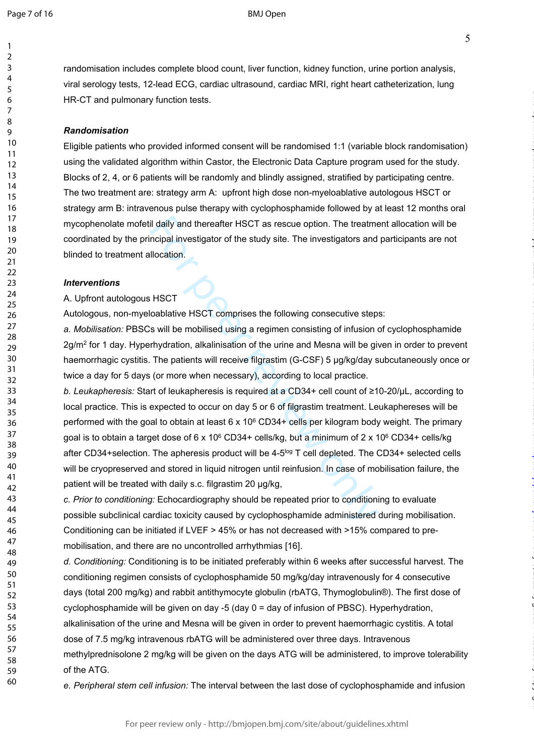$\mathbf{1}$  $\overline{2}$  $\overline{3}$  $\overline{4}$ 5 6  $\overline{7}$ 8  $\mathsf{o}$ 

5

on July 5, 2022 by guest. Protected by copyright. <http://bmjopen.bmj.com/> BMJ Open: first published as 10.1136/bmjopen-2020-044483 on 18 March 2021. Downloaded from

randomisation includes complete blood count, liver function, kidney function, urine portion analysis, viral serology tests, 12-lead ECG, cardiac ultrasound, cardiac MRI, right heart catheterization, lung HR-CT and pulmonary function tests.

### *Randomisation*

Eligible patients who provided informed consent will be randomised 1:1 (variable block randomisation) using the validated algorithm within Castor, the Electronic Data Capture program used for the study. Blocks of 2, 4, or 6 patients will be randomly and blindly assigned, stratified by participating centre. The two treatment are: strategy arm A: upfront high dose non-myeloablative autologous HSCT or strategy arm B: intravenous pulse therapy with cyclophosphamide followed by at least 12 months oral mycophenolate mofetil daily and thereafter HSCT as rescue option. The treatment allocation will be coordinated by the principal investigator of the study site. The investigators and participants are not blinded to treatment allocation.

### *Interventions*

### A. Upfront autologous HSCT

Autologous, non-myeloablative HSCT comprises the following consecutive steps:

*a. Mobilisation:* PBSCs will be mobilised using a regimen consisting of infusion of cyclophosphamide 2g/m<sup>2</sup> for 1 day. Hyperhydration, alkalinisation of the urine and Mesna will be given in order to prevent haemorrhagic cystitis. The patients will receive filgrastim (G-CSF) 5 μg/kg/day subcutaneously once or twice a day for 5 days (or more when necessary), according to local practice.

il daily and thereafter HSCT as rescue option. The treatmoroid investigator of the study site. The investigators and llocation.<br>
HSCT<br>
cablative HSCT comprises the following consecutive steps<br>
s will be mobilised using a *b. Leukapheresis:* Start of leukapheresis is required at a CD34+ cell count of ≥10-20/μL, according to local practice. This is expected to occur on day 5 or 6 of filgrastim treatment. Leukaphereses will be performed with the goal to obtain at least  $6 \times 10^6$  CD34+ cells per kilogram body weight. The primary goal is to obtain a target dose of 6 x 10<sup>6</sup> CD34+ cells/kg, but a minimum of 2 x 10<sup>6</sup> CD34+ cells/kg after CD34+selection. The apheresis product will be  $4-5^{\log}$  T cell depleted. The CD34+ selected cells will be cryopreserved and stored in liquid nitrogen until reinfusion. In case of mobilisation failure, the patient will be treated with daily s.c. filgrastim 20 μg/kg,

*c. Prior to conditioning:* Echocardiography should be repeated prior to conditioning to evaluate possible subclinical cardiac toxicity caused by cyclophosphamide administered during mobilisation. Conditioning can be initiated if LVEF > 45% or has not decreased with >15% compared to premobilisation, and there are no uncontrolled arrhythmias [16].

*d. Conditioning:* Conditioning is to be initiated preferably within 6 weeks after successful harvest. The conditioning regimen consists of cyclophosphamide 50 mg/kg/day intravenously for 4 consecutive days (total 200 mg/kg) and rabbit antithymocyte globulin (rbATG, Thymoglobulin®). The first dose of cyclophosphamide will be given on day -5 (day 0 = day of infusion of PBSC). Hyperhydration, alkalinisation of the urine and Mesna will be given in order to prevent haemorrhagic cystitis. A total dose of 7.5 mg/kg intravenous rbATG will be administered over three days. Intravenous methylprednisolone 2 mg/kg will be given on the days ATG will be administered, to improve tolerability of the ATG.

*e. Peripheral stem cell infusion:* The interval between the last dose of cyclophosphamide and infusion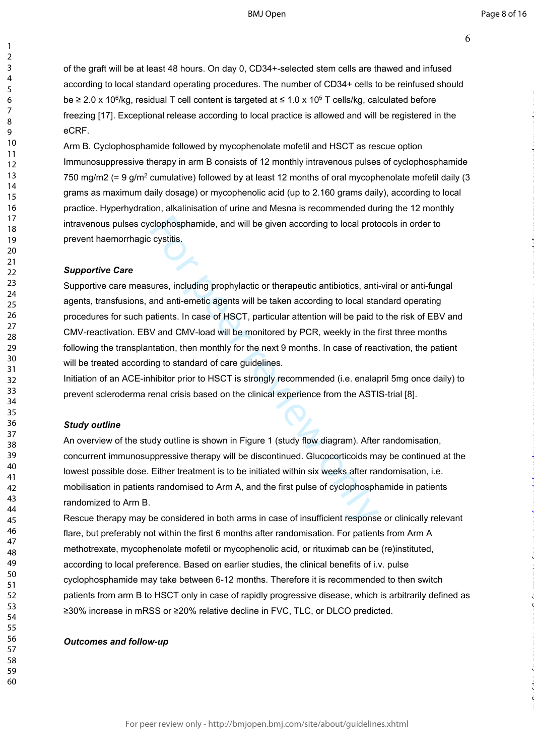6

of the graft will be at least 48 hours. On day 0, CD34+-selected stem cells are thawed and infused according to local standard operating procedures. The number of CD34+ cells to be reinfused should be  $\geq 2.0 \times 10^6$ /kg, residual T cell content is targeted at  $\leq 1.0 \times 10^5$  T cells/kg, calculated before freezing [17]. Exceptional release according to local practice is allowed and will be registered in the eCRF.

Arm B. Cyclophosphamide followed by mycophenolate mofetil and HSCT as rescue option Immunosuppressive therapy in arm B consists of 12 monthly intravenous pulses of cyclophosphamide 750 mg/m2 (= 9 g/m<sup>2</sup> cumulative) followed by at least 12 months of oral mycophenolate mofetil daily (3 grams as maximum daily dosage) or mycophenolic acid (up to 2.160 grams daily), according to local practice. Hyperhydration, alkalinisation of urine and Mesna is recommended during the 12 monthly intravenous pulses cyclophosphamide, and will be given according to local protocols in order to prevent haemorrhagic cystitis.

### *Supportive Care*

clophosphamide, and will be given according to local proton cystitis.<br>
Secretive cystitis.<br>
For expective and anti-emetic agents will be taken according to local stand<br>
and anti-emetic agents will be taken according to loc Supportive care measures, including prophylactic or therapeutic antibiotics, anti-viral or anti-fungal agents, transfusions, and anti-emetic agents will be taken according to local standard operating procedures for such patients. In case of HSCT, particular attention will be paid to the risk of EBV and CMV-reactivation. EBV and CMV-load will be monitored by PCR, weekly in the first three months following the transplantation, then monthly for the next 9 months. In case of reactivation, the patient will be treated according to standard of care guidelines.

Initiation of an ACE-inhibitor prior to HSCT is strongly recommended (i.e. enalapril 5mg once daily) to prevent scleroderma renal crisis based on the clinical experience from the ASTIS-trial [8].

### *Study outline*

An overview of the study outline is shown in Figure 1 (study flow diagram). After randomisation, concurrent immunosuppressive therapy will be discontinued. Glucocorticoids may be continued at the lowest possible dose. Either treatment is to be initiated within six weeks after randomisation, i.e. mobilisation in patients randomised to Arm A, and the first pulse of cyclophosphamide in patients randomized to Arm B.

Rescue therapy may be considered in both arms in case of insufficient response or clinically relevant flare, but preferably not within the first 6 months after randomisation. For patients from Arm A methotrexate, mycophenolate mofetil or mycophenolic acid, or rituximab can be (re)instituted, according to local preference. Based on earlier studies, the clinical benefits of i.v. pulse cyclophosphamide may take between 6-12 months. Therefore it is recommended to then switch patients from arm B to HSCT only in case of rapidly progressive disease, which is arbitrarily defined as ≥30% increase in mRSS or ≥20% relative decline in FVC, TLC, or DLCO predicted.

### *Outcomes and follow-up*

 $\mathbf{1}$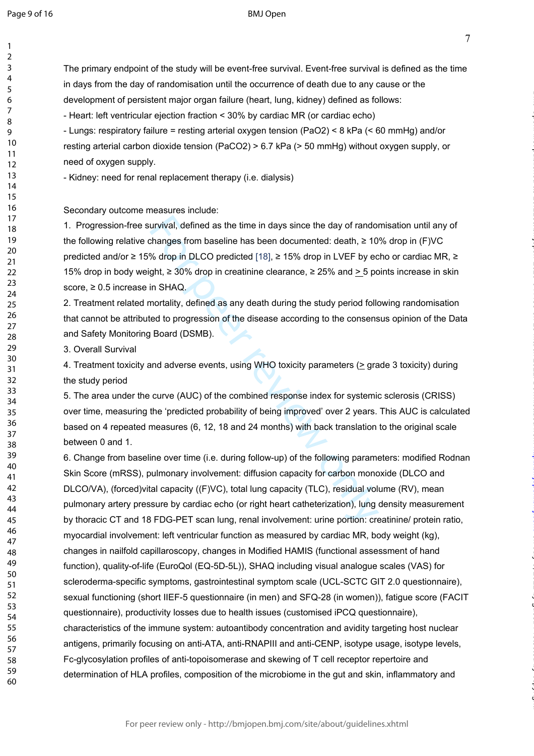$\mathbf{1}$  $\overline{2}$  $\overline{3}$  $\overline{4}$ 5 6  $\overline{7}$ 8 9

### BMJ Open

The primary endpoint of the study will be event-free survival. Event-free survival is defined as the time

in days from the day of randomisation until the occurrence of death due to any cause or the

on July 5, 2022 by guest. Protected by copyright. <http://bmjopen.bmj.com/> BMJ Open: first published as 10.1136/bmjopen-2020-044483 on 18 March 2021. Downloaded from

urvival, defined as the time in days since the day of rando<br>changes from baseline has been documented: death, ≥ 10<br>% drop in DLCO predicted [18], ≥ 15% drop in LVEF by ec<br>pth, ≥ 30% drop in creatinine clearance, ≥ 25% and development of persistent major organ failure (heart, lung, kidney) defined as follows: - Heart: left ventricular ejection fraction < 30% by cardiac MR (or cardiac echo) - Lungs: respiratory failure = resting arterial oxygen tension (PaO2) < 8 kPa (< 60 mmHg) and/or resting arterial carbon dioxide tension (PaCO2) > 6.7 kPa (> 50 mmHg) without oxygen supply, or need of oxygen supply. - Kidney: need for renal replacement therapy (i.e. dialysis) Secondary outcome measures include: 1. Progression-free survival, defined as the time in days since the day of randomisation until any of the following relative changes from baseline has been documented: death, ≥ 10% drop in (F)VC predicted and/or ≥ 15% drop in DLCO predicted [18], ≥ 15% drop in LVEF by echo or cardiac MR, ≥ 15% drop in body weight, ≥ 30% drop in creatinine clearance, ≥ 25% and  $\geq$  5 points increase in skin score, ≥ 0.5 increase in SHAQ. 2. Treatment related mortality, defined as any death during the study period following randomisation that cannot be attributed to progression of the disease according to the consensus opinion of the Data and Safety Monitoring Board (DSMB). 3. Overall Survival 4. Treatment toxicity and adverse events, using WHO toxicity parameters ( $\geq$  grade 3 toxicity) during the study period 5. The area under the curve (AUC) of the combined response index for systemic sclerosis (CRISS) over time, measuring the 'predicted probability of being improved' over 2 years. This AUC is calculated based on 4 repeated measures (6, 12, 18 and 24 months) with back translation to the original scale between 0 and 1. 6. Change from baseline over time (i.e. during follow-up) of the following parameters: modified Rodnan Skin Score (mRSS), pulmonary involvement: diffusion capacity for carbon monoxide (DLCO and DLCO/VA), (forced)vital capacity ((F)VC), total lung capacity (TLC), residual volume (RV), mean pulmonary artery pressure by cardiac echo (or right heart catheterization), lung density measurement by thoracic CT and 18 FDG-PET scan lung, renal involvement: urine portion: creatinine/ protein ratio, myocardial involvement: left ventricular function as measured by cardiac MR, body weight (kg), changes in nailfold capillaroscopy, changes in Modified HAMIS (functional assessment of hand function), quality-of-life (EuroQol (EQ-5D-5L)), SHAQ including visual analogue scales (VAS) for

scleroderma-specific symptoms, gastrointestinal symptom scale (UCL-SCTC GIT 2.0 questionnaire), sexual functioning (short IIEF-5 questionnaire (in men) and SFQ-28 (in women)), fatigue score (FACIT questionnaire), productivity losses due to health issues (customised iPCQ questionnaire), characteristics of the immune system: autoantibody concentration and avidity targeting host nuclear antigens, primarily focusing on anti-ATA, anti-RNAPIII and anti-CENP, isotype usage, isotype levels, Fc-glycosylation profiles of anti-topoisomerase and skewing of T cell receptor repertoire and determination of HLA profiles, composition of the microbiome in the gut and skin, inflammatory and

For peer review only - http://bmjopen.bmj.com/site/about/guidelines.xhtml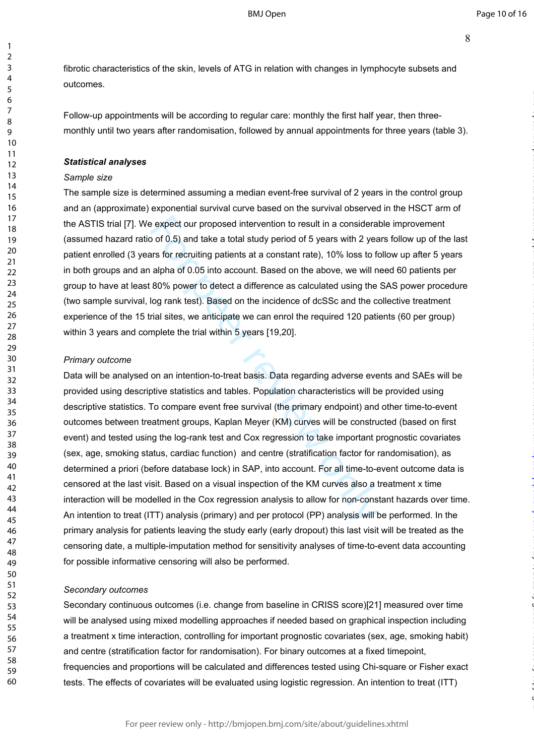fibrotic characteristics of the skin, levels of ATG in relation with changes in lymphocyte subsets and outcomes.

Follow-up appointments will be according to regular care: monthly the first half year, then threemonthly until two years after randomisation, followed by annual appointments for three years (table 3).

### *Statistical analyses*

### *Sample size*

123456789

 $\mathbf{1}$  $\overline{2}$  $\overline{3}$  $\overline{4}$ 5 6  $\overline{7}$ 8 9

The sample size is determined assuming a median event-free survival of 2 years in the control group and an (approximate) exponential survival curve based on the survival observed in the HSCT arm of the ASTIS trial [7]. We expect our proposed intervention to result in a considerable improvement (assumed hazard ratio of 0.5) and take a total study period of 5 years with 2 years follow up of the last patient enrolled (3 years for recruiting patients at a constant rate), 10% loss to follow up after 5 years in both groups and an alpha of 0.05 into account. Based on the above, we will need 60 patients per group to have at least 80% power to detect a difference as calculated using the SAS power procedure (two sample survival, log rank test). Based on the incidence of dcSSc and the collective treatment experience of the 15 trial sites, we anticipate we can enrol the required 120 patients (60 per group) within 3 years and complete the trial within 5 years [19,20].

### *Primary outcome*

e expect our proposed intervention to result in a consideral<br>o of 0.5) and take a total study period of 5 years with 2 years<br>for recruiting patients at a constant rate), 10% loss to falpha of 0.05 into account. Based on th Data will be analysed on an intention-to-treat basis. Data regarding adverse events and SAEs will be provided using descriptive statistics and tables. Population characteristics will be provided using descriptive statistics. To compare event free survival (the primary endpoint) and other time-to-event outcomes between treatment groups, Kaplan Meyer (KM) curves will be constructed (based on first event) and tested using the log-rank test and Cox regression to take important prognostic covariates (sex, age, smoking status, cardiac function) and centre (stratification factor for randomisation), as determined a priori (before database lock) in SAP, into account. For all time-to-event outcome data is censored at the last visit. Based on a visual inspection of the KM curves also a treatment x time interaction will be modelled in the Cox regression analysis to allow for non-constant hazards over time. An intention to treat (ITT) analysis (primary) and per protocol (PP) analysis will be performed. In the primary analysis for patients leaving the study early (early dropout) this last visit will be treated as the censoring date, a multiple-imputation method for sensitivity analyses of time-to-event data accounting for possible informative censoring will also be performed.

### *Secondary outcomes*

Secondary continuous outcomes (i.e. change from baseline in CRISS score)[21] measured over time will be analysed using mixed modelling approaches if needed based on graphical inspection including a treatment x time interaction, controlling for important prognostic covariates (sex, age, smoking habit) and centre (stratification factor for randomisation). For binary outcomes at a fixed timepoint, frequencies and proportions will be calculated and differences tested using Chi-square or Fisher exact tests. The effects of covariates will be evaluated using logistic regression. An intention to treat (ITT)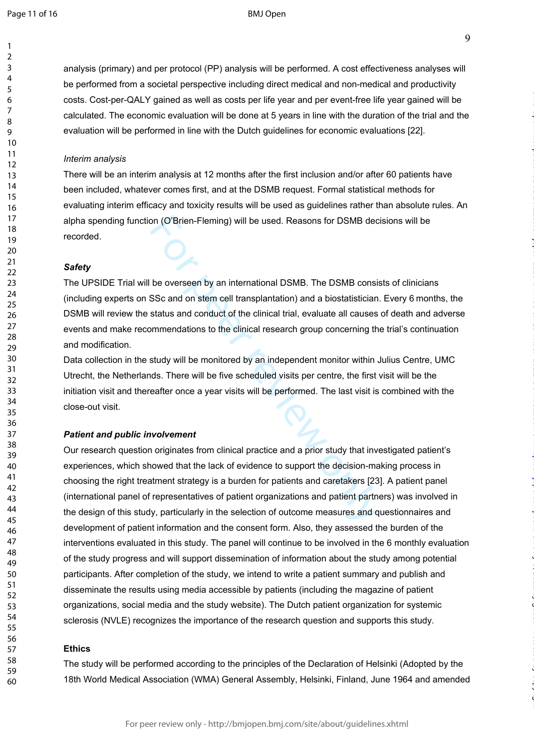$\mathbf{1}$  $\overline{2}$  $\overline{3}$  $\overline{4}$ 5 6  $\overline{7}$ 8  $\mathsf{o}$ 

### BMJ Open

analysis (primary) and per protocol (PP) analysis will be performed. A cost effectiveness analyses will be performed from a societal perspective including direct medical and non-medical and productivity costs. Cost-per-QALY gained as well as costs per life year and per event-free life year gained will be calculated. The economic evaluation will be done at 5 years in line with the duration of the trial and the evaluation will be performed in line with the Dutch guidelines for economic evaluations [22].

### *Interim analysis*

There will be an interim analysis at 12 months after the first inclusion and/or after 60 patients have been included, whatever comes first, and at the DSMB request. Formal statistical methods for evaluating interim efficacy and toxicity results will be used as guidelines rather than absolute rules. An alpha spending function (O'Brien-Fleming) will be used. Reasons for DSMB decisions will be recorded.

### *Safety*

The UPSIDE Trial will be overseen by an international DSMB. The DSMB consists of clinicians (including experts on SSc and on stem cell transplantation) and a biostatistician. Every 6 months, the DSMB will review the status and conduct of the clinical trial, evaluate all causes of death and adverse events and make recommendations to the clinical research group concerning the trial's continuation and modification.

Data collection in the study will be monitored by an independent monitor within Julius Centre, UMC Utrecht, the Netherlands. There will be five scheduled visits per centre, the first visit will be the initiation visit and thereafter once a year visits will be performed. The last visit is combined with the close-out visit.

### *Patient and public involvement*

on (O'Brien-Fleming) will be used. Reasons for DSMB dec<br>be overseen by an international DSMB. The DSMB consis<br>SSc and on stem cell transplantation) and a biostatistician<br>status and conduct of the clinical trial, evaluate a Our research question originates from clinical practice and a prior study that investigated patient's experiences, which showed that the lack of evidence to support the decision-making process in choosing the right treatment strategy is a burden for patients and caretakers [23]. A patient panel (international panel of representatives of patient organizations and patient partners) was involved in the design of this study, particularly in the selection of outcome measures and questionnaires and development of patient information and the consent form. Also, they assessed the burden of the interventions evaluated in this study. The panel will continue to be involved in the 6 monthly evaluation of the study progress and will support dissemination of information about the study among potential participants. After completion of the study, we intend to write a patient summary and publish and disseminate the results using media accessible by patients (including the magazine of patient organizations, social media and the study website). The Dutch patient organization for systemic sclerosis (NVLE) recognizes the importance of the research question and supports this study.

### **Ethics**

The study will be performed according to the principles of the Declaration of Helsinki (Adopted by the 18th World Medical Association (WMA) General Assembly, Helsinki, Finland, June 1964 and amended

For peer review only - http://bmjopen.bmj.com/site/about/guidelines.xhtml

on July 5, 2022 by guest. Protected by copyright. <http://bmjopen.bmj.com/> BMJ Open: first published as 10.1136/bmjopen-2020-044483 on 18 March 2021. Downloaded from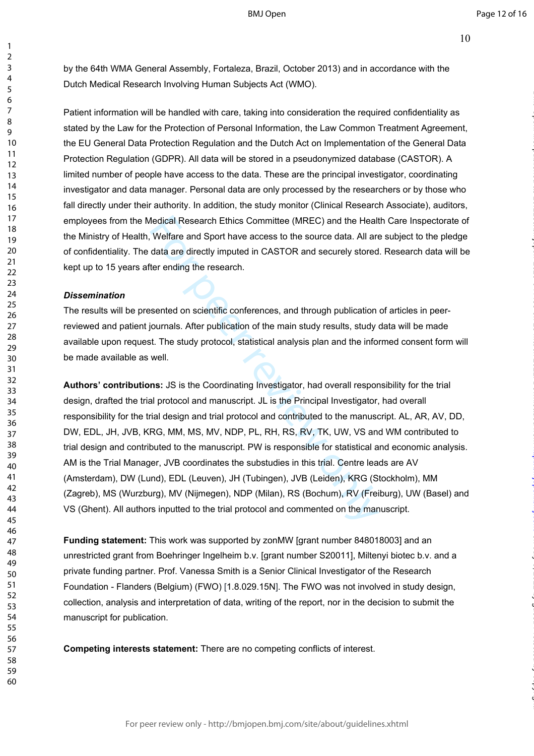by the 64th WMA General Assembly, Fortaleza, Brazil, October 2013) and in accordance with the Dutch Medical Research Involving Human Subjects Act (WMO).

Patient information will be handled with care, taking into consideration the required confidentiality as stated by the Law for the Protection of Personal Information, the Law Common Treatment Agreement, the EU General Data Protection Regulation and the Dutch Act on Implementation of the General Data Protection Regulation (GDPR). All data will be stored in a pseudonymized database (CASTOR). A limited number of people have access to the data. These are the principal investigator, coordinating investigator and data manager. Personal data are only processed by the researchers or by those who fall directly under their authority. In addition, the study monitor (Clinical Research Associate), auditors, employees from the Medical Research Ethics Committee (MREC) and the Health Care Inspectorate of the Ministry of Health, Welfare and Sport have access to the source data. All are subject to the pledge of confidentiality. The data are directly imputed in CASTOR and securely stored. Research data will be kept up to 15 years after ending the research.

### *Dissemination*

The results will be presented on scientific conferences, and through publication of articles in peerreviewed and patient journals. After publication of the main study results, study data will be made available upon request. The study protocol, statistical analysis plan and the informed consent form will be made available as well.

Nedical Research Ethics Committee (MREC) and the Healt<br>
Welfare and Sport have access to the source data. All are<br>
data are directly imputed in CASTOR and securely stored<br>
ter ending the research.<br>
Seented on scientific co **Authors' contributions:** JS is the Coordinating Investigator, had overall responsibility for the trial design, drafted the trial protocol and manuscript. JL is the Principal Investigator, had overall responsibility for the trial design and trial protocol and contributed to the manuscript. AL, AR, AV, DD, DW, EDL, JH, JVB, KRG, MM, MS, MV, NDP, PL, RH, RS, RV, TK, UW, VS and WM contributed to trial design and contributed to the manuscript. PW is responsible for statistical and economic analysis. AM is the Trial Manager, JVB coordinates the substudies in this trial. Centre leads are AV (Amsterdam), DW (Lund), EDL (Leuven), JH (Tubingen), JVB (Leiden), KRG (Stockholm), MM (Zagreb), MS (Wurzburg), MV (Nijmegen), NDP (Milan), RS (Bochum), RV (Freiburg), UW (Basel) and VS (Ghent). All authors inputted to the trial protocol and commented on the manuscript.

**Funding statement:** This work was supported by zonMW [grant number 848018003] and an unrestricted grant from Boehringer Ingelheim b.v. [grant number S20011], Miltenyi biotec b.v. and a private funding partner. Prof. Vanessa Smith is a Senior Clinical Investigator of the Research Foundation - Flanders (Belgium) (FWO) [1.8.029.15N ]. The FWO was not involved in study design, collection, analysis and interpretation of data, writing of the report, nor in the decision to submit the manuscript for publication.

**Competing interests statement:** There are no competing conflicts of interest.

 $\mathbf{1}$  $\overline{2}$  $\overline{3}$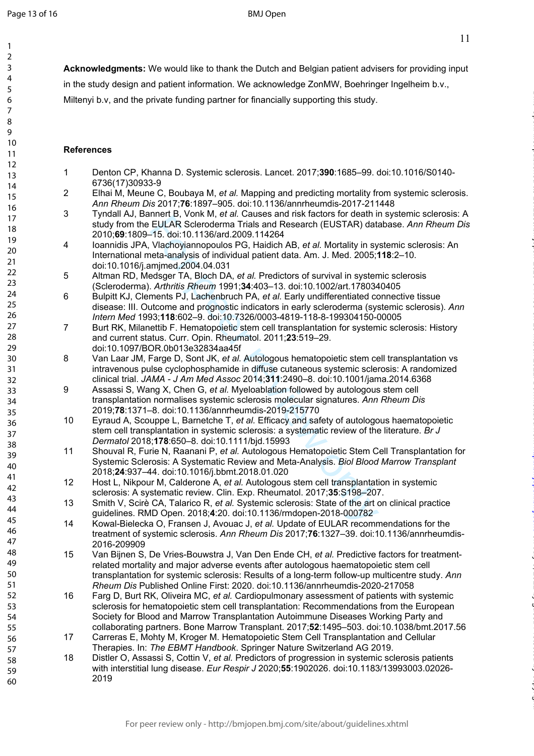$\mathbf{1}$  $\overline{2}$  $\overline{3}$  $\overline{4}$ 5 6  $\overline{7}$ 8 9

on July 5, 2022 by guest. Protected by copyright. <http://bmjopen.bmj.com/> BMJ Open: first published as 10.1136/bmjopen-2020-044483 on 18 March 2021. Downloaded from

**Acknowledgments:** We would like to thank the Dutch and Belgian patient advisers for providing input in the study design and patient information. We acknowledge ZonMW, Boehringer Ingelheim b.v.,

Miltenyi b.v, and the private funding partner for financially supporting this study.

### **References**

- 1 Denton CP, Khanna D. Systemic sclerosis. Lancet. 2017;**390**:1685–99. doi:10.1016/S0140- 6736(17)30933-9
- 2 Elhai M, Meune C, Boubaya M, *et al.* Mapping and predicting mortality from systemic sclerosis. *Ann Rheum Dis* 2017;**76**:1897–905. doi:10.1136/annrheumdis-2017-211448
- 3 Tyndall AJ, Bannert B, Vonk M, *et al.* Causes and risk factors for death in systemic sclerosis: A study from the EULAR Scleroderma Trials and Research (EUSTAR) database. *Ann Rheum Dis* 2010;**69**:1809–15. doi:10.1136/ard.2009.114264
- 4 Ioannidis JPA, Vlachoyiannopoulos PG, Haidich AB, *et al.* Mortality in systemic sclerosis: An International meta-analysis of individual patient data. Am. J. Med. 2005;**118**:2–10. doi:10.1016/j.amjmed.2004.04.031
- 5 Altman RD, Medsger TA, Bloch DA, *et al.* Predictors of survival in systemic sclerosis (Scleroderma). *Arthritis Rheum* 1991;**34**:403–13. doi:10.1002/art.1780340405
- 6 Bulpitt KJ, Clements PJ, Lachenbruch PA, *et al.* Early undifferentiated connective tissue disease: III. Outcome and prognostic indicators in early scleroderma (systemic sclerosis). *Ann Intern Med* 1993;**118**:602–9. doi:10.7326/0003-4819-118-8-199304150-00005
- 7 Burt RK, Milanettib F. Hematopoietic stem cell transplantation for systemic sclerosis: History and current status. Curr. Opin. Rheumatol. 2011;**23**:519–29. doi:10.1097/BOR.0b013e32834aa45f
- 8 Van Laar JM, Farge D, Sont JK, *et al.* Autologous hematopoietic stem cell transplantation vs intravenous pulse cyclophosphamide in diffuse cutaneous systemic sclerosis: A randomized clinical trial. *JAMA - J Am Med Assoc* 2014;**311**:2490–8. doi:10.1001/jama.2014.6368
- mento, voim wi, et al. cuauses and instance and interaction of usear<br>FULAR Scleroderma Trials and Research (EUSTAR) data-<br>15. doi:10.1136/ard.2009.114264<br>14.5. doi:10.1136/ard.2009.114264<br>eta-analysis of individual patient 9 Assassi S, Wang X, Chen G, *et al.* Myeloablation followed by autologous stem cell transplantation normalises systemic sclerosis molecular signatures. *Ann Rheum Dis* 2019;**78**:1371–8. doi:10.1136/annrheumdis-2019-215770
- 10 Eyraud A, Scouppe L, Barnetche T, *et al.* Efficacy and safety of autologous haematopoietic stem cell transplantation in systemic sclerosis: a systematic review of the literature. *Br J Dermatol* 2018;**178**:650–8. doi:10.1111/bjd.15993
- 11 Shouval R, Furie N, Raanani P, *et al.* Autologous Hematopoietic Stem Cell Transplantation for Systemic Sclerosis: A Systematic Review and Meta-Analysis. *Biol Blood Marrow Transplant* 2018;**24**:937–44. doi:10.1016/j.bbmt.2018.01.020
- 12 Host L, Nikpour M, Calderone A, *et al.* Autologous stem cell transplantation in systemic sclerosis: A systematic review. Clin. Exp. Rheumatol. 2017;**35**:S198–207.
- 13 Smith V, Scirè CA, Talarico R, *et al.* Systemic sclerosis: State of the art on clinical practice guidelines. RMD Open. 2018; **4**:20. doi:10.1136/rmdopen-2018-000782
- 14 Kowal-Bielecka O, Fransen J, Avouac J, *et al.* Update of EULAR recommendations for the treatment of systemic sclerosis. *Ann Rheum Dis* 2017;**76**:1327–39. doi:10.1136/annrheumdis-2016-209909
- 15 Van Bijnen S, De Vries-Bouwstra J, Van Den Ende CH, *et al.* Predictive factors for treatmentrelated mortality and major adverse events after autologous haematopoietic stem cell transplantation for systemic sclerosis: Results of a long-term follow-up multicentre study. *Ann Rheum Dis* Published Online First: 2020. doi:10.1136/annrheumdis-2020-217058
- 16 Farg D, Burt RK, Oliveira MC, *et al.* Cardiopulmonary assessment of patients with systemic sclerosis for hematopoietic stem cell transplantation: Recommendations from the European Society for Blood and Marrow Transplantation Autoimmune Diseases Working Party and collaborating partners. Bone Marrow Transplant. 2017;**52**:1495–503. doi:10.1038/bmt.2017.56
- 17 Carreras E, Mohty M, Kroger M. Hematopoietic Stem Cell Transplantation and Cellular Therapies. In: *The EBMT Handbook*. Springer Nature Switzerland AG 2019.
- 18 Distler O, Assassi S, Cottin V, *et al.* Predictors of progression in systemic sclerosis patients with interstitial lung disease. *Eur Respir J* 2020;**55**:1902026. doi:10.1183/13993003.02026- 2019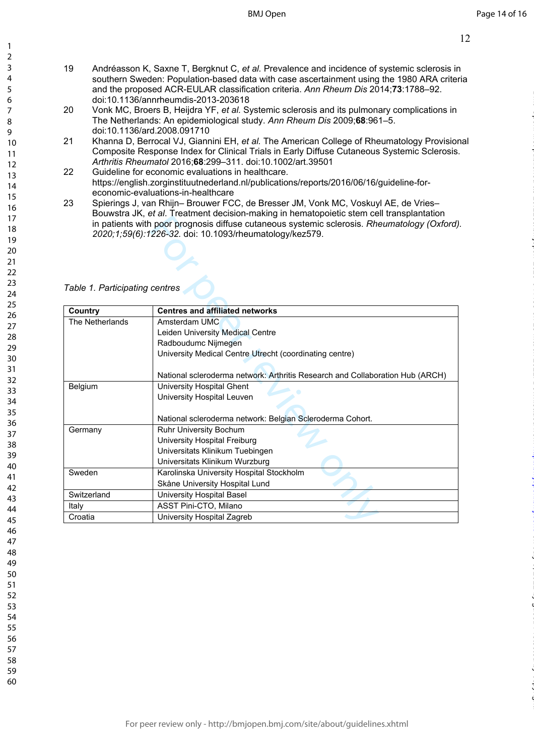- 19 Andréasson K, Saxne T, Bergknut C, *et al.* Prevalence and incidence of systemic sclerosis in southern Sweden: Population-based data with case ascertainment using the 1980 ARA criteria and the proposed ACR-EULAR classification criteria. *Ann Rheum Dis* 2014;**73**:1788–92. doi:10.1136/annrheumdis-2013-203618
- 20 Vonk MC, Broers B, Heijdra YF, *et al.* Systemic sclerosis and its pulmonary complications in The Netherlands: An epidemiological study. *Ann Rheum Dis* 2009;**68**:961–5. doi:10.1136/ard.2008.091710
- 21 Khanna D, Berrocal VJ, Giannini EH, *et al.* The American College of Rheumatology Provisional Composite Response Index for Clinical Trials in Early Diffuse Cutaneous Systemic Sclerosis. *Arthritis Rheumatol* 2016;**68**:299–311. doi:10.1002/art.39501
- 22 Guideline for economic evaluations in healthcare. https://english.zorginstituutnederland.nl/publications/reports/2016/06/16/guideline-foreconomic-evaluations-in-healthcare
- 23 Spierings J, van Rhijn– Brouwer FCC, de Bresser JM, Vonk MC, Voskuyl AE, de Vries– Bouwstra JK, *et al*. Treatment decision-making in hematopoietic stem cell transplantation in patients with poor prognosis diffuse cutaneous systemic sclerosis. *Rheumatology (Oxford). 2020;1;59(6):1226-32.* doi: 10.1093/rheumatology/kez579.

*Table 1. Participating centres*

| Table 1. Participating centres | <b>U. a., Trouthorn, abolition making in homatopologic otom coll transplantation</b><br>in patients with poor prognosis diffuse cutaneous systemic sclerosis. Rheumatology (Oxford<br>2020;1;59(6):1226-32. doi: 10.1093/rheumatology/kez579. |  |  |  |  |  |
|--------------------------------|-----------------------------------------------------------------------------------------------------------------------------------------------------------------------------------------------------------------------------------------------|--|--|--|--|--|
| Country                        | <b>Centres and affiliated networks</b>                                                                                                                                                                                                        |  |  |  |  |  |
| The Netherlands                | Amsterdam UMC                                                                                                                                                                                                                                 |  |  |  |  |  |
|                                | Leiden University Medical Centre                                                                                                                                                                                                              |  |  |  |  |  |
|                                | Radboudumc Nijmegen                                                                                                                                                                                                                           |  |  |  |  |  |
|                                | University Medical Centre Utrecht (coordinating centre)                                                                                                                                                                                       |  |  |  |  |  |
|                                |                                                                                                                                                                                                                                               |  |  |  |  |  |
|                                | National scleroderma network: Arthritis Research and Collaboration Hub (ARCH)                                                                                                                                                                 |  |  |  |  |  |
| Belgium                        | University Hospital Ghent                                                                                                                                                                                                                     |  |  |  |  |  |
|                                | University Hospital Leuven                                                                                                                                                                                                                    |  |  |  |  |  |
|                                |                                                                                                                                                                                                                                               |  |  |  |  |  |
|                                | National scleroderma network: Belgian Scleroderma Cohort.                                                                                                                                                                                     |  |  |  |  |  |
| Germany                        | Ruhr University Bochum                                                                                                                                                                                                                        |  |  |  |  |  |
|                                | University Hospital Freiburg                                                                                                                                                                                                                  |  |  |  |  |  |
|                                | Universitats Klinikum Tuebingen                                                                                                                                                                                                               |  |  |  |  |  |
|                                | Universitats Klinikum Wurzburg                                                                                                                                                                                                                |  |  |  |  |  |
| Sweden                         | Karolinska University Hospital Stockholm                                                                                                                                                                                                      |  |  |  |  |  |
|                                | Skåne University Hospital Lund                                                                                                                                                                                                                |  |  |  |  |  |
| Switzerland                    | University Hospital Basel                                                                                                                                                                                                                     |  |  |  |  |  |
| Italy                          | ASST Pini-CTO, Milano                                                                                                                                                                                                                         |  |  |  |  |  |
| Croatia                        | University Hospital Zagreb                                                                                                                                                                                                                    |  |  |  |  |  |
|                                |                                                                                                                                                                                                                                               |  |  |  |  |  |

 $\mathbf{1}$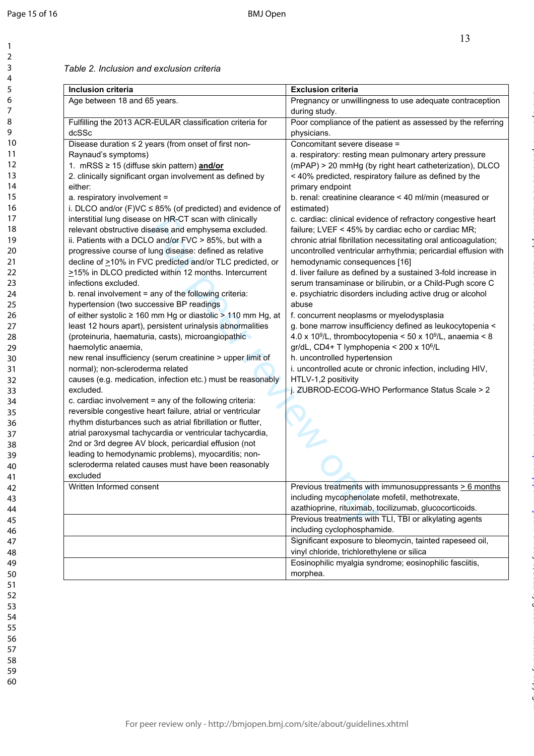$\mathbf{1}$ 

on July 5, 2022 by guest. Protected by copyright. <http://bmjopen.bmj.com/> BMJ Open: first published as 10.1136/bmjopen-2020-044483 on 18 March 2021. Downloaded from

### 123456789  $\overline{2}$  $\overline{3}$  $\overline{4}$ 5 6  $\overline{7}$ 8  $\overline{9}$ 10 11 12 13 14 15 16 17 18 19 20 21 22 23 24 25 26 27 28 29 30 31 32 33 34 35 36 37 38 39 40 41 42 43 44 45 46 47 48 49 50 51 52 53 54 55 56 57 58 59

60

*Table 2. Inclusion and exclusion criteria* 

| Inclusion criteria                                                                                                       | <b>Exclusion criteria</b>                                                                                          |
|--------------------------------------------------------------------------------------------------------------------------|--------------------------------------------------------------------------------------------------------------------|
| Age between 18 and 65 years.                                                                                             | Pregnancy or unwillingness to use adequate contraception                                                           |
|                                                                                                                          | during study.                                                                                                      |
| Fulfilling the 2013 ACR-EULAR classification criteria for                                                                | Poor compliance of the patient as assessed by the referring                                                        |
| dcSSc                                                                                                                    | physicians.                                                                                                        |
| Disease duration $\leq 2$ years (from onset of first non-                                                                | Concomitant severe disease =                                                                                       |
| Raynaud's symptoms)                                                                                                      | a. respiratory: resting mean pulmonary artery pressure                                                             |
| 1. mRSS ≥ 15 (diffuse skin pattern) and/or                                                                               | (mPAP) > 20 mmHg (by right heart catheterization), DLCO                                                            |
| 2. clinically significant organ involvement as defined by                                                                | < 40% predicted, respiratory failure as defined by the                                                             |
| either:                                                                                                                  | primary endpoint                                                                                                   |
| a. respiratory involvement =                                                                                             | b. renal: creatinine clearance < 40 ml/min (measured or                                                            |
| i. DLCO and/or $(F)VC \le 85\%$ (of predicted) and evidence of                                                           | estimated)                                                                                                         |
| interstitial lung disease on HR-CT scan with clinically<br>relevant obstructive disease and emphysema excluded.          | c. cardiac: clinical evidence of refractory congestive heart<br>failure; LVEF < 45% by cardiac echo or cardiac MR; |
| ii. Patients with a DCLO and/or FVC > 85%, but with a                                                                    | chronic atrial fibrillation necessitating oral anticoagulation;                                                    |
| progressive course of lung disease: defined as relative                                                                  | uncontrolled ventricular arrhythmia; pericardial effusion with                                                     |
| decline of >10% in FVC predicted and/or TLC predicted, or                                                                | hemodynamic consequences [16]                                                                                      |
| ≥15% in DLCO predicted within 12 months. Intercurrent                                                                    | d. liver failure as defined by a sustained 3-fold increase in                                                      |
| infections excluded.                                                                                                     | serum transaminase or bilirubin, or a Child-Pugh score C                                                           |
| b. renal involvement = any of the following criteria:                                                                    | e. psychiatric disorders including active drug or alcohol                                                          |
| hypertension (two successive BP readings                                                                                 | abuse                                                                                                              |
| of either systolic $\geq$ 160 mm Hg or diastolic $>$ 110 mm Hg, at                                                       | f. concurrent neoplasms or myelodysplasia                                                                          |
| least 12 hours apart), persistent urinalysis abnormalities                                                               | g. bone marrow insufficiency defined as leukocytopenia <                                                           |
| (proteinuria, haematuria, casts), microangiopathic                                                                       | 4.0 x 10 <sup>9</sup> /L, thrombocytopenia < 50 x 10 <sup>9</sup> /L, anaemia < 8                                  |
| haemolytic anaemia,                                                                                                      | gr/dL, CD4+ T lymphopenia < 200 x 10 <sup>6</sup> /L                                                               |
| new renal insufficiency (serum creatinine > upper limit of                                                               | h. uncontrolled hypertension                                                                                       |
| normal); non-scleroderma related                                                                                         | i. uncontrolled acute or chronic infection, including HIV,                                                         |
| causes (e.g. medication, infection etc.) must be reasonably                                                              | HTLV-1,2 positivity                                                                                                |
| excluded.                                                                                                                | j. ZUBROD-ECOG-WHO Performance Status Scale > 2                                                                    |
| c. cardiac involvement = any of the following criteria:                                                                  |                                                                                                                    |
| reversible congestive heart failure, atrial or ventricular                                                               |                                                                                                                    |
| rhythm disturbances such as atrial fibrillation or flutter,<br>atrial paroxysmal tachycardia or ventricular tachycardia, |                                                                                                                    |
| 2nd or 3rd degree AV block, pericardial effusion (not                                                                    |                                                                                                                    |
| leading to hemodynamic problems), myocarditis; non-                                                                      |                                                                                                                    |
| scleroderma related causes must have been reasonably                                                                     |                                                                                                                    |
| excluded                                                                                                                 |                                                                                                                    |
| Written Informed consent                                                                                                 | Previous treatments with immunosuppressants > 6 months                                                             |
|                                                                                                                          | including mycophenolate mofetil, methotrexate,                                                                     |
|                                                                                                                          | azathioprine, rituximab, tocilizumab, glucocorticoids.                                                             |
|                                                                                                                          | Previous treatments with TLI, TBI or alkylating agents                                                             |
|                                                                                                                          | including cyclophosphamide.                                                                                        |
|                                                                                                                          | Significant exposure to bleomycin, tainted rapeseed oil,                                                           |
|                                                                                                                          | vinyl chloride, trichlorethylene or silica                                                                         |
|                                                                                                                          | Eosinophilic myalgia syndrome; eosinophilic fasciitis,                                                             |
|                                                                                                                          | morphea.                                                                                                           |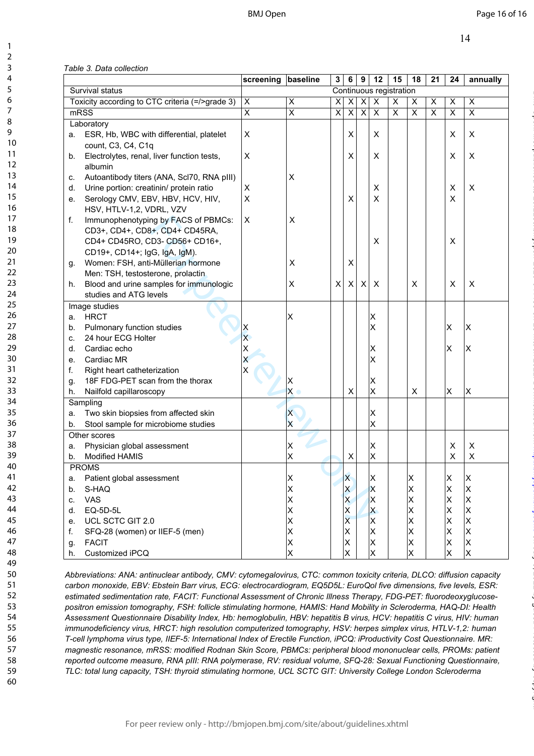|  | Table 3. Data collection |
|--|--------------------------|
|  |                          |

|                 |      |                                                 | screening | baseline                | 3 | 6                             | 9                       | 12                      | 15 | 18     | 21 | 24             | annually                                           |
|-----------------|------|-------------------------------------------------|-----------|-------------------------|---|-------------------------------|-------------------------|-------------------------|----|--------|----|----------------|----------------------------------------------------|
| Survival status |      |                                                 |           |                         |   |                               | Continuous registration |                         |    |        |    |                |                                                    |
|                 |      | Toxicity according to CTC criteria (=/>grade 3) | X         | $\pmb{\times}$          | х | X                             | $\pmb{\times}$          | $\pmb{\times}$          | X  | Χ      | X  | $\pmb{\times}$ | $\pmb{\times}$                                     |
|                 | mRSS |                                                 | X         | $\overline{\mathsf{x}}$ | X | $\times$                      | $\pmb{\times}$          | $\pmb{\times}$          | X  | X      | X  | X              | X                                                  |
|                 |      | Laboratory                                      |           |                         |   |                               |                         |                         |    |        |    |                |                                                    |
|                 |      | a. ESR, Hb, WBC with differential, platelet     | X         |                         |   | X                             |                         | X                       |    |        |    | X              | Χ                                                  |
|                 |      | count, C3, C4, C1q                              |           |                         |   |                               |                         |                         |    |        |    |                |                                                    |
|                 | b.   | Electrolytes, renal, liver function tests,      | X         |                         |   | X                             |                         | X                       |    |        |    | X              | X                                                  |
|                 |      | albumin                                         |           |                         |   |                               |                         |                         |    |        |    |                |                                                    |
|                 | C.   | Autoantibody titers (ANA, Scl70, RNA pIII)      |           | X                       |   |                               |                         |                         |    |        |    |                |                                                    |
|                 | d.   | Urine portion: creatinin/ protein ratio         | X         |                         |   |                               |                         | X                       |    |        |    | X              | X                                                  |
|                 | е.   | Serology CMV, EBV, HBV, HCV, HIV,               | X         |                         |   | X                             |                         | X                       |    |        |    | X              |                                                    |
|                 |      | HSV, HTLV-1,2, VDRL, VZV                        |           |                         |   |                               |                         |                         |    |        |    |                |                                                    |
|                 | f.   | Immunophenotyping by FACS of PBMCs:             | X         | X                       |   |                               |                         |                         |    |        |    |                |                                                    |
|                 |      | CD3+, CD4+, CD8+, CD4+ CD45RA,                  |           |                         |   |                               |                         |                         |    |        |    |                |                                                    |
|                 |      | CD4+ CD45RO, CD3- CD56+ CD16+,                  |           |                         |   |                               |                         | X                       |    |        |    | X              |                                                    |
|                 |      | CD19+, CD14+; IgG, IgA, IgM).                   |           |                         |   |                               |                         |                         |    |        |    |                |                                                    |
|                 | g.   | Women: FSH, anti-Müllerian hormone              |           | X                       |   | Χ                             |                         |                         |    |        |    |                |                                                    |
|                 |      | Men: TSH, testosterone, prolactin               |           |                         |   |                               |                         |                         |    |        |    |                |                                                    |
|                 | h.   | Blood and urine samples for immunologic         |           | X                       | X | X                             | X                       | X                       |    | X      |    | X              | X                                                  |
|                 |      | studies and ATG levels                          |           |                         |   |                               |                         |                         |    |        |    |                |                                                    |
|                 |      | Image studies                                   |           |                         |   |                               |                         |                         |    |        |    |                |                                                    |
|                 | a.   | <b>HRCT</b>                                     |           | ΙX                      |   |                               |                         | ΙX                      |    |        |    |                |                                                    |
|                 | b.   | Pulmonary function studies                      |           |                         |   |                               |                         | $\overline{\mathsf{x}}$ |    |        |    | X              | X                                                  |
|                 | C.   | 24 hour ECG Holter                              |           |                         |   |                               |                         |                         |    |        |    |                |                                                    |
|                 | d.   | Cardiac echo                                    |           |                         |   |                               |                         | ΙX                      |    |        |    | X              | X                                                  |
|                 | е.   | Cardiac MR                                      |           |                         |   |                               |                         | $\times$                |    |        |    |                |                                                    |
|                 | f.   | Right heart catheterization                     |           |                         |   |                               |                         |                         |    |        |    |                |                                                    |
|                 | g.   | 18F FDG-PET scan from the thorax                |           | х                       |   |                               |                         | ΙX                      |    |        |    |                |                                                    |
|                 | h.   | Nailfold capillaroscopy                         |           | X                       |   | X                             |                         | X                       |    | X      |    | X              | X                                                  |
|                 |      | Sampling                                        |           |                         |   |                               |                         |                         |    |        |    |                |                                                    |
|                 | а.   | Two skin biopsies from affected skin            |           | X                       |   |                               |                         | X                       |    |        |    |                |                                                    |
|                 | b.   | Stool sample for microbiome studies             |           | Χ                       |   |                               |                         | X                       |    |        |    |                |                                                    |
|                 |      | Other scores                                    |           |                         |   |                               |                         |                         |    |        |    |                |                                                    |
|                 | a.   | Physician global assessment                     |           | Х                       |   |                               |                         | ΙX                      |    |        |    | X              | X                                                  |
|                 | b.   | <b>Modified HAMIS</b>                           |           | Χ                       |   | X                             |                         | Ιx                      |    |        |    | X              | $\pmb{\times}$                                     |
|                 |      | <b>PROMS</b>                                    |           |                         |   |                               |                         |                         |    |        |    |                |                                                    |
|                 | a.   | Patient global assessment                       |           | ΙX                      |   | ΙX                            |                         | ΙX                      |    | ΙX     |    | ΙX             | ΙX                                                 |
|                 | b.   | S-HAQ                                           |           | ΙX                      |   | $\mathsf{x}$                  |                         | X                       |    | Χ      |    | x              | x                                                  |
|                 | C.   | VAS                                             |           | Χ                       |   | $\overline{\mathsf{x}}$       |                         | ΙX                      |    | Χ      |    | X.             | $\mathsf{\overline{x}}$                            |
|                 | d.   | EQ-5D-5L                                        |           | Χ                       |   | ΙX<br>$\overline{\mathsf{x}}$ |                         | <b>X</b>                |    | Χ      |    | X.             | $\boldsymbol{\mathsf{x}}$                          |
|                 | е.   | UCL SCTC GIT 2.0                                |           | Χ                       |   |                               |                         | ΙX<br>Ιx                |    | X      |    | X.             | $\mathsf{\overline{x}}$<br>$\mathsf{\overline{x}}$ |
|                 | f.   | SFQ-28 (women) or IIEF-5 (men)                  |           | ΙX                      |   | ΙX                            |                         | ΙX                      |    | Χ      |    | X.<br>X.       | x                                                  |
|                 | g.   | <b>FACIT</b><br>Customized iPCQ                 |           | ΙX<br>Ιx                |   | ΙX<br>Χ                       |                         | Ιx                      |    | Χ<br>X |    | X              | $\mathsf{\overline{X}}$                            |
|                 | h.   |                                                 |           |                         |   |                               |                         |                         |    |        |    |                |                                                    |

*Abbreviations: ANA: antinuclear antibody, CMV: cytomegalovirus, CTC: common toxicity criteria, DLCO: diffusion capacity carbon monoxide, EBV: Ebstein Barr virus, ECG: electrocardiogram, EQ5D5L: EuroQol five dimensions, five levels, ESR: estimated sedimentation rate, FACIT: Functional Assessment of Chronic Illness Therapy, FDG-PET: fluorodeoxyglucosepositron emission tomography, FSH: follicle stimulating hormone, HAMIS: Hand Mobility in Scleroderma, HAQ-DI: Health Assessment Questionnaire Disability Index, Hb: hemoglobulin, HBV: hepatitis B virus, HCV: hepatitis C virus, HIV: human immunodeficiency virus, HRCT: high resolution computerized tomography, HSV: herpes simplex virus, HTLV-1,2: human T-cell lymphoma virus type, IIEF-5: International Index of Erectile Function, iPCQ: iProductivity Cost Questionnaire. MR: magnestic resonance, mRSS: modified Rodnan Skin Score, PBMCs: peripheral blood mononuclear cells, PROMs: patient reported outcome measure, RNA pIII: RNA polymerase, RV: residual volume, SFQ-28: Sexual Functioning Questionnaire, TLC: total lung capacity, TSH: thyroid stimulating hormone, UCL SCTC GIT: University College London Scleroderma*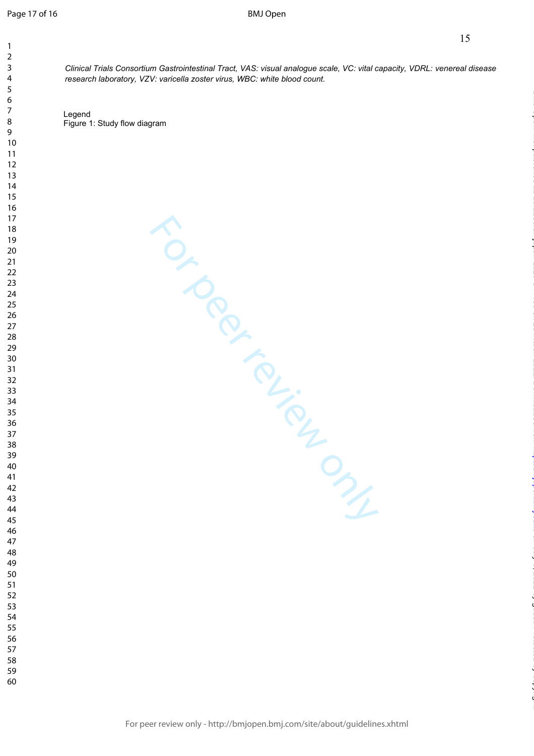$\mathbf{1}$  $\overline{2}$  $\overline{3}$  $\overline{4}$  $\overline{7}$ 

*Clinical Trials Consortium Gastrointestinal Tract, VAS: visual analogue scale, VC: vital capacity, VDRL: venereal disease research laboratory, VZV: varicella zoster virus, WBC: white blood count.* 

Legend Figure 1: Study flow diagram

on July 5, 2022 by guest. Protected by copyright. <http://bmjopen.bmj.com/> BMJ Open: first published as 10.1136/bmjopen-2020-044483 on 18 March 2021. Downloaded from

TO CRACK TONY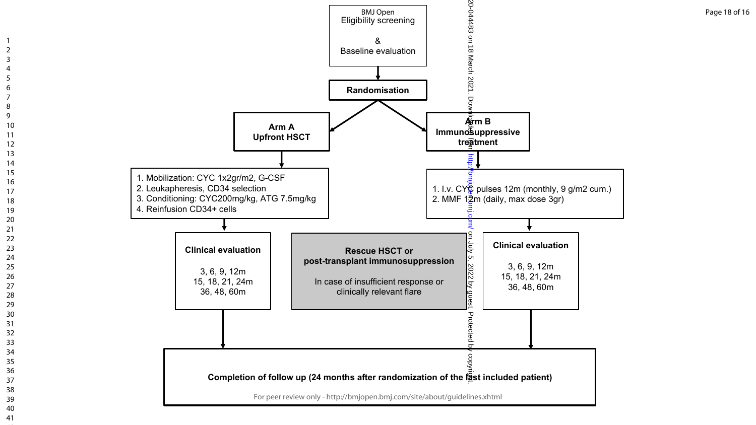

 $\overline{1}$  $\overline{2}$  $\overline{3}$  $\overline{4}$ 5 6  $\overline{7}$ 8  $\overline{9}$ 

Page 18 of 16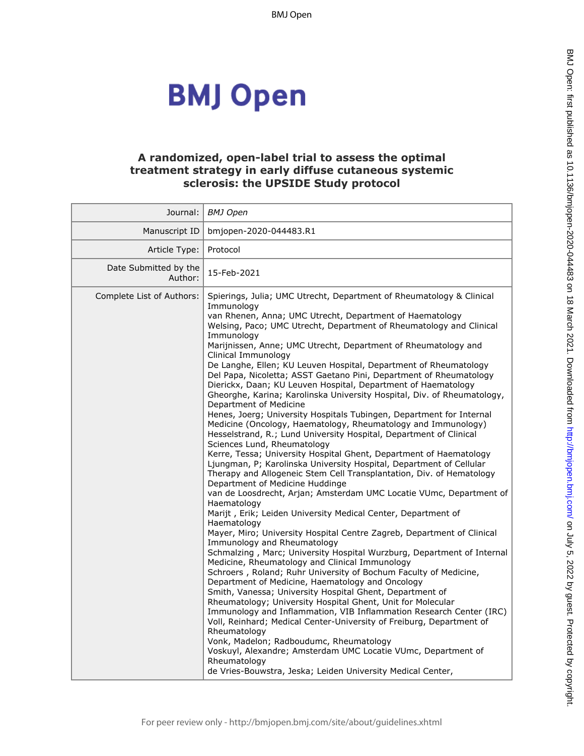# **BMJ Open**

### **A randomized, open-label trial to assess the optimal treatment strategy in early diffuse cutaneous systemic sclerosis: the UPSIDE Study protocol**

| Journal:                         | BMJ Open                                                                                                                                                                                                                                                                                                                                                                                                                                                                                                                                                                                                                                                                                                                                                                                                                                                                                                                                                                                                                                                                                                                                                                                                                                                                                                                                                                                                                                                                                                                                                                                                                                                                                                                                                                                                                                                                                                                                                                                                                                                                                                                                                                   |
|----------------------------------|----------------------------------------------------------------------------------------------------------------------------------------------------------------------------------------------------------------------------------------------------------------------------------------------------------------------------------------------------------------------------------------------------------------------------------------------------------------------------------------------------------------------------------------------------------------------------------------------------------------------------------------------------------------------------------------------------------------------------------------------------------------------------------------------------------------------------------------------------------------------------------------------------------------------------------------------------------------------------------------------------------------------------------------------------------------------------------------------------------------------------------------------------------------------------------------------------------------------------------------------------------------------------------------------------------------------------------------------------------------------------------------------------------------------------------------------------------------------------------------------------------------------------------------------------------------------------------------------------------------------------------------------------------------------------------------------------------------------------------------------------------------------------------------------------------------------------------------------------------------------------------------------------------------------------------------------------------------------------------------------------------------------------------------------------------------------------------------------------------------------------------------------------------------------------|
| Manuscript ID                    | bmjopen-2020-044483.R1                                                                                                                                                                                                                                                                                                                                                                                                                                                                                                                                                                                                                                                                                                                                                                                                                                                                                                                                                                                                                                                                                                                                                                                                                                                                                                                                                                                                                                                                                                                                                                                                                                                                                                                                                                                                                                                                                                                                                                                                                                                                                                                                                     |
| Article Type:                    | Protocol                                                                                                                                                                                                                                                                                                                                                                                                                                                                                                                                                                                                                                                                                                                                                                                                                                                                                                                                                                                                                                                                                                                                                                                                                                                                                                                                                                                                                                                                                                                                                                                                                                                                                                                                                                                                                                                                                                                                                                                                                                                                                                                                                                   |
| Date Submitted by the<br>Author: | 15-Feb-2021                                                                                                                                                                                                                                                                                                                                                                                                                                                                                                                                                                                                                                                                                                                                                                                                                                                                                                                                                                                                                                                                                                                                                                                                                                                                                                                                                                                                                                                                                                                                                                                                                                                                                                                                                                                                                                                                                                                                                                                                                                                                                                                                                                |
| Complete List of Authors:        | Spierings, Julia; UMC Utrecht, Department of Rheumatology & Clinical<br>Immunology<br>van Rhenen, Anna; UMC Utrecht, Department of Haematology<br>Welsing, Paco; UMC Utrecht, Department of Rheumatology and Clinical<br>Immunology<br>Marijnissen, Anne; UMC Utrecht, Department of Rheumatology and<br>Clinical Immunology<br>De Langhe, Ellen; KU Leuven Hospital, Department of Rheumatology<br>Del Papa, Nicoletta; ASST Gaetano Pini, Department of Rheumatology<br>Dierickx, Daan; KU Leuven Hospital, Department of Haematology<br>Gheorghe, Karina; Karolinska University Hospital, Div. of Rheumatology,<br>Department of Medicine<br>Henes, Joerg; University Hospitals Tubingen, Department for Internal<br>Medicine (Oncology, Haematology, Rheumatology and Immunology)<br>Hesselstrand, R.; Lund University Hospital, Department of Clinical<br>Sciences Lund, Rheumatology<br>Kerre, Tessa; University Hospital Ghent, Department of Haematology<br>Ljungman, P; Karolinska University Hospital, Department of Cellular<br>Therapy and Allogeneic Stem Cell Transplantation, Div. of Hematology<br>Department of Medicine Huddinge<br>van de Loosdrecht, Arjan; Amsterdam UMC Locatie VUmc, Department of<br>Haematology<br>Marijt, Erik; Leiden University Medical Center, Department of<br>Haematology<br>Mayer, Miro; University Hospital Centre Zagreb, Department of Clinical<br>Immunology and Rheumatology<br>Schmalzing, Marc; University Hospital Wurzburg, Department of Internal<br>Medicine, Rheumatology and Clinical Immunology<br>Schroers, Roland; Ruhr University of Bochum Faculty of Medicine,<br>Department of Medicine, Haematology and Oncology<br>Smith, Vanessa; University Hospital Ghent, Department of<br>Rheumatology; University Hospital Ghent, Unit for Molecular<br>Immunology and Inflammation, VIB Inflammation Research Center (IRC)<br>Voll, Reinhard; Medical Center-University of Freiburg, Department of<br>Rheumatology<br>Vonk, Madelon; Radboudumc, Rheumatology<br>Voskuyl, Alexandre; Amsterdam UMC Locatie VUmc, Department of<br>Rheumatology<br>de Vries-Bouwstra, Jeska; Leiden University Medical Center, |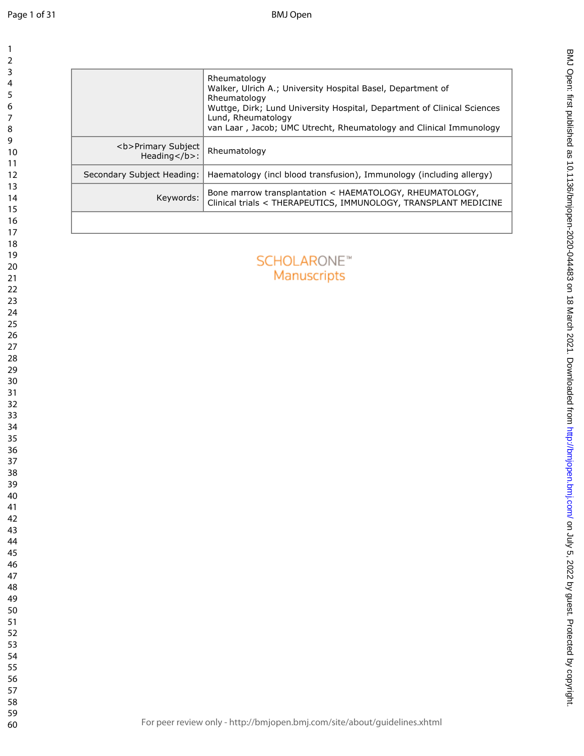| Rheumatology<br>Walker, Ulrich A.; University Hospital Basel, Department of<br>Rheumatology<br>Wuttge, Dirk; Lund University Hospital, Department of Clinical Sciences<br>Lund, Rheumatology<br>van Laar, Jacob; UMC Utrecht, Rheumatology and Clinical Immunology<br><b>Primary Subject<br/>Rheumatology<br/>Heading</b> :<br>Secondary Subject Heading:<br>Haematology (incl blood transfusion), Immunology (including allergy)<br>Bone marrow transplantation < HAEMATOLOGY, RHEUMATOLOGY,<br>Keywords:<br><b>SCHOLARONE™</b><br>Manuscripts |                                                                 |
|-------------------------------------------------------------------------------------------------------------------------------------------------------------------------------------------------------------------------------------------------------------------------------------------------------------------------------------------------------------------------------------------------------------------------------------------------------------------------------------------------------------------------------------------------|-----------------------------------------------------------------|
|                                                                                                                                                                                                                                                                                                                                                                                                                                                                                                                                                 |                                                                 |
|                                                                                                                                                                                                                                                                                                                                                                                                                                                                                                                                                 |                                                                 |
|                                                                                                                                                                                                                                                                                                                                                                                                                                                                                                                                                 |                                                                 |
|                                                                                                                                                                                                                                                                                                                                                                                                                                                                                                                                                 | Clinical trials < THERAPEUTICS, IMMUNOLOGY, TRANSPLANT MEDICINE |
|                                                                                                                                                                                                                                                                                                                                                                                                                                                                                                                                                 |                                                                 |
|                                                                                                                                                                                                                                                                                                                                                                                                                                                                                                                                                 |                                                                 |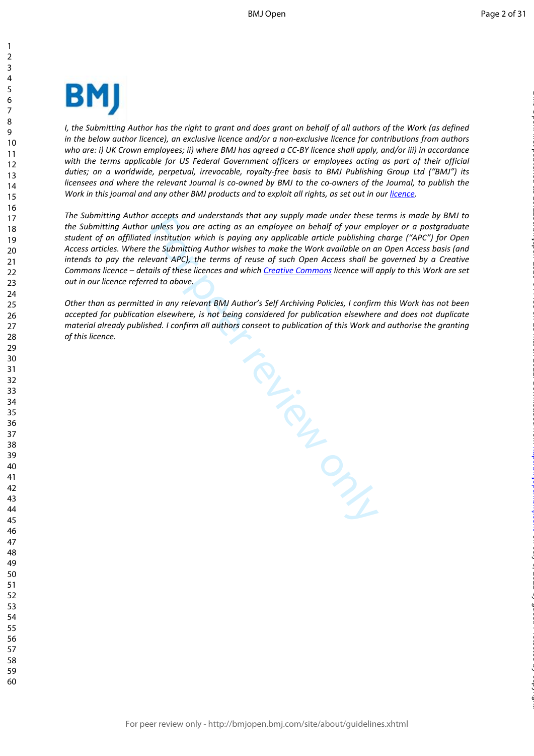

*I*, the Submitting Author has the right to grant and does grant on behalf of all authors of the Work (as defined *in the below author licence), an exclusive licence and/or a non-exclusive licence for contributions from authors who are: i) UK Crown employees; ii) where BMJ has agreed a CC-BY licence shall apply, and/or iii) in accordance with the terms applicable for US Federal Government officers or employees acting as part of their official duties; on a worldwide, perpetual, irrevocable, royalty-free basis to BMJ Publishing Group Ltd ("BMJ") its licensees and where the relevant Journal is co-owned by BMJ to the co-owners of the Journal, to publish the*  Work in this journal and any other BMJ products and to exploit all rights, as set out in our *[licence](https://authors.bmj.com/wp-content/uploads/2018/11/BMJ_Journals_Combined_Author_Licence_2018.pdf)*.

*The Submitting Author accepts and understands that any supply made under these terms is made by BMJ to the Submitting Author unless you are acting as an employee on behalf of your employer or a postgraduate student of an affiliated institution which is paying any applicable article publishing charge ("APC") for Open Access articles. Where the Submitting Author wishes to make the Work available on an Open Access basis (and intends to pay the relevant APC), the terms of reuse of such Open Access shall be governed by a Creative Commons licence – details of these licences and which Creative Commons licence will apply to this Work are set out in our licence referred to above.* 

*Other than as permitted in any relevant BMJ Author's Self Archiving Policies, I confirm this Work has not been accepted for publication elsewhere, is not being considered for publication elsewhere and does not duplicate material already published. I confirm all authors consent to publication of this Work and authorise the granting of this licence.*

For Prince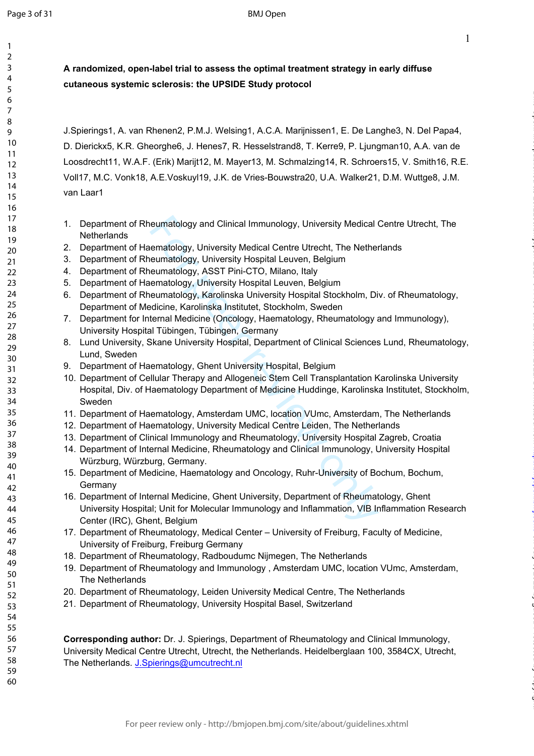$\mathbf{1}$  $\overline{2}$  $\overline{3}$  $\overline{4}$ 5 6  $\overline{7}$ 8  $\mathsf{Q}$ 

1

on July 5, 2022 by guest. Protected by copyright. <http://bmjopen.bmj.com/> BMJ Open: first published as 10.1136/bmjopen-2020-044483 on 18 March 2021. Downloaded from

**A randomized, open-label trial to assess the optimal treatment strategy in early diffuse cutaneous systemic sclerosis: the UPSIDE Study protocol**

J.Spierings1, A. van Rhenen2, P.M.J. Welsing1, A.C.A. Marijnissen1, E. De Langhe3, N. Del Papa4, D. Dierickx5, K.R. Gheorghe6, J. Henes7, R. Hesselstrand8, T. Kerre9, P. Ljungman10, A.A. van de Loosdrecht11, W.A.F. (Erik) Marijt12, M. Mayer13, M. Schmalzing14, R. Schroers15, V. Smith16, R.E. Voll17, M.C. Vonk18, A.E.Voskuyl19, J.K. de Vries-Bouwstra20, U.A. Walker21, D.M. Wuttge8, J.M. van Laar1

- 1. Department of Rheumatology and Clinical Immunology, University Medical Centre Utrecht, The **Netherlands**
- 2. Department of Haematology, University Medical Centre Utrecht, The Netherlands
- 3. Department of Rheumatology, University Hospital Leuven, Belgium
- 4. Department of Rheumatology, ASST Pini-CTO, Milano, Italy
- 5. Department of Haematology, University Hospital Leuven, Belgium
- 6. Department of Rheumatology, Karolinska University Hospital Stockholm, Div. of Rheumatology, Department of Medicine, Karolinska Institutet, Stockholm, Sweden
- 7. Department for Internal Medicine (Oncology, Haematology, Rheumatology and Immunology), University Hospital Tübingen, Tübingen, Germany
- 8. Lund University, Skane University Hospital, Department of Clinical Sciences Lund, Rheumatology, Lund, Sweden
- 9. Department of Haematology, Ghent University Hospital, Belgium
- eumatology and Clinical Immunology, University Medical eematology, University Medical Centre Utrecht, The Nether<br>eumatology, University Hospital Leuven, Belgium<br>eumatology, ASST Pini-CTO, Milano, Italy<br>ematology, ASST Pini 10. Department of Cellular Therapy and Allogeneic Stem Cell Transplantation Karolinska University Hospital, Div. of Haematology Department of Medicine Huddinge, Karolinska Institutet, Stockholm, Sweden
- 11. Department of Haematology, Amsterdam UMC, location VUmc, Amsterdam, The Netherlands
- 12. Department of Haematology, University Medical Centre Leiden, The Netherlands
- 13. Department of Clinical Immunology and Rheumatology, University Hospital Zagreb, Croatia
- 14. Department of Internal Medicine, Rheumatology and Clinical Immunology, University Hospital Würzburg, Würzburg, Germany.
- 15. Department of Medicine, Haematology and Oncology, Ruhr-University of Bochum, Bochum, **Germany**
- 16. Department of Internal Medicine, Ghent University, Department of Rheumatology, Ghent University Hospital; Unit for Molecular Immunology and Inflammation, VIB Inflammation Research Center (IRC), Ghent, Belgium
- 17. Department of Rheumatology, Medical Center University of Freiburg, Faculty of Medicine, University of Freiburg, Freiburg Germany
- 18. Department of Rheumatology, Radboudumc Nijmegen, The Netherlands
- 19. Department of Rheumatology and Immunology , Amsterdam UMC, location VUmc, Amsterdam, The Netherlands
- 20. Department of Rheumatology, Leiden University Medical Centre, The Netherlands
- 21. Department of Rheumatology, University Hospital Basel, Switzerland

**Corresponding author:** Dr. J. Spierings, Department of Rheumatology and Clinical Immunology, University Medical Centre Utrecht, Utrecht, the Netherlands. Heidelberglaan 100, 3584CX, Utrecht, The Netherlands. [J.Spierings@umcutrecht.nl](mailto:J.Spierings@umcutrecht.nl)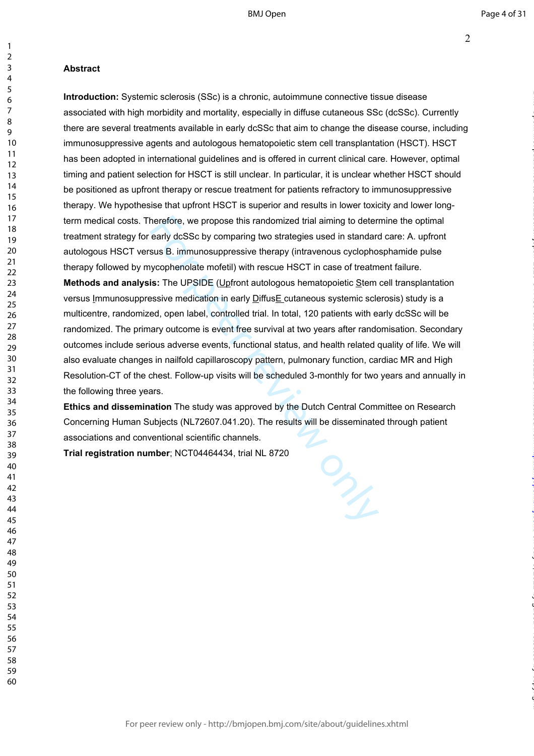$\mathbf{1}$ 

### **Abstract**

herefore, we propose this randomized trial aiming to deter<br>early dcSSc by comparing two strategies used in standard<br>sus B. immunosuppressive therapy (intravenous cyclopho<br>ycophenolate mofetil) with rescue HSCT in case of t **Introduction:** Systemic sclerosis (SSc) is a chronic, autoimmune connective tissue disease associated with high morbidity and mortality, especially in diffuse cutaneous SSc (dcSSc). Currently there are several treatments available in early dcSSc that aim to change the disease course, including immunosuppressive agents and autologous hematopoietic stem cell transplantation (HSCT). HSCT has been adopted in international guidelines and is offered in current clinical care. However, optimal timing and patient selection for HSCT is still unclear. In particular, it is unclear whether HSCT should be positioned as upfront therapy or rescue treatment for patients refractory to immunosuppressive therapy. We hypothesise that upfront HSCT is superior and results in lower toxicity and lower longterm medical costs. Therefore, we propose this randomized trial aiming to determine the optimal treatment strategy for early dcSSc by comparing two strategies used in standard care: A. upfront autologous HSCT versus B. immunosuppressive therapy (intravenous cyclophosphamide pulse therapy followed by mycophenolate mofetil) with rescue HSCT in case of treatment failure. **Methods and analysis:** The UPSIDE (Upfront autologous hematopoietic Stem cell transplantation versus Immunosuppressive medication in early DiffusE cutaneous systemic sclerosis) study is a multicentre, randomized, open label, controlled trial. In total, 120 patients with early dcSSc will be randomized. The primary outcome is event free survival at two years after randomisation. Secondary outcomes include serious adverse events, functional status, and health related quality of life. We will also evaluate changes in nailfold capillaroscopy pattern, pulmonary function, cardiac MR and High Resolution-CT of the chest. Follow-up visits will be scheduled 3-monthly for two years and annually in the following three years.

**Ethics and dissemination** The study was approved by the Dutch Central Committee on Research Concerning Human Subjects (NL72607.041.20). The results will be disseminated through patient associations and conventional scientific channels.

**Trial registration number**; NCT04464434, trial NL 8720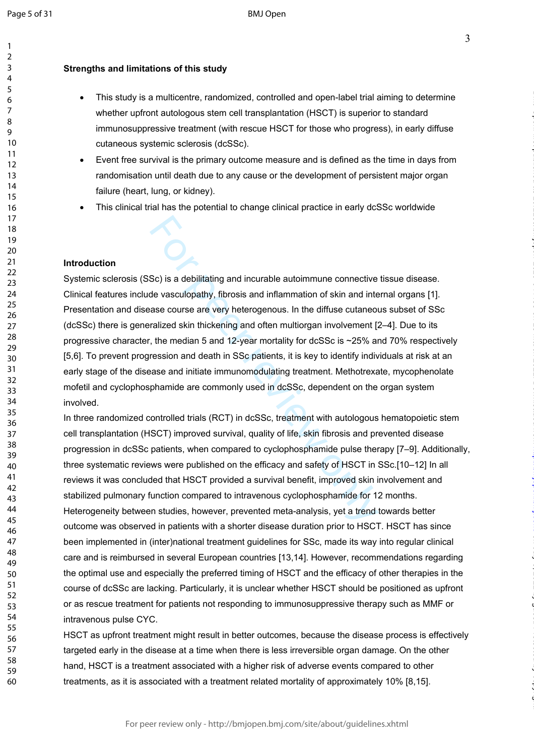$\mathbf{1}$  $\overline{2}$  $\overline{3}$  $\overline{4}$ 5 6  $\overline{7}$ 8 q

### **Strengths and limitations of this study**

- This study is a multicentre, randomized, controlled and open-label trial aiming to determine whether upfront autologous stem cell transplantation (HSCT) is superior to standard immunosuppressive treatment (with rescue HSCT for those who progress), in early diffuse cutaneous systemic sclerosis (dcSSc).
- Event free survival is the primary outcome measure and is defined as the time in days from randomisation until death due to any cause or the development of persistent major organ failure (heart, lung, or kidney).
- This clinical trial has the potential to change clinical practice in early dcSSc worldwide

### **Introduction**

Sc) is a debilitating and incurable autoimmune connective<br>de vasculopathy, fibrosis and inflammation of skin and inte<br>ase course are very heterogenous. In the diffuse cutaneou<br>ralized skin thickening and often multiorgan i Systemic sclerosis (SSc) is a debilitating and incurable autoimmune connective tissue disease. Clinical features include vasculopathy, fibrosis and inflammation of skin and internal organs [1]. Presentation and disease course are very heterogenous. In the diffuse cutaneous subset of SSc (dcSSc) there is generalized skin thickening and often multiorgan involvement [2–4]. Due to its progressive character, the median 5 and 12-year mortality for dcSSc is ~25% and 70% respectively [5,6]. To prevent progression and death in SSc patients, it is key to identify individuals at risk at an early stage of the disease and initiate immunomodulating treatment. Methotrexate, mycophenolate mofetil and cyclophosphamide are commonly used in dcSSc, dependent on the organ system involved.

In three randomized controlled trials (RCT) in dcSSc, treatment with autologous hematopoietic stem cell transplantation (HSCT) improved survival, quality of life, skin fibrosis and prevented disease progression in dcSSc patients, when compared to cyclophosphamide pulse therapy [7–9]. Additionally, three systematic reviews were published on the efficacy and safety of HSCT in SSc.[10–12] In all reviews it was concluded that HSCT provided a survival benefit, improved skin involvement and stabilized pulmonary function compared to intravenous cyclophosphamide for 12 months. Heterogeneity between studies, however, prevented meta-analysis, yet a trend towards better outcome was observed in patients with a shorter disease duration prior to HSCT. HSCT has since been implemented in (inter)national treatment guidelines for SSc, made its way into regular clinical care and is reimbursed in several European countries [13,14]. However, recommendations regarding the optimal use and especially the preferred timing of HSCT and the efficacy of other therapies in the course of dcSSc are lacking. Particularly, it is unclear whether HSCT should be positioned as upfront or as rescue treatment for patients not responding to immunosuppressive therapy such as MMF or intravenous pulse CYC.

HSCT as upfront treatment might result in better outcomes, because the disease process is effectively targeted early in the disease at a time when there is less irreversible organ damage. On the other hand, HSCT is a treatment associated with a higher risk of adverse events compared to other treatments, as it is associated with a treatment related mortality of approximately 10% [8,15].

on July 5, 2022 by guest. Protected by copyright. <http://bmjopen.bmj.com/> BMJ Open: first published as 10.1136/bmjopen-2020-044483 on 18 March 2021. Downloaded from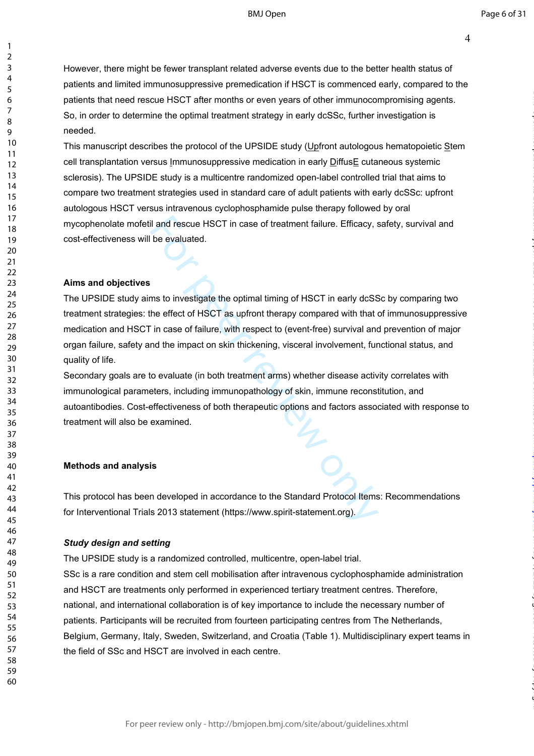BMJ Open

on July 5, 2022 by guest. Protected by copyright. <http://bmjopen.bmj.com/> BMJ Open: first published as 10.1136/bmjopen-2020-044483 on 18 March 2021. Downloaded from

4

However, there might be fewer transplant related adverse events due to the better health status of patients and limited immunosuppressive premedication if HSCT is commenced early, compared to the patients that need rescue HSCT after months or even years of other immunocompromising agents. So, in order to determine the optimal treatment strategy in early dcSSc, further investigation is needed.

This manuscript describes the protocol of the UPSIDE study (Upfront autologous hematopoietic Stem cell transplantation versus Immunosuppressive medication in early DiffusE cutaneous systemic sclerosis). The UPSIDE study is a multicentre randomized open-label controlled trial that aims to compare two treatment strategies used in standard care of adult patients with early dcSSc: upfront autologous HSCT versus intravenous cyclophosphamide pulse therapy followed by oral mycophenolate mofetil and rescue HSCT in case of treatment failure. Efficacy, safety, survival and cost-effectiveness will be evaluated.

### **Aims and objectives**

123456789

 $\mathbf{1}$  $\overline{2}$  $\overline{3}$  $\overline{4}$ 5 6  $\overline{7}$ 8  $\mathsf{o}$ 

il and rescue HSCT in case of treatment failure. Efficacy, s<br>be evaluated.<br>This to investigate the optimal timing of HSCT in early dcSS<br>the effect of HSCT as upfront therapy compared with that<br>in case of failure, with resp The UPSIDE study aims to investigate the optimal timing of HSCT in early dcSSc by comparing two treatment strategies: the effect of HSCT as upfront therapy compared with that of immunosuppressive medication and HSCT in case of failure, with respect to (event-free) survival and prevention of major organ failure, safety and the impact on skin thickening, visceral involvement, functional status, and quality of life.

Secondary goals are to evaluate (in both treatment arms) whether disease activity correlates with immunological parameters, including immunopathology of skin, immune reconstitution, and autoantibodies. Cost-effectiveness of both therapeutic options and factors associated with response to treatment will also be examined.

### **Methods and analysis**

This protocol has been developed in accordance to the Standard Protocol Items: Recommendations for Interventional Trials 2013 statement (https://www.spirit-statement.org).

### *Study design and setting*

The UPSIDE study is a randomized controlled, multicentre, open-label trial. SSc is a rare condition and stem cell mobilisation after intravenous cyclophosphamide administration and HSCT are treatments only performed in experienced tertiary treatment centres. Therefore, national, and international collaboration is of key importance to include the necessary number of patients. Participants will be recruited from fourteen participating centres from The Netherlands, Belgium, Germany, Italy, Sweden, Switzerland, and Croatia (Table 1). Multidisciplinary expert teams in the field of SSc and HSCT are involved in each centre.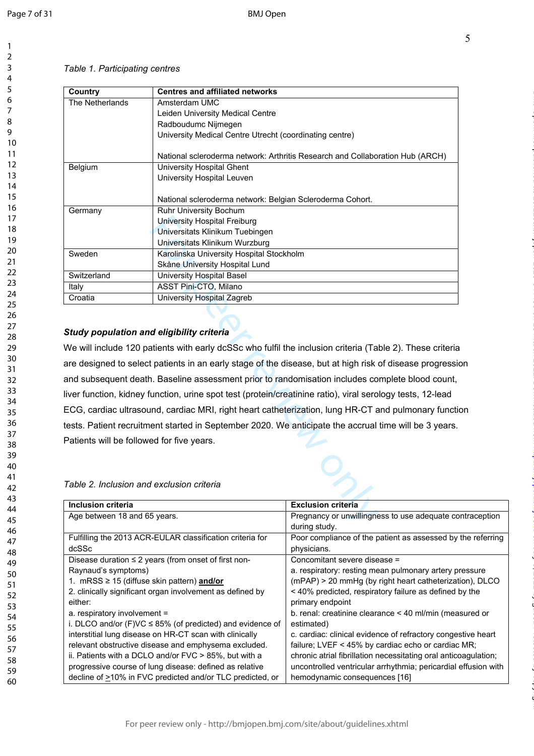$\mathbf{1}$  $\overline{2}$ 3  $\overline{4}$ 5 6  $\overline{7}$ 8 9

### *Table 1. Participating centres*

| Country         | <b>Centres and affiliated networks</b>                                        |
|-----------------|-------------------------------------------------------------------------------|
| The Netherlands | Amsterdam UMC                                                                 |
|                 | Leiden University Medical Centre                                              |
|                 | Radboudumc Nijmegen                                                           |
|                 | University Medical Centre Utrecht (coordinating centre)                       |
|                 | National scleroderma network: Arthritis Research and Collaboration Hub (ARCH) |
| <b>Belgium</b>  | University Hospital Ghent                                                     |
|                 | University Hospital Leuven                                                    |
|                 |                                                                               |
|                 | National scleroderma network: Belgian Scleroderma Cohort.                     |
| Germany         | Ruhr University Bochum                                                        |
|                 | University Hospital Freiburg                                                  |
|                 | Universitats Klinikum Tuebingen                                               |
|                 | Universitats Klinikum Wurzburg                                                |
| Sweden          | Karolinska University Hospital Stockholm                                      |
|                 | Skåne University Hospital Lund                                                |
| Switzerland     | University Hospital Basel                                                     |
| Italy           | ASST Pini-CTO, Milano                                                         |
| Croatia         | University Hospital Zagreb                                                    |
|                 |                                                                               |

### *Study population and eligibility criteria*

University Hospital Freiburg<br>
Universitats Klinikum Tuebingen<br>
Universitats Klinikum Wurzburg<br>
Exarcinska University Hospital Stockholm<br>
Skåne University Hospital Lund<br>
University Hospital Basel<br>
ASST Pini-CTO, Milano<br>
Uni We will include 120 patients with early dcSSc who fulfil the inclusion criteria (Table 2). These criteria are designed to select patients in an early stage of the disease, but at high risk of disease progression and subsequent death. Baseline assessment prior to randomisation includes complete blood count, liver function, kidney function, urine spot test (protein/creatinine ratio), viral serology tests, 12-lead ECG, cardiac ultrasound, cardiac MRI, right heart catheterization, lung HR-CT and pulmonary function tests. Patient recruitment started in September 2020. We anticipate the accrual time will be 3 years. Patients will be followed for five years.

### *Table 2. Inclusion and exclusion criteria*

| <b>Inclusion criteria</b>                                       | <b>Exclusion criteria</b>                                       |
|-----------------------------------------------------------------|-----------------------------------------------------------------|
| Age between 18 and 65 years.                                    | Pregnancy or unwillingness to use adequate contraception        |
|                                                                 | during study.                                                   |
| Fulfilling the 2013 ACR-EULAR classification criteria for       | Poor compliance of the patient as assessed by the referring     |
| dcSSc                                                           | physicians.                                                     |
| Disease duration $\leq$ 2 years (from onset of first non-       | Concomitant severe disease =                                    |
| Raynaud's symptoms)                                             | a. respiratory: resting mean pulmonary artery pressure          |
| 1. mRSS $\geq$ 15 (diffuse skin pattern) and/or                 | (mPAP) > 20 mmHg (by right heart catheterization), DLCO         |
| 2. clinically significant organ involvement as defined by       | < 40% predicted, respiratory failure as defined by the          |
| either:                                                         | primary endpoint                                                |
| a. respiratory involvement =                                    | b. renal: creatinine clearance $\leq$ 40 ml/min (measured or    |
| i. DLCO and/or $(F)VC \leq 85\%$ (of predicted) and evidence of | estimated)                                                      |
| interstitial lung disease on HR-CT scan with clinically         | c. cardiac: clinical evidence of refractory congestive heart    |
| relevant obstructive disease and emphysema excluded.            | failure; LVEF < 45% by cardiac echo or cardiac MR;              |
| ii. Patients with a DCLO and/or FVC > 85%, but with a           | chronic atrial fibrillation necessitating oral anticoagulation; |
| progressive course of lung disease: defined as relative         | uncontrolled ventricular arrhythmia; pericardial effusion with  |
| decline of >10% in FVC predicted and/or TLC predicted, or       | hemodynamic consequences [16]                                   |

on July 5, 2022 by guest. Protected by copyright. <http://bmjopen.bmj.com/> BMJ Open: first published as 10.1136/bmjopen-2020-044483 on 18 March 2021. Downloaded from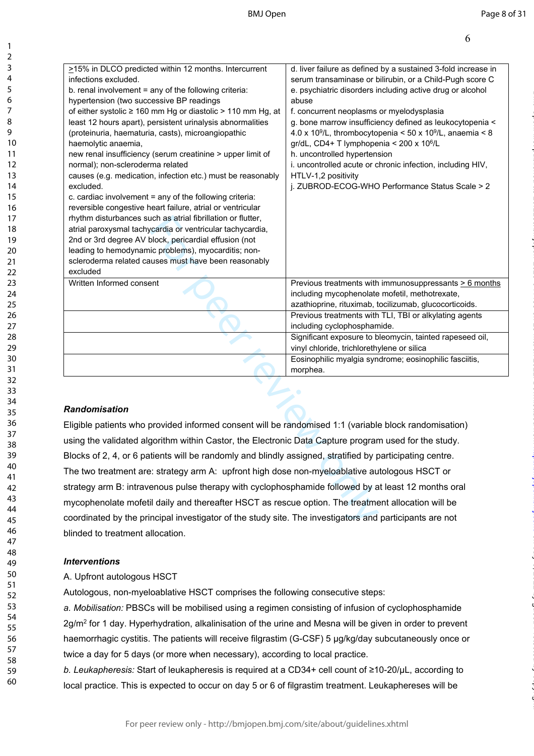| >15% in DLCO predicted within 12 months. Intercurrent                                                                 | d. liver failure as defined by a sustained 3-fold increase in                                            |
|-----------------------------------------------------------------------------------------------------------------------|----------------------------------------------------------------------------------------------------------|
| infections excluded.                                                                                                  | serum transaminase or bilirubin, or a Child-Pugh score C                                                 |
| b. renal involvement = any of the following criteria:<br>hypertension (two successive BP readings                     | e. psychiatric disorders including active drug or alcohol<br>abuse                                       |
| of either systolic ≥ 160 mm Hg or diastolic > 110 mm Hg, at                                                           | f. concurrent neoplasms or myelodysplasia                                                                |
| least 12 hours apart), persistent urinalysis abnormalities                                                            | g. bone marrow insufficiency defined as leukocytopenia <                                                 |
| (proteinuria, haematuria, casts), microangiopathic                                                                    | 4.0 x 10 <sup>9</sup> /L, thrombocytopenia < 50 x 10 <sup>9</sup> /L, anaemia < 8                        |
| haemolytic anaemia,                                                                                                   | gr/dL, CD4+ T lymphopenia < 200 x 10 <sup>6</sup> /L                                                     |
| new renal insufficiency (serum creatinine > upper limit of                                                            | h. uncontrolled hypertension                                                                             |
| normal); non-scleroderma related                                                                                      | i. uncontrolled acute or chronic infection, including HIV,                                               |
| causes (e.g. medication, infection etc.) must be reasonably                                                           | HTLV-1,2 positivity                                                                                      |
| excluded.                                                                                                             | j. ZUBROD-ECOG-WHO Performance Status Scale > 2                                                          |
| c. cardiac involvement = any of the following criteria:<br>reversible congestive heart failure, atrial or ventricular |                                                                                                          |
| rhythm disturbances such as atrial fibrillation or flutter,                                                           |                                                                                                          |
| atrial paroxysmal tachycardia or ventricular tachycardia,                                                             |                                                                                                          |
| 2nd or 3rd degree AV block, pericardial effusion (not                                                                 |                                                                                                          |
| leading to hemodynamic problems), myocarditis; non-                                                                   |                                                                                                          |
| scleroderma related causes must have been reasonably                                                                  |                                                                                                          |
| excluded                                                                                                              |                                                                                                          |
| Written Informed consent                                                                                              | Previous treatments with immunosuppressants $\geq 6$ months                                              |
|                                                                                                                       | including mycophenolate mofetil, methotrexate,<br>azathioprine, rituximab, tocilizumab, glucocorticoids. |
|                                                                                                                       | Previous treatments with TLI, TBI or alkylating agents                                                   |
|                                                                                                                       | including cyclophosphamide.                                                                              |
|                                                                                                                       | Significant exposure to bleomycin, tainted rapeseed oil,                                                 |
|                                                                                                                       | vinyl chloride, trichlorethylene or silica                                                               |
|                                                                                                                       | Eosinophilic myalgia syndrome; eosinophilic fasciitis,                                                   |
|                                                                                                                       | morphea.                                                                                                 |
|                                                                                                                       |                                                                                                          |
|                                                                                                                       |                                                                                                          |
| <b>Randomisation</b>                                                                                                  |                                                                                                          |
| Eligible patients who provided informed consent will be randomised 1:1 (variable block randomisation)                 |                                                                                                          |
| using the validated algorithm within Castor, the Electronic Data Capture program used for the study.                  |                                                                                                          |
| Blocks of 2, 4, or 6 patients will be randomly and blindly assigned, stratified by participating centre               |                                                                                                          |
| The two treatment are: strategy arm A: upfront high dose non-myeloablative autologous HSCT or                         |                                                                                                          |
| strategy arm B: intravenous pulse therapy with cyclophosphamide followed by at least 12 months oral                   |                                                                                                          |
|                                                                                                                       |                                                                                                          |
| mycophenolate mofetil daily and thereafter HSCT as rescue option. The treatment allocation will be                    |                                                                                                          |
| coordinated by the principal investigator of the study site. The investigators and participants are not               |                                                                                                          |
|                                                                                                                       |                                                                                                          |

### *Randomisation*

Eligible patients who provided informed consent will be randomised 1:1 (variable block randomisation) using the validated algorithm within Castor, the Electronic Data Capture program used for the study. Blocks of 2, 4, or 6 patients will be randomly and blindly assigned, stratified by participating centre. The two treatment are: strategy arm A: upfront high dose non-myeloablative autologous HSCT or strategy arm B: intravenous pulse therapy with cyclophosphamide followed by at least 12 months oral mycophenolate mofetil daily and thereafter HSCT as rescue option. The treatment allocation will be coordinated by the principal investigator of the study site. The investigators and participants are not blinded to treatment allocation.

### *Interventions*

A. Upfront autologous HSCT

Autologous, non-myeloablative HSCT comprises the following consecutive steps:

*a. Mobilisation:* PBSCs will be mobilised using a regimen consisting of infusion of cyclophosphamide 2g/m<sup>2</sup> for 1 day. Hyperhydration, alkalinisation of the urine and Mesna will be given in order to prevent haemorrhagic cystitis. The patients will receive filgrastim (G-CSF) 5 μg/kg/day subcutaneously once or twice a day for 5 days (or more when necessary), according to local practice.

*b. Leukapheresis:* Start of leukapheresis is required at a CD34+ cell count of ≥10-20/μL, according to local practice. This is expected to occur on day 5 or 6 of filgrastim treatment. Leukaphereses will be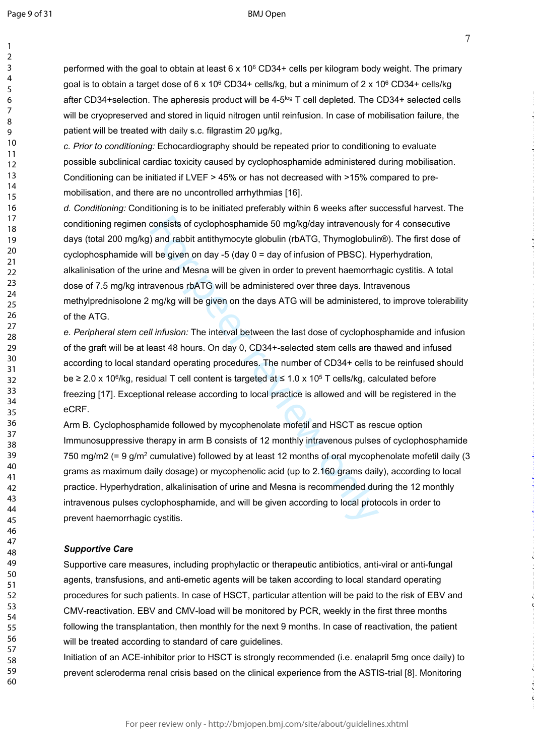$\mathbf{1}$ 

### BMJ Open

7

on July 5, 2022 by guest. Protected by copyright. <http://bmjopen.bmj.com/> BMJ Open: first published as 10.1136/bmjopen-2020-044483 on 18 March 2021. Downloaded from

performed with the goal to obtain at least 6 x 10<sup>6</sup> CD34+ cells per kilogram body weight. The primary goal is to obtain a target dose of 6 x 10<sup>6</sup> CD34+ cells/kg, but a minimum of 2 x 10<sup>6</sup> CD34+ cells/kg after CD34+selection. The apheresis product will be 4-5<sup>log</sup> T cell depleted. The CD34+ selected cells will be cryopreserved and stored in liquid nitrogen until reinfusion. In case of mobilisation failure, the patient will be treated with daily s.c. filgrastim 20 μg/kg,

*c. Prior to conditioning:* Echocardiography should be repeated prior to conditioning to evaluate possible subclinical cardiac toxicity caused by cyclophosphamide administered during mobilisation. Conditioning can be initiated if LVEF > 45% or has not decreased with >15% compared to premobilisation, and there are no uncontrolled arrhythmias [16].

consists of cyclophosphamide 50 mg/kg/day intravenously<br>and rabbit antithymocyte globulin (rbATG, Thymoglobulir<br>Il be given on day -5 (day 0 = day of infusion of PBSC). Hy<br>ine and Mesna will be given in order to prevent h *d. Conditioning:* Conditioning is to be initiated preferably within 6 weeks after successful harvest. The conditioning regimen consists of cyclophosphamide 50 mg/kg/day intravenously for 4 consecutive days (total 200 mg/kg) and rabbit antithymocyte globulin (rbATG, Thymoglobulin®). The first dose of cyclophosphamide will be given on day -5 (day 0 = day of infusion of PBSC). Hyperhydration, alkalinisation of the urine and Mesna will be given in order to prevent haemorrhagic cystitis. A total dose of 7.5 mg/kg intravenous rbATG will be administered over three days. Intravenous methylprednisolone 2 mg/kg will be given on the days ATG will be administered, to improve tolerability of the ATG.

*e. Peripheral stem cell infusion:* The interval between the last dose of cyclophosphamide and infusion of the graft will be at least 48 hours. On day 0, CD34+-selected stem cells are thawed and infused according to local standard operating procedures. The number of CD34+ cells to be reinfused should be ≥ 2.0 x 10<sup>6</sup>/kg, residual T cell content is targeted at ≤ 1.0 x 10<sup>5</sup> T cells/kg, calculated before freezing [17]. Exceptional release according to local practice is allowed and will be registered in the eCRF.

Arm B. Cyclophosphamide followed by mycophenolate mofetil and HSCT as rescue option Immunosuppressive therapy in arm B consists of 12 monthly intravenous pulses of cyclophosphamide 750 mg/m2 (= 9 g/m<sup>2</sup> cumulative) followed by at least 12 months of oral mycophenolate mofetil daily (3 grams as maximum daily dosage) or mycophenolic acid (up to 2.160 grams daily), according to local practice. Hyperhydration, alkalinisation of urine and Mesna is recommended during the 12 monthly intravenous pulses cyclophosphamide, and will be given according to local protocols in order to prevent haemorrhagic cystitis.

### *Supportive Care*

Supportive care measures, including prophylactic or therapeutic antibiotics, anti-viral or anti-fungal agents, transfusions, and anti-emetic agents will be taken according to local standard operating procedures for such patients. In case of HSCT, particular attention will be paid to the risk of EBV and CMV-reactivation. EBV and CMV-load will be monitored by PCR, weekly in the first three months following the transplantation, then monthly for the next 9 months. In case of reactivation, the patient will be treated according to standard of care guidelines.

Initiation of an ACE-inhibitor prior to HSCT is strongly recommended (i.e. enalapril 5mg once daily) to prevent scleroderma renal crisis based on the clinical experience from the ASTIS-trial [8]. Monitoring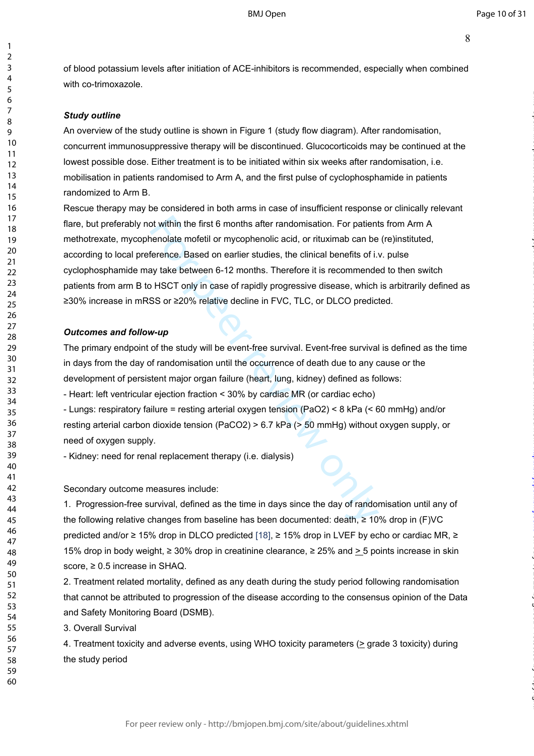of blood potassium levels after initiation of ACE-inhibitors is recommended, especially when combined with co-trimoxazole.

### *Study outline*

123456789

 $\mathbf{1}$  $\overline{2}$  $\overline{3}$  $\overline{4}$ 5 6  $\overline{7}$ 8 q

An overview of the study outline is shown in Figure 1 (study flow diagram). After randomisation, concurrent immunosuppressive therapy will be discontinued. Glucocorticoids may be continued at the lowest possible dose. Either treatment is to be initiated within six weeks after randomisation, i.e. mobilisation in patients randomised to Arm A, and the first pulse of cyclophosphamide in patients randomized to Arm B.

of within the first 6 months after randomisation. For patient<br>henolate mofetil or mycophenolic acid, or rituximab can be<br>ference. Based on earlier studies, the clinical benefits of i.v<br>ay take between 6-12 months. Therefo Rescue therapy may be considered in both arms in case of insufficient response or clinically relevant flare, but preferably not within the first 6 months after randomisation. For patients from Arm A methotrexate, mycophenolate mofetil or mycophenolic acid, or rituximab can be (re)instituted, according to local preference. Based on earlier studies, the clinical benefits of i.v. pulse cyclophosphamide may take between 6-12 months. Therefore it is recommended to then switch patients from arm B to HSCT only in case of rapidly progressive disease, which is arbitrarily defined as ≥30% increase in mRSS or ≥20% relative decline in FVC, TLC, or DLCO predicted.

### *Outcomes and follow-up*

The primary endpoint of the study will be event-free survival. Event-free survival is defined as the time in days from the day of randomisation until the occurrence of death due to any cause or the development of persistent major organ failure (heart, lung, kidney) defined as follows:

- Heart: left ventricular ejection fraction < 30% by cardiac MR (or cardiac echo)

- Lungs: respiratory failure = resting arterial oxygen tension (PaO2) < 8 kPa (< 60 mmHg) and/or resting arterial carbon dioxide tension (PaCO2) > 6.7 kPa (> 50 mmHg) without oxygen supply, or need of oxygen supply.

- Kidney: need for renal replacement therapy (i.e. dialysis)

Secondary outcome measures include:

1. Progression-free survival, defined as the time in days since the day of randomisation until any of the following relative changes from baseline has been documented: death, ≥ 10% drop in (F)VC predicted and/or ≥ 15% drop in DLCO predicted [18], ≥ 15% drop in LVEF by echo or cardiac MR, ≥ 15% drop in body weight, ≥ 30% drop in creatinine clearance, ≥ 25% and  $\geq$  5 points increase in skin score, ≥ 0.5 increase in SHAQ.

2. Treatment related mortality, defined as any death during the study period following randomisation that cannot be attributed to progression of the disease according to the consensus opinion of the Data and Safety Monitoring Board (DSMB).

3. Overall Survival

4. Treatment toxicity and adverse events, using WHO toxicity parameters (> grade 3 toxicity) during the study period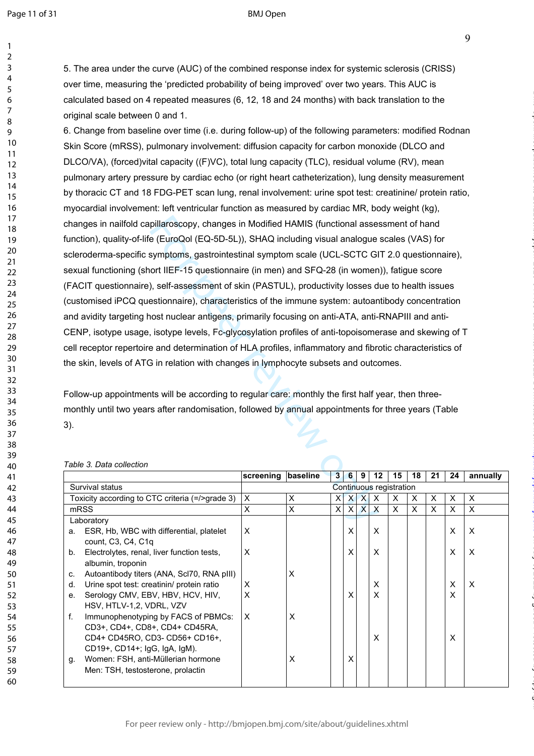$\mathbf{1}$ 

### BMJ Open

9

on July 5, 2022 by guest. Protected by copyright. <http://bmjopen.bmj.com/> BMJ Open: first published as 10.1136/bmjopen-2020-044483 on 18 March 2021. Downloaded from

5. The area under the curve (AUC) of the combined response index for systemic sclerosis (CRISS) over time, measuring the 'predicted probability of being improved' over two years. This AUC is calculated based on 4 repeated measures (6, 12, 18 and 24 months) with back translation to the original scale between 0 and 1.

pillaroscopy, changes in Modified HAMIS (functional asses<br>  $e$  (EuroQol (EQ-5D-5L)), SHAQ including visual analogue<br>
symptoms, gastrointestinal symptom scale (UCL-SCTC GI<br>
ort IIEF-15 questionnaire (in men) and SFQ-28 (in 6. Change from baseline over time (i.e. during follow-up) of the following parameters: modified Rodnan Skin Score (mRSS), pulmonary involvement: diffusion capacity for carbon monoxide (DLCO and DLCO/VA), (forced)vital capacity ((F)VC), total lung capacity (TLC), residual volume (RV), mean pulmonary artery pressure by cardiac echo (or right heart catheterization), lung density measurement by thoracic CT and 18 FDG-PET scan lung, renal involvement: urine spot test: creatinine/ protein ratio, myocardial involvement: left ventricular function as measured by cardiac MR, body weight (kg), changes in nailfold capillaroscopy, changes in Modified HAMIS (functional assessment of hand function), quality-of-life (EuroQol (EQ-5D-5L)), SHAQ including visual analogue scales (VAS) for scleroderma-specific symptoms, gastrointestinal symptom scale (UCL-SCTC GIT 2.0 questionnaire), sexual functioning (short IIEF-15 questionnaire (in men) and SFQ-28 (in women)), fatigue score (FACIT questionnaire), self-assessment of skin (PASTUL), productivity losses due to health issues (customised iPCQ questionnaire), characteristics of the immune system: autoantibody concentration and avidity targeting host nuclear antigens, primarily focusing on anti-ATA, anti-RNAPIII and anti-CENP, isotype usage, isotype levels, Fc-glycosylation profiles of anti-topoisomerase and skewing of T cell receptor repertoire and determination of HLA profiles, inflammatory and fibrotic characteristics of the skin, levels of ATG in relation with changes in lymphocyte subsets and outcomes.

Follow-up appointments will be according to regular care: monthly the first half year, then threemonthly until two years after randomisation, followed by annual appointments for three years (Table 3).

|    |                                                 | screening               | baseline | $\mathbf{3}$ | 6            | 9            | 12                        | 15 | 18 | 21 | 24 | annually |
|----|-------------------------------------------------|-------------------------|----------|--------------|--------------|--------------|---------------------------|----|----|----|----|----------|
|    | Survival status                                 | Continuous registration |          |              |              |              |                           |    |    |    |    |          |
|    | Toxicity according to CTC criteria (=/>grade 3) | X                       | X        | X            | $\mathsf{X}$ | $\mathsf{X}$ | $\times$                  | X  | X  | X  | X  | X        |
|    | mRSS                                            | X                       | X        | X            | X            | $\mathsf{x}$ | $\boldsymbol{\mathsf{x}}$ | X  | X  | X  | X  | $\times$ |
|    | Laboratory                                      |                         |          |              |              |              |                           |    |    |    |    |          |
| a. | ESR, Hb, WBC with differential, platelet        | $\times$                |          |              | X            |              | X                         |    |    |    | X  | X        |
|    | count, C3, C4, C1q                              |                         |          |              |              |              |                           |    |    |    |    |          |
| b. | Electrolytes, renal, liver function tests,      | X                       |          |              | X            |              | X                         |    |    |    | X  | $\times$ |
|    | albumin, troponin                               |                         |          |              |              |              |                           |    |    |    |    |          |
| C. | Autoantibody titers (ANA, Scl70, RNA pIII)      |                         | Χ        |              |              |              |                           |    |    |    |    |          |
| d. | Urine spot test: creatinin/ protein ratio       | X                       |          |              |              |              | $\times$                  |    |    |    | X  | $\times$ |
| е. | Serology CMV, EBV, HBV, HCV, HIV,               | X                       |          |              | X            |              | X                         |    |    |    | X  |          |
|    | HSV, HTLV-1,2, VDRL, VZV                        |                         |          |              |              |              |                           |    |    |    |    |          |
| f. | Immunophenotyping by FACS of PBMCs:             | ΙX                      | X        |              |              |              |                           |    |    |    |    |          |
|    | CD3+, CD4+, CD8+, CD4+ CD45RA,                  |                         |          |              |              |              |                           |    |    |    |    |          |
|    | CD4+ CD45RO, CD3- CD56+ CD16+,                  |                         |          |              |              |              | X                         |    |    |    | X  |          |
|    | CD19+, CD14+; IgG, IgA, IgM).                   |                         |          |              |              |              |                           |    |    |    |    |          |
| g. | Women: FSH, anti-Müllerian hormone              |                         | X        |              | x            |              |                           |    |    |    |    |          |
|    | Men: TSH, testosterone, prolactin               |                         |          |              |              |              |                           |    |    |    |    |          |
|    |                                                 |                         |          |              |              |              |                           |    |    |    |    |          |

### *Table 3. Data collection*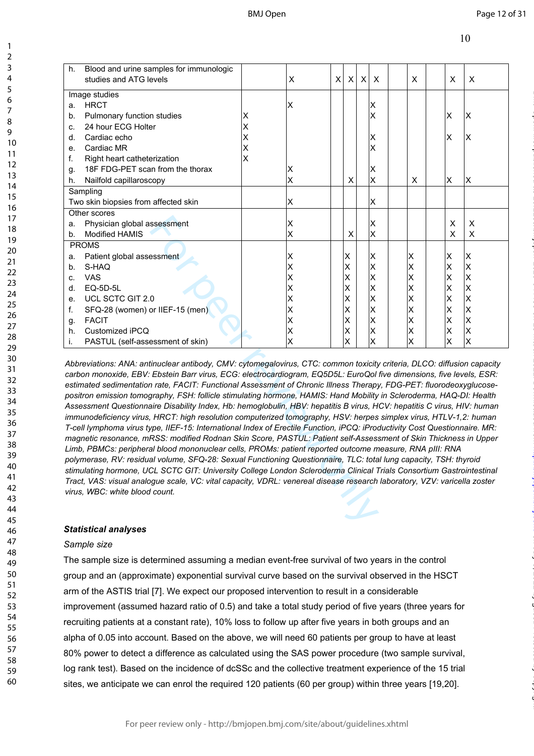| Blood and urine samples for immunologic<br>h. |   |   |   |              |   |   |          |    |    |
|-----------------------------------------------|---|---|---|--------------|---|---|----------|----|----|
| studies and ATG levels                        |   | X | X | $\mathsf{X}$ | X | X | X        | X  | X  |
| Image studies                                 |   |   |   |              |   |   |          |    |    |
| <b>HRCT</b><br>a.                             |   | X |   |              |   | Х |          |    |    |
| Pulmonary function studies<br>b.              | Χ |   |   |              |   | Х |          | X  | ΙX |
| 24 hour ECG Holter<br>C.                      | Χ |   |   |              |   |   |          |    |    |
| Cardiac echo<br>d.                            | X |   |   |              |   | х |          | ΙX | ΙX |
| Cardiac MR<br>е.                              | X |   |   |              |   | Χ |          |    |    |
| Right heart catheterization<br>f.             | X |   |   |              |   |   |          |    |    |
| 18F FDG-PET scan from the thorax<br>g.        |   | Χ |   |              |   | X |          |    |    |
| Nailfold capillaroscopy<br>h.                 |   | X |   | X            |   | X | $\times$ | X  | ΙX |
| Sampling                                      |   |   |   |              |   |   |          |    |    |
| Two skin biopsies from affected skin          |   | Χ |   |              |   | Χ |          |    |    |
| Other scores                                  |   |   |   |              |   |   |          |    |    |
| Physician global assessment<br>a.             |   | Χ |   |              |   | X |          | X  | X  |
| <b>Modified HAMIS</b><br>$h_{\cdot}$          |   | Χ |   | X            |   | Χ |          | X  | X  |
| <b>PROMS</b>                                  |   |   |   |              |   |   |          |    |    |
| Patient global assessment<br>a.               |   | Χ |   | lΧ           |   | Χ | Χ        | X  | lΧ |
| S-HAQ<br>b.                                   |   | Χ |   | Χ            |   | X | X        | Χ  | İΧ |
| <b>VAS</b><br>C.                              |   | X |   | х            |   | Χ | Χ        | X  | ΙX |
| EQ-5D-5L<br>d.                                |   | X |   | х            |   | Χ | Χ        | X  | Ιx |
| UCL SCTC GIT 2.0<br>е.                        |   | Χ |   | х            |   | Χ | Χ        | X  | Ιx |
| SFQ-28 (women) or IIEF-15 (men)<br>f.         |   | Χ |   | Х            |   | Χ | X        | X  | İΧ |
| <b>FACIT</b><br>g.                            |   | Χ |   | Χ            |   | X | Χ        | Χ  | ΙX |
| Customized iPCQ<br>h.                         |   | X |   | х            |   | Χ | Χ        | Χ  | ΙX |
| PASTUL (self-assessment of skin)<br>İ.        |   | X |   | х            |   | Χ | Χ        | Χ  | ΙX |

For peer review only *Abbreviations: ANA: antinuclear antibody, CMV: cytomegalovirus, CTC: common toxicity criteria, DLCO: diffusion capacity carbon monoxide, EBV: Ebstein Barr virus, ECG: electrocardiogram, EQ5D5L: EuroQol five dimensions, five levels, ESR: estimated sedimentation rate, FACIT: Functional Assessment of Chronic Illness Therapy, FDG-PET: fluorodeoxyglucosepositron emission tomography, FSH: follicle stimulating hormone, HAMIS: Hand Mobility in Scleroderma, HAQ-DI: Health Assessment Questionnaire Disability Index, Hb: hemoglobulin, HBV: hepatitis B virus, HCV: hepatitis C virus, HIV: human immunodeficiency virus, HRCT: high resolution computerized tomography, HSV: herpes simplex virus, HTLV-1,2: human T-cell lymphoma virus type, IIEF-15: International Index of Erectile Function, iPCQ: iProductivity Cost Questionnaire. MR: magnetic resonance, mRSS: modified Rodnan Skin Score, PASTUL: Patient self-Assessment of Skin Thickness in Upper Limb, PBMCs: peripheral blood mononuclear cells, PROMs: patient reported outcome measure, RNA pIII: RNA polymerase, RV: residual volume, SFQ-28: Sexual Functioning Questionnaire, TLC: total lung capacity, TSH: thyroid stimulating hormone, UCL SCTC GIT: University College London Scleroderma Clinical Trials Consortium Gastrointestinal Tract, VAS: visual analogue scale, VC: vital capacity, VDRL: venereal disease research laboratory, VZV: varicella zoster virus, WBC: white blood count.* 

### *Statistical analyses*

### *Sample size*

123456789

 $\mathbf{1}$  $\overline{2}$  $\overline{3}$  $\overline{4}$ 5 6  $\overline{7}$ 8  $\mathsf{Q}$ 

The sample size is determined assuming a median event-free survival of two years in the control group and an (approximate) exponential survival curve based on the survival observed in the HSCT arm of the ASTIS trial [7]. We expect our proposed intervention to result in a considerable improvement (assumed hazard ratio of 0.5) and take a total study period of five years (three years for recruiting patients at a constant rate), 10% loss to follow up after five years in both groups and an alpha of 0.05 into account. Based on the above, we will need 60 patients per group to have at least 80% power to detect a difference as calculated using the SAS power procedure (two sample survival, log rank test). Based on the incidence of dcSSc and the collective treatment experience of the 15 trial sites, we anticipate we can enrol the required 120 patients (60 per group) within three years [19,20].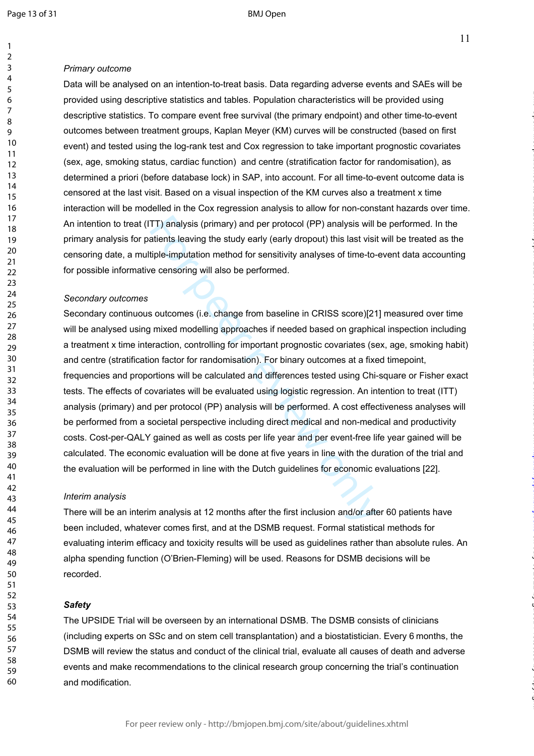$\mathbf{1}$  $\overline{2}$  $\overline{3}$  $\overline{4}$ 5 6  $\overline{7}$ 8  $\mathsf q$ 

on July 5, 2022 by guest. Protected by copyright. <http://bmjopen.bmj.com/> BMJ Open: first published as 10.1136/bmjopen-2020-044483 on 18 March 2021. Downloaded from

### *Primary outcome*

Data will be analysed on an intention-to-treat basis. Data regarding adverse events and SAEs will be provided using descriptive statistics and tables. Population characteristics will be provided using descriptive statistics. To compare event free survival (the primary endpoint) and other time-to-event outcomes between treatment groups, Kaplan Meyer (KM) curves will be constructed (based on first event) and tested using the log-rank test and Cox regression to take important prognostic covariates (sex, age, smoking status, cardiac function) and centre (stratification factor for randomisation), as determined a priori (before database lock) in SAP, into account. For all time-to-event outcome data is censored at the last visit. Based on a visual inspection of the KM curves also a treatment x time interaction will be modelled in the Cox regression analysis to allow for non-constant hazards over time. An intention to treat (ITT) analysis (primary) and per protocol (PP) analysis will be performed. In the primary analysis for patients leaving the study early (early dropout) this last visit will be treated as the censoring date, a multiple-imputation method for sensitivity analyses of time-to-event data accounting for possible informative censoring will also be performed.

### *Secondary outcomes*

TT) analysis (primary) and per protocol (PP) analysis will t<br>atients leaving the study early (early dropout) this last visit<br>tiple-imputation method for sensitivity analyses of time-to-<br>recensoring will also be performed.<br> Secondary continuous outcomes (i.e. change from baseline in CRISS score)[21] measured over time will be analysed using mixed modelling approaches if needed based on graphical inspection including a treatment x time interaction, controlling for important prognostic covariates (sex, age, smoking habit) and centre (stratification factor for randomisation). For binary outcomes at a fixed timepoint, frequencies and proportions will be calculated and differences tested using Chi-square or Fisher exact tests. The effects of covariates will be evaluated using logistic regression. An intention to treat (ITT) analysis (primary) and per protocol (PP) analysis will be performed. A cost effectiveness analyses will be performed from a societal perspective including direct medical and non-medical and productivity costs. Cost-per-QALY gained as well as costs per life year and per event-free life year gained will be calculated. The economic evaluation will be done at five years in line with the duration of the trial and the evaluation will be performed in line with the Dutch guidelines for economic evaluations [22].

### *Interim analysis*

There will be an interim analysis at 12 months after the first inclusion and/or after 60 patients have been included, whatever comes first, and at the DSMB request. Formal statistical methods for evaluating interim efficacy and toxicity results will be used as guidelines rather than absolute rules. An alpha spending function (O'Brien-Fleming) will be used. Reasons for DSMB decisions will be recorded.

### *Safety*

The UPSIDE Trial will be overseen by an international DSMB. The DSMB consists of clinicians (including experts on SSc and on stem cell transplantation) and a biostatistician. Every 6 months, the DSMB will review the status and conduct of the clinical trial, evaluate all causes of death and adverse events and make recommendations to the clinical research group concerning the trial's continuation and modification.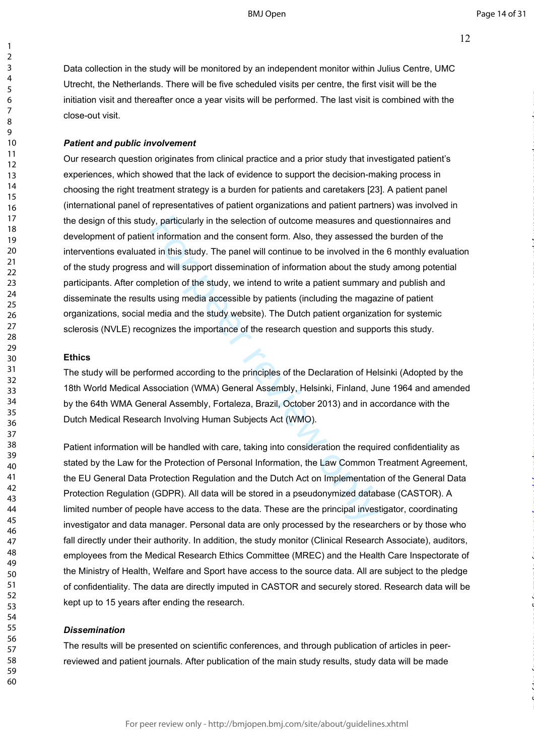Data collection in the study will be monitored by an independent monitor within Julius Centre, UMC Utrecht, the Netherlands. There will be five scheduled visits per centre, the first visit will be the initiation visit and thereafter once a year visits will be performed. The last visit is combined with the close-out visit.

### *Patient and public involvement*

ly, particularly in the selection of outcome measures and q<br>t information and the consent form. Also, they assessed the distant of the study. The panel will continue to be involved in th<br>and will support dissemination of i Our research question originates from clinical practice and a prior study that investigated patient's experiences, which showed that the lack of evidence to support the decision-making process in choosing the right treatment strategy is a burden for patients and caretakers [23]. A patient panel (international panel of representatives of patient organizations and patient partners) was involved in the design of this study, particularly in the selection of outcome measures and questionnaires and development of patient information and the consent form. Also, they assessed the burden of the interventions evaluated in this study. The panel will continue to be involved in the 6 monthly evaluation of the study progress and will support dissemination of information about the study among potential participants. After completion of the study, we intend to write a patient summary and publish and disseminate the results using media accessible by patients (including the magazine of patient organizations, social media and the study website). The Dutch patient organization for systemic sclerosis (NVLE) recognizes the importance of the research question and supports this study.

### **Ethics**

The study will be performed according to the principles of the Declaration of Helsinki (Adopted by the 18th World Medical Association (WMA) General Assembly, Helsinki, Finland, June 1964 and amended by the 64th WMA General Assembly, Fortaleza, Brazil, October 2013) and in accordance with the Dutch Medical Research Involving Human Subjects Act (WMO).

Patient information will be handled with care, taking into consideration the required confidentiality as stated by the Law for the Protection of Personal Information, the Law Common Treatment Agreement, the EU General Data Protection Regulation and the Dutch Act on Implementation of the General Data Protection Regulation (GDPR). All data will be stored in a pseudonymized database (CASTOR). A limited number of people have access to the data. These are the principal investigator, coordinating investigator and data manager. Personal data are only processed by the researchers or by those who fall directly under their authority. In addition, the study monitor (Clinical Research Associate), auditors, employees from the Medical Research Ethics Committee (MREC) and the Health Care Inspectorate of the Ministry of Health, Welfare and Sport have access to the source data. All are subject to the pledge of confidentiality. The data are directly imputed in CASTOR and securely stored. Research data will be kept up to 15 years after ending the research.

### *Dissemination*

The results will be presented on scientific conferences, and through publication of articles in peerreviewed and patient journals. After publication of the main study results, study data will be made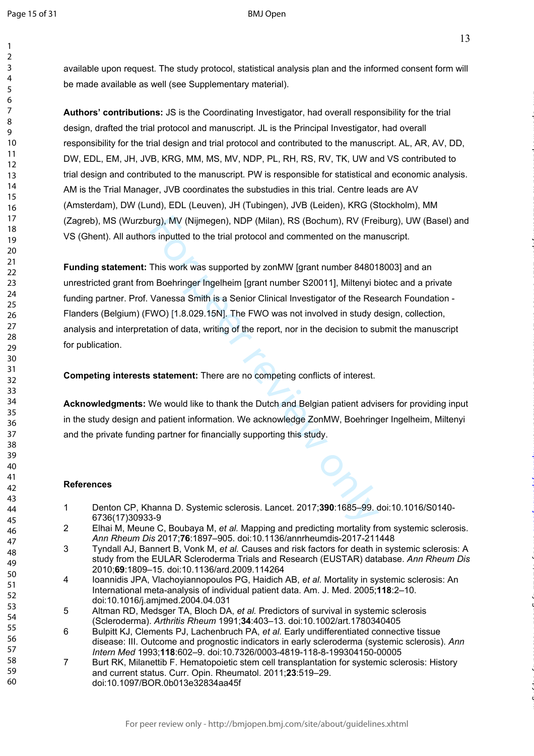$\mathbf{1}$  $\overline{2}$  $\overline{3}$ 

on July 5, 2022 by guest. Protected by copyright. <http://bmjopen.bmj.com/> BMJ Open: first published as 10.1136/bmjopen-2020-044483 on 18 March 2021. Downloaded from

available upon request. The study protocol, statistical analysis plan and the informed consent form will be made available as well (see Supplementary material).

**Authors' contributions:** JS is the Coordinating Investigator, had overall responsibility for the trial design, drafted the trial protocol and manuscript. JL is the Principal Investigator, had overall responsibility for the trial design and trial protocol and contributed to the manuscript. AL, AR, AV, DD, DW, EDL, EM, JH, JVB, KRG, MM, MS, MV, NDP, PL, RH, RS, RV, TK, UW and VS contributed to trial design and contributed to the manuscript. PW is responsible for statistical and economic analysis. AM is the Trial Manager, JVB coordinates the substudies in this trial. Centre leads are AV (Amsterdam), DW (Lund), EDL (Leuven), JH (Tubingen), JVB (Leiden), KRG (Stockholm), MM (Zagreb), MS (Wurzburg), MV (Nijmegen), NDP (Milan), RS (Bochum), RV (Freiburg), UW (Basel) and VS (Ghent). All authors inputted to the trial protocol and commented on the manuscript.

Irg), MV (Nijmegen), NDP (Milan), RS (Bochum), RV (Frei<br>
"Sinputted to the trial protocol and commented on the mar<br>
This work was supported by zonMW [grant number 84801<br>
In Boehringer Ingelheim [grant number S20011], Milte **Funding statement:** This work was supported by zonMW [grant number 848018003] and an unrestricted grant from Boehringer Ingelheim [grant number S20011], Miltenyi biotec and a private funding partner. Prof. Vanessa Smith is a Senior Clinical Investigator of the Research Foundation - Flanders (Belgium) (FWO) [1.8.029.15N]. The FWO was not involved in study design, collection, analysis and interpretation of data, writing of the report, nor in the decision to submit the manuscript for publication.

**Competing interests statement:** There are no competing conflicts of interest.

**Acknowledgments:** We would like to thank the Dutch and Belgian patient advisers for providing input in the study design and patient information. We acknowledge ZonMW, Boehringer Ingelheim, Miltenyi and the private funding partner for financially supporting this study.

### **References**

- 1 Denton CP, Khanna D. Systemic sclerosis. Lancet. 2017;**390**:1685–99. doi:10.1016/S0140- 6736(17)30933-9
- 2 Elhai M, Meune C, Boubaya M, *et al.* Mapping and predicting mortality from systemic sclerosis. *Ann Rheum Dis* 2017;**76**:1897–905. doi:10.1136/annrheumdis-2017-211448
- 3 Tyndall AJ, Bannert B, Vonk M, *et al.* Causes and risk factors for death in systemic sclerosis: A study from the EULAR Scleroderma Trials and Research (EUSTAR) database. *Ann Rheum Dis* 2010;**69**:1809–15. doi:10.1136/ard.2009.114264
- 4 Ioannidis JPA, Vlachoyiannopoulos PG, Haidich AB, *et al.* Mortality in systemic sclerosis: An International meta-analysis of individual patient data. Am. J. Med. 2005;**118**:2–10. doi:10.1016/j.amjmed.2004.04.031
- 5 Altman RD, Medsger TA, Bloch DA, *et al.* Predictors of survival in systemic sclerosis (Scleroderma). *Arthritis Rheum* 1991;**34**:403–13. doi:10.1002/art.1780340405
- 6 Bulpitt KJ, Clements PJ, Lachenbruch PA, *et al.* Early undifferentiated connective tissue disease: III. Outcome and prognostic indicators in early scleroderma (systemic sclerosis). *Ann Intern Med* 1993;**118**:602–9. doi:10.7326/0003-4819-118-8-199304150-00005
- 7 Burt RK, Milanettib F. Hematopoietic stem cell transplantation for systemic sclerosis: History and current status. Curr. Opin. Rheumatol. 2011;**23**:519–29. doi:10.1097/BOR.0b013e32834aa45f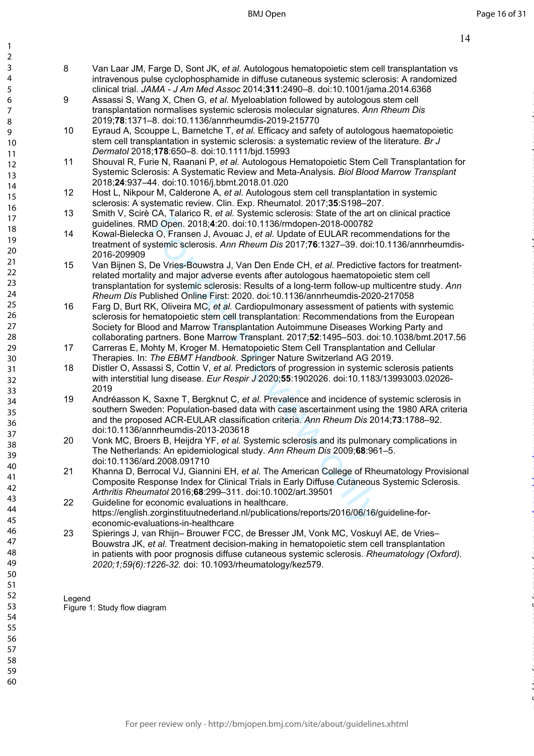BMJ Open

on July 5, 2022 by guest. Protected by copyright. <http://bmjopen.bmj.com/> BMJ Open: first published as 10.1136/bmjopen-2020-044483 on 18 March 2021. Downloaded from

- 8 Van Laar JM, Farge D, Sont JK, *et al.* Autologous hematopoietic stem cell transplantation vs intravenous pulse cyclophosphamide in diffuse cutaneous systemic sclerosis: A randomized clinical trial. *JAMA - J Am Med Assoc* 2014;**311**:2490–8. doi:10.1001/jama.2014.6368
- 9 Assassi S, Wang X, Chen G, *et al.* Myeloablation followed by autologous stem cell transplantation normalises systemic sclerosis molecular signatures. *Ann Rheum Dis* 2019;**78**:1371–8. doi:10.1136/annrheumdis-2019-215770
- 10 Eyraud A, Scouppe L, Barnetche T, *et al.* Efficacy and safety of autologous haematopoietic stem cell transplantation in systemic sclerosis: a systematic review of the literature. *Br J Dermatol* 2018;**178**:650–8. doi:10.1111/bjd.15993
- 11 Shouval R, Furie N, Raanani P, *et al.* Autologous Hematopoietic Stem Cell Transplantation for Systemic Sclerosis: A Systematic Review and Meta-Analysis. *Biol Blood Marrow Transplant* 2018;**24**:937–44. doi:10.1016/j.bbmt.2018.01.020
- 12 Host L, Nikpour M, Calderone A, *et al.* Autologous stem cell transplantation in systemic sclerosis: A systematic review. Clin. Exp. Rheumatol. 2017;**35**:S198–207.
- 13 Smith V, Scirè CA, Talarico R, *et al.* Systemic sclerosis: State of the art on clinical practice guidelines. RMD Open. 2018; **4**:20. doi:10.1136/rmdopen-2018-000782
- 14 Kowal-Bielecka O, Fransen J, Avouac J, *et al.* Update of EULAR recommendations for the treatment of systemic sclerosis. *Ann Rheum Dis* 2017;**76**:1327–39. doi:10.1136/annrheumdis-2016-209909
- or, via the control of the *Althabian Communication* of the control of the control of the space of the space of the space of the space of the space of Fig. (10, 1136/mdopen-2018-000782 a O, Fransen J, Avouac J, et al. Upd 15 Van Bijnen S, De Vries-Bouwstra J, Van Den Ende CH, *et al.* Predictive factors for treatmentrelated mortality and major adverse events after autologous haematopoietic stem cell transplantation for systemic sclerosis: Results of a long-term follow-up multicentre study. *Ann Rheum Dis* Published Online First: 2020. doi:10.1136/annrheumdis-2020-217058
- 16 Farg D, Burt RK, Oliveira MC, *et al.* Cardiopulmonary assessment of patients with systemic sclerosis for hematopoietic stem cell transplantation: Recommendations from the European Society for Blood and Marrow Transplantation Autoimmune Diseases Working Party and collaborating partners. Bone Marrow Transplant. 2017;**52**:1495–503. doi:10.1038/bmt.2017.56
- 17 Carreras E, Mohty M, Kroger M. Hematopoietic Stem Cell Transplantation and Cellular Therapies. In: *The EBMT Handbook*. Springer Nature Switzerland AG 2019.
- 18 Distler O, Assassi S, Cottin V, *et al.* Predictors of progression in systemic sclerosis patients with interstitial lung disease. *Eur Respir J* 2020;**55**:1902026. doi:10.1183/13993003.02026- 2019
- 19 Andréasson K, Saxne T, Bergknut C, *et al.* Prevalence and incidence of systemic sclerosis in southern Sweden: Population-based data with case ascertainment using the 1980 ARA criteria and the proposed ACR-EULAR classification criteria. *Ann Rheum Dis* 2014;**73**:1788–92. doi:10.1136/annrheumdis-2013-203618
- 20 Vonk MC, Broers B, Heijdra YF, *et al.* Systemic sclerosis and its pulmonary complications in The Netherlands: An epidemiological study. *Ann Rheum Dis* 2009;**68**:961–5. doi:10.1136/ard.2008.091710
- 21 Khanna D, Berrocal VJ, Giannini EH, *et al.* The American College of Rheumatology Provisional Composite Response Index for Clinical Trials in Early Diffuse Cutaneous Systemic Sclerosis. *Arthritis Rheumatol* 2016;**68**:299–311. doi:10.1002/art.39501
- 22 Guideline for economic evaluations in healthcare. https://english.zorginstituutnederland.nl/publications/reports/2016/06/16/guideline-foreconomic-evaluations-in-healthcare
- 23 Spierings J, van Rhijn– Brouwer FCC, de Bresser JM, Vonk MC, Voskuyl AE, de Vries– Bouwstra JK, *et al*. Treatment decision-making in hematopoietic stem cell transplantation in patients with poor prognosis diffuse cutaneous systemic sclerosis. *Rheumatology (Oxford). 2020;1;59(6):1226-32.* doi: 10.1093/rheumatology/kez579.

Legend Figure 1: Study flow diagram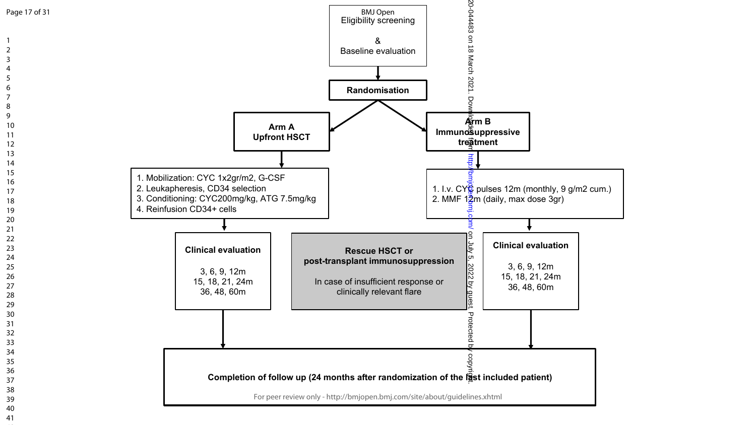

Page 17 of 31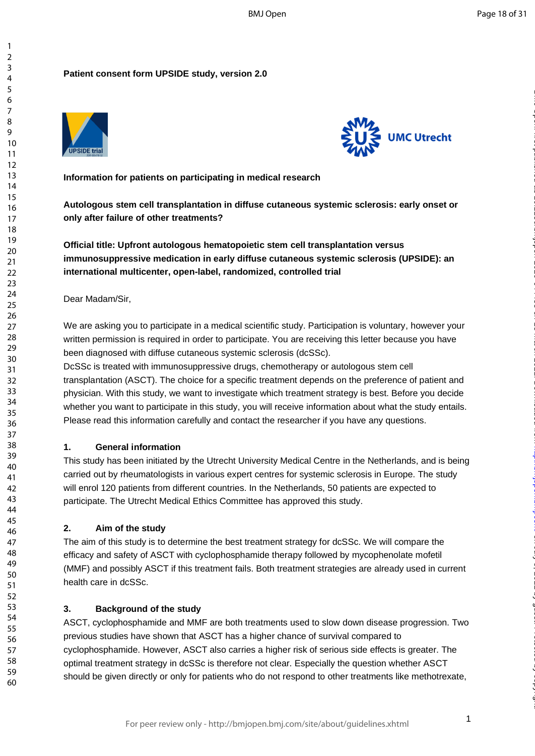### **Patient consent form UPSIDE study, version 2.0**





**Information for patients on participating in medical research** 

**Autologous stem cell transplantation in diffuse cutaneous systemic sclerosis: early onset or only after failure of other treatments?** 

**Official title: Upfront autologous hematopoietic stem cell transplantation versus immunosuppressive medication in early diffuse cutaneous systemic sclerosis (UPSIDE): an international multicenter, open -label, randomized, controlled trial**

### Dear Madam/Sir,

We are asking you to participate in a medical scientific study. Participation is voluntary, however your written permission is required in order to participate. You are receiving this letter because you have been diagnosed with diffuse cutaneous systemic sclerosis (dcSSc).

Their treatments?<br>
autologous hematopoietic stem cell transplantation or medication in early diffuse cutaneous systemic sclere<br>
inter, open-label, randomized, controlled trial<br>
participate in a medical scientific study. Pa DcSSc is treated with immunosuppressive drugs, chemotherapy or autologous stem cell transplantation (ASCT). The choice for a specific treatment depends on the preference of patient and physician. With this study, we want to investigate which treatment strategy is best. Before you decide whether you want to participate in this study, you will receive information about what the study entails. Please read this information carefully and contact the researcher if you have any questions.

### **1. General information**

This study has been initiated by the Utrecht University Medical Centre in the Netherlands, and is being carried out by rheumatologists in various expert centres for systemic sclerosis in Europe. The study will enrol 120 patients from different countries. In the Netherlands, 50 patients are expected to participate. The Utrecht Medical Ethics Committee has approved this study.

### **2. Aim of the study**

The aim of this study is to determine the best treatment strategy for dcSSc. We will compare the efficacy and safety of ASCT with cyclophosphamide therapy followed by mycophenolate mofetil (MMF) and possibly ASCT if this treatment fails. Both treatment strategies are already used in current health care in dcSSc.

### **3. Background of the study**

ASCT, cyclophosphamide and MMF are both treatments used to slow down disease progression. Two previous studies have shown that ASCT has a higher chance of survival compared to cyclophosphamide. However, ASCT also carries a higher risk of serious side effects is greater. The optimal treatment strategy in dcSSc is therefore not clear. Especially the question whether ASCT should be given directly or only for patients who do not respond to other treatments like methotrexate,

 $\mathbf{1}$  $\overline{2}$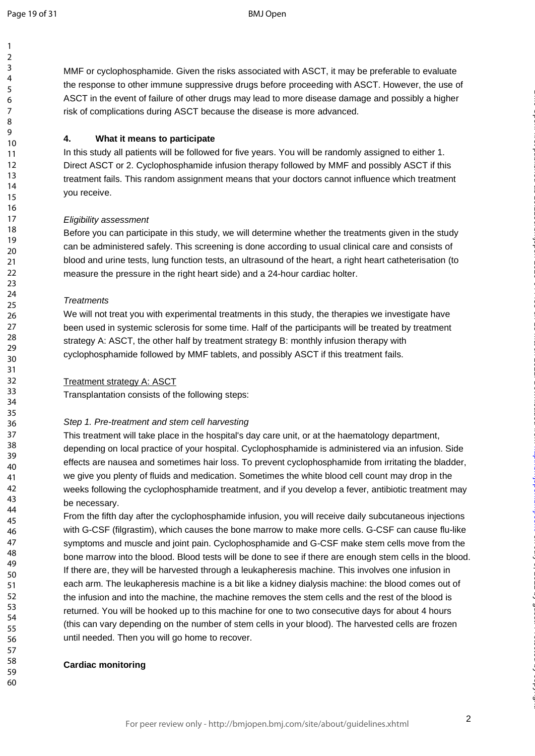$\mathbf{1}$  $\overline{2}$  $\overline{3}$  $\overline{4}$ 5 6  $\overline{7}$ 8 9

MMF or cyclophosphamide. Given the risks associated with ASCT, it may be preferable to evaluate the response to other immune suppressive drugs before proceeding with ASCT. However, the use of ASCT in the event of failure of other drugs may lead to more disease damage and possibly a higher risk of complications during ASCT because the disease is more advanced.

### **4. What it means to participate**

In this study all patients will be followed for five years. You will be randomly assigned to either 1. Direct ASCT or 2. Cyclophosphamide infusion therapy followed by MMF and possibly ASCT if this treatment fails. This random assignment means that you r doctors cannot influence which treatment you receive.

### *Eligibility assessment*

Before you can participate in this study, we will determine whether the treatments given in the study can be administered safely. This screening is done according to usual clinical care and consists of blood and urine tests, lung function tests, an ultrasound of the heart, a right heart catheterisation (to measure the pressure in the right heart side) and a 24 -hour cardiac holter.

### *Treatments*

We will not treat you with experimental treatments in this study, the therapies we investigate have been used in systemic sclerosis for some time. Half of the participants will be treated by treatment strategy A: ASCT, the other half by treatment strategy B: monthly infusion therapy with cyclophosphamide followed by MMF tablets, and possibly ASCT if this treatment fails.

### Treatment strategy A: ASCT

Transplantation consists of the following steps:

### *Step 1. Pre -treatment and stem cell harvesting*

pate in this study, we will determine whether the treatment<br>afely. This screening is done according to usual clinical ca<br>lung function tests, an ultrasound of the heart, a right hea<br>in the right heart side) and a 24-hour c This treatment will take place in the hospital's day care unit, or at the haematology department, depending on local practice of your hospital. Cyclophosphamide is administered via an infusion. Side effects are nausea and sometimes hair loss. To prevent cyclophosphamide from irritating the bladder, we give you plenty of fluids and medication. Sometimes the white blood cell count may drop in the weeks following the cyclophosphamide treatment, and if you develop a fever, antibiotic treatment may be necessary.

From the fifth day after the cyclophosphamide infusion, you will receive daily subcutaneous injections with G-CSF (filgrastim), which causes the bone marrow to make more cells. G-CSF can cause flu-like symptoms and muscle and joint pain. Cyclophosphamide and G -CSF make stem cells move from the bone marrow into the blood. Blood tests will be done to see if there are enough stem cells in the blood. If there are, they will be harvested through a leukapheresis machine. This involves one infusion in each arm. The leukapheresis machine is a bit like a kidney dialysis machine: the blood comes out of the infusion and into the machine, the machine removes the stem cells and the rest of the blood is returned. You will be hooked up to this machine for one to two consecutive days for about 4 hours (this can vary depending on the number of stem cells in your blood). The harvested cells are frozen until needed. Then you will go home to recover .

### **Cardiac monitoring**

on July 5, 2022 by guest. Protected by copyright. <http://bmjopen.bmj.com/> BMJ Open: first published as 10.1136/bmjopen-2020-044483 on 18 March 2021. Downloaded from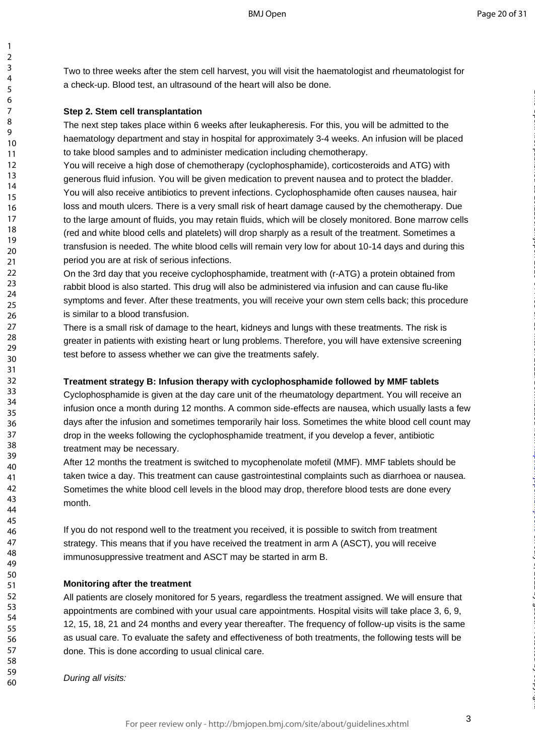Two to three weeks after the stem cell harvest, you will visit the haematologist and rheumatologist for a check -up. Blood test, an ultrasound of the heart will also be done.

### **Step 2. Stem cell transplantation**

123456789

 $\mathbf{1}$  $\overline{2}$  $\overline{3}$  $\overline{4}$ 5 6  $\overline{7}$ 8 9

The next step takes place within 6 weeks after leukapheresis. For this, you will be admitted to the haematology department and stay in hospital for approximately 3 -4 weeks. An infusion will be placed to take blood samples and to administer medication including chemotherapy.

You will receive a high dose of chemotherapy (cyclophosphamide), corticosteroids and ATG) with generous fluid infusio n. You will be given medication to prevent nausea and to protect the bladder. You will also receive antibiotics to prevent infections. Cyclophosphamide often causes nausea, hair loss and mouth ulcers. There is a very small risk of heart damage caused by the chemotherapy. Due to the large amount of fluids, you may retain fluids, which will be closely monitored. Bone marrow cells (red and white blood cells and platelets) will drop sharply as a result of the treatment. Sometimes a transfusion is needed. The white blood cells will remain very low for about 10 -14 days and during this period you are at risk of serious infections.

On the 3rd day that you receive cyclophosphamide, treatment with (r -ATG) a protein obtained from rabbit blood is also started. This drug will also be administered via infusion and can cause flu-like symptoms and fever. After these treatments, you will receive your own stem cells back; this procedure is similar to a blood transfusion.

There is a small risk of damage to the heart, kidneys and lungs with these treatments. The risk is greater in patients with existing heart or lung problems. Therefore, you will have extensive screening test before to assess whether we can give the treatments safely.

### **Treatment strategy B: Infusion therapy with cyclophosphamide followed by MMF tablets**

if fluids, you may retain fluids, which will be closely monitor<br>rells and platelets) will drop sharply as a result of the treatt. The white blood cells will remain very low for about 10-14<br>of serious infections.<br>bu receive Cyclophosphamide is given at the day care unit of the rheumatology department. You will receive an infusion once a month during 12 months. A common side -effects are nause a, which usually lasts a few days after the infusion and sometimes temporarily hair loss. Sometimes the white blood cell count may drop in the weeks following the cyclophosphamide treatment, if you develop a fever, antibiotic treatment may be necessary.

After 12 months the treatment is switched to mycophenolate mofetil (MMF). MMF tablets should be taken twice a day. This treatment can cause gastrointestinal complaints such as diarrhoea or nausea. Sometimes the white blood cell levels in the blood may drop, therefore blood tests are done every month.

If you do not respond well to the treatment you received, it is possible to switch from treatment strategy. This means that if you have received the treatment in arm A (ASCT), you will receive immunosuppressive treatment and ASCT may be started in arm B.

### **Monitoring after the treatment**

All patients are closely monitored for 5 years, regardless the treatment assigned. We will ensure that appointments are combined with your usual care appointments. Hospital visits will take place 3, 6, 9, 12, 15, 18, 21 and 24 months and every year thereafter. The frequency of follow -up visits is the same as usual care. To evaluate the safety and effectiveness of both treatments, the following tests will be done. This is done according to usual clinical care.

*During all visits:*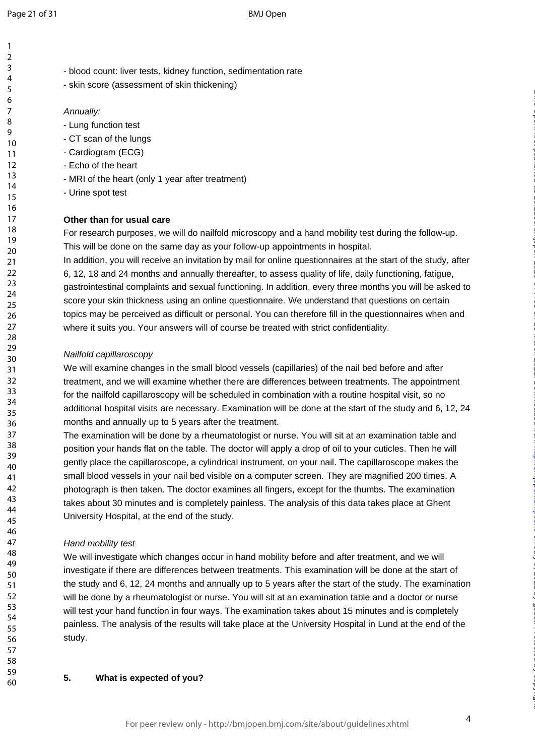$\mathbf{1}$ 

60

- blood count: liver tests, kidney function, sedimentation rate - skin score (assessment of skin thickening)

### *Annually:*

- Lung function test
- 
- CT scan of the lungs Cardiogram (ECG)
- Echo of the heart
- MRI of the heart (only 1 year after treatment)
- Urine spot test

### **Other than for usual care**

For research purposes, we will do nailfold microscopy and a hand mobility test during the follow -up. This will be done on the same day as your follow -up appointments in hospital.

In addition, you will receive an invitation by mail for online questionnaires at the start of the study, after 6, 12, 18 and 24 months and annually thereafter, to assess quality of life, daily functioning, fatigue, gastrointestinal complaints and sexual functioning. In addition, every three months you will be asked to score your skin thickness using an online questionnaire. We understand that questions on certain topics may be perceived as difficult or personal. You can therefore fill in the questionnaires when and where it suits you. Your answers will of course be treated with strict confidentiality.

### *Nailfold capillaroscopy*

We will examine changes in the small blood vessels (capillaries) of the nail bed before and after treatment, and we will examine whether there are differences between treatments. The appointment for the nailfold capillaroscopy will be scheduled in combination with a routine hospital visit, so no additional hospital visits are necessary. Examination will be done at the start of the study and 6, 12, 24 months and annually up to 5 years after the treatment.

care<br>
s, we will do nailfold microscopy and a hand mobility test c<br>
e same day as your follow-up appointments in hospital.<br>
ceive an invitation by mail for online questionnaires at the<br>
ths and annually thereafter, to asse The examination will be done by a rheumatologist or nurse. You will sit at an examination table and position your hands flat on the table. The doctor will apply a drop of oil to your cuticles. Then he will gently place the capillaroscope, a cylindrical instrument, on your nail. The capillaroscope makes the small blood vessels in your nail bed visible on a computer screen. They are magnified 200 times. A photograph is then taken. The doctor examines all fingers, except for the thumbs. The examination takes about 30 minutes and is completely painless. The analysis of this data takes place at Ghent University Hospital, at the end of the study.

### *Hand mobility test*

We will investigate which changes occur in hand mobility before and after treatment, and we will investigate if there are differences between treatments. This examination will be done at the start of the study and 6, 12, 24 months and annually up to 5 years after the start of the study. The examination will be done by a rheumatologist or nurse. You will sit at an examination table and a doctor or nurse will test your hand function in four way s. The examination takes about 15 minutes and is completely painless. The analysis of the results will take place at the University Hospital in Lund at the end of the study.

### **5. What is expected of you ?**

on July 5, 2022 by guest. Protected by copyright. <http://bmjopen.bmj.com/> BMJ Open: first published as 10.1136/bmjopen-2020-044483 on 18 March 2021. Downloaded from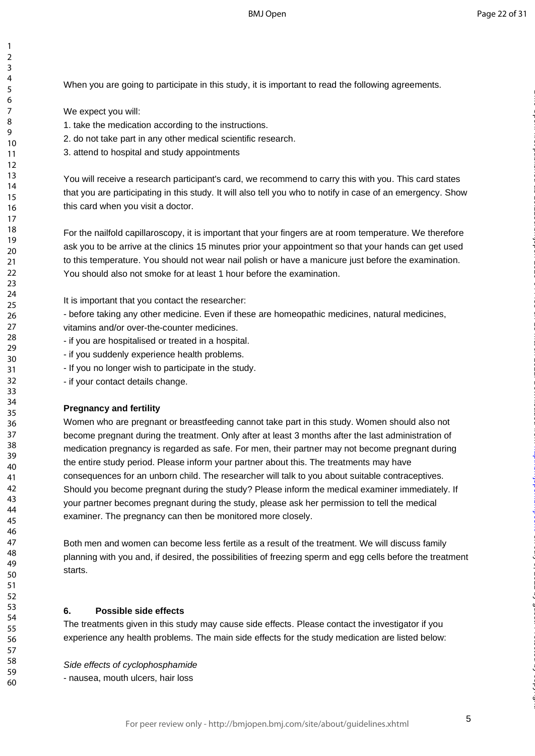When you are going to participate in this study, it is important to read the following agreements.

We expect you will:

123456789

 $\mathbf{1}$  $\overline{2}$  $\overline{3}$  $\overline{4}$ 5 6  $\overline{7}$ 8  $\mathsf{o}$ 

- 1. take the medication according to the instructions.
- 2. do not take part in any other medical scientific research.
- 3. attend to hospital and study appointments

You will receive a research participant's card, we recommend to carry this with you. This card states that you are participating in this study. It will also tell you who to notify in case of an emergency. Show this card when you visit a doctor.

For the nailfold capillaroscopy, it is important that your fingers are at room temperature. We therefore ask you to be arrive at the clinics 15 minutes prior your appointment so that your hands can get used to this temperature. You should not wear nail polish or have a manicure just before the examination. You should also not smoke for at least 1 hour before the examination.

It is important that you contact the researcher:

- before taking any other medicine. Even if these are homeopathic medicines, natural medicines,

vitamins and/or over -the -counter medicines.

- if you are hospitalised or treated in a hospital.
- if you suddenly experience health problems.
- If you no longer wish to participate in the study.

- if your contact details change.

### **Pregnancy and fertility**

roscopy, it is important that your fingers are at room tempt<br>the clinics 15 minutes prior your appointment so that you<br>ou should not wear nail polish or have a manicure just bef<br>moke for at least 1 hour before the examinat Women who are pregnant or breastfeeding cannot take part in this study. Women should also not become pregnant during the treatment. Only after at least 3 months after the last administration of medication pregnancy is regarded as safe . For men, their partner may not become pregnant during the entire study period. Please inform your partner about this. The treatments may have consequences for an unborn child. The researcher will talk to you about suitable contraceptives. Should you become pregnant during the study? Please inform the medical examiner immediately. If your partner becomes pregnant during the study, please ask her permission to tell the medical examiner. The pregnancy can then be monitored more closely.

Both men and women can become less fertile as a result of the treatment. We will discuss family planning with you and, if desired, the possibilities of freezing sperm and egg cells before the treatment starts.

### **6. Possible side effects**

The treatments given in this study may cause side effects. Please contact the investigator if you experience any health problems. The main side effects for the study medication are listed below:

*Side effects of cyclophosphamide* - nausea, mouth ulcers, hair loss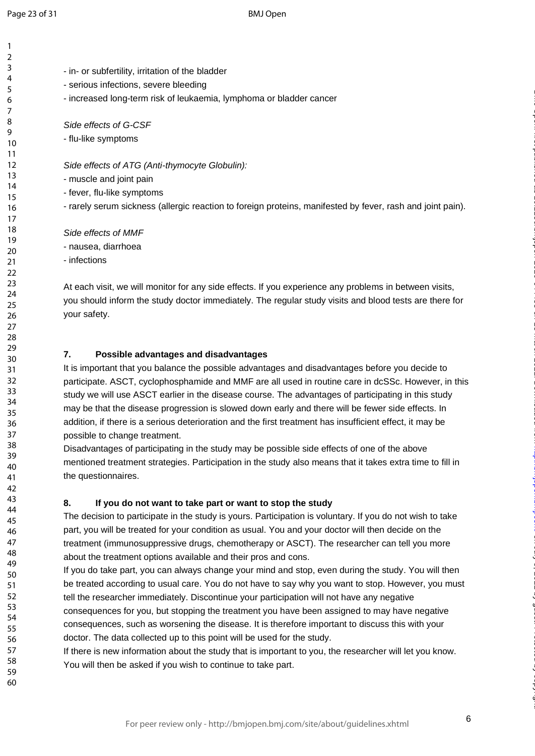$\mathbf{1}$  $\overline{2}$ 

60

- in or subfertility, irritation of the bladder
- serious infections, severe bleeding
	- increased long-term risk of leukaemia, lymphoma or bladder cancer

**Side effects of G-CSF** 

- flu -like symptoms

Side effects of ATG (Anti-thymocyte Globulin):

- muscle and joint pain
- fever, flu-like symptoms

- rarely serum sickness (allergic reaction to foreign proteins, manifested by fever, rash and joint pain).

*Side effects of MMF*

- nausea, diarrhoea

- infections

At each visit, we will monitor for any side effects. If you experience any problems in between visits, you should inform the study doctor immediately. The regular study visits and blood tests are there for your safety.

### **7. Possible advantages and disadvantages**

monitor for any side effects. If you experience any problems<br>study doctor immediately. The regular study visits and blo<br>antages and disadvantages<br>blalance the possible advantages and disadvantages bef<br>clophosphamide and MM It is important that you balance the possible advantages and disadvantages before you decide to participate. ASCT, cyclophosphamide and MMF are all used in routine care in dcSSc. However, in this study we will use ASCT earlier in the disease course. The advantages of participating in this study may be that the disease progression is slowed down early and there will be fewer side effects. In addition, if there is a serious deterioration and the first treatment has insufficient effect, it may be possible to change treatment.

Disadvantages of participating in the study may be possible side effects of one of the above mentioned treatment strategies. Participation in the study also means that it takes extra time to fill in the questionnaires.

### **8. If you do not want to take part or want to stop the study**

The decision to participate in the study is yours. Participation is voluntary. If you do not wish to take part, you will be treated for your condition as usual. You and your doctor will then decide on the treatment (immunosuppressive drugs, chemotherapy or ASCT). The researcher can tell you more about the treatment options available and their pros and cons.

If you do take part, you can always change your mind and stop, even during the study. You will then be treated according to usual care. You do not have to say why you want to stop. However, you must tell the researcher immediately. Discontinue your participation will not have any negative consequences for you, but stopping the treatment you have been assigned to may have negative consequences, such as worsening the disease. It is therefore important to discuss this with your doctor . The data collected up to this point will be used for the study.

If there is new information about the study that is important to you, the researcher will let you know. You will then be asked if you wish to continue to take part.

on July 5, 2022 by guest. Protected by copyright. <http://bmjopen.bmj.com/> BMJ Open: first published as 10.1136/bmjopen-2020-044483 on 18 March 2021. Downloaded from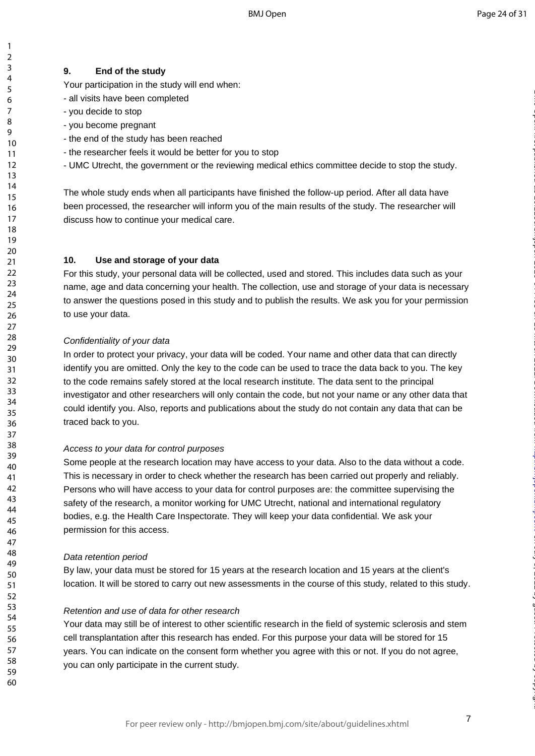Your participation in the study will end when :

- all visits have been completed
- you decide to stop
- you become pregnant
- the end of the study has been reached
- the researcher feels it would be better for you to stop
- UMC Utrecht, the government or the reviewing medical ethics committee decide to stop the study.

The whole study ends when all participants have finished the follow -up period. After all data have been processed, the researcher will inform you of the main results of the study. The researcher will discuss how to continue your medical care.

### **10. Use and storage of your data**

For this study, your personal data will be collected, used and stored. This includes data such as your name, age and data concerning your health. The collection, use and storage of your data is necessary to answer the questions posed in this study and to publish the results. We ask you for your permission to use your data.

### *Confidentiality of your data*

and out medical care.<br> **age of your data**<br>
arsonal data will be collected, used and stored. This includ<br>
oncerning your health. The collection, use and storage of<br>
ins posed in this study and to publish the results. We ask In order to protect your privacy, your data will be coded. Your name and other data that can directly identify you are omitted. Only the key to the code can be used to trace the data back to you. The key to the code remains safely stored at the local research institute. The data sent to the principal investigator and other researchers will only contain the code, but not your name or any other data that could identify you. Also, reports and publications about the study do not contain any data that can be traced back to you.

### *Access to your data for control purposes*

Some people at the research location may have access to your data. Also to the data without a code. This is necessary in order to check whether the research has been carried out properly and reliably. Persons who will have access to your data for control purposes are: the committee supervising the safety of the research, a monitor working for UMC Utrecht, national and international regulatory bodies, e.g. the Health Care Inspectorate. They will keep your data confidential. We ask your permission for this access.

### *Data retention period*

By law, your data must be stored for 15 years at the research location and 15 years at the client's location. It will be stored to carry out new assessments in the course of this study, related to this study.

### *Retention and use of data for other research*

Your data may still be of interest to other scientific research in the field of systemic sclerosis and stem cell transplantation after this research has ended. For this purpose your data will be stored for 15 years. You can indicate on the consent form whether you agree with this or not. If you do not agree, you can only participate in the current study.

123456789

 $\mathbf{1}$  $\overline{2}$  $\overline{3}$  $\overline{4}$ 5 6  $\overline{7}$ 8  $\mathsf q$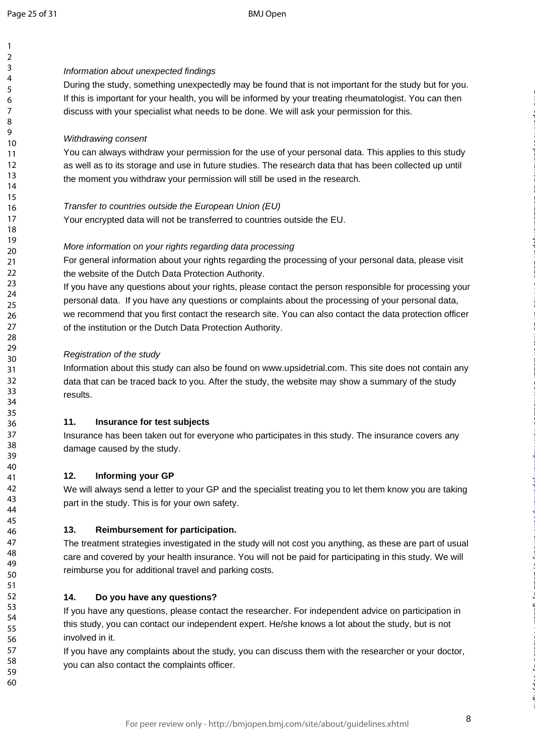$\mathbf{1}$ 

60

### *Information about unexpected findings*

During the study, something unexpectedly may be found that is not important for the study but for you. If this is important for your health, you will be informed by your treating rheumatologist. You can then discuss with your specialist what needs to be done. We will ask your permission for this.

### *Withdrawing consent*

You can always withdraw your permission for the use of your personal data. This applies to this study as well as to its storage and use in future studies. The research data that has been collected up until the moment you withdraw your permission will still be used in the research.

### *Transfer to countries outside the European Union (EU)*

Your encrypted data will not be transferred to countries outside the EU.

### *More information on your rights regarding data processing*

For general information about your rights regarding the processing of your personal data, please visit the website of the Dutch Data Protection Authority.

will not be transferred to countries outside the EU.<br>
your rights regarding data processing<br>
m about your rights regarding the processing of your perso<br>
ch Data Protection Authority.<br>
Jons about your rights, please contact If you have any questions about your rights, please contact the person responsible for processing your personal data. If you have any questions or complaints about the processing of your personal data, we recommend that you first contact the research site. You can also contact the data protection officer of the institution or the Dutch Data Protection Authority.

### *Registration of the study*

Information about this study can also be found on www.upsidetrial.com. This site does not contain any data that can be traced back to you. After the study, the website may show a summary of the study results.

### **11. Insurance for test subjects**

Insurance has been taken out for everyone who participates in this study. The insurance covers any damage caused by the study.

### **12. Informing your GP**

We will always send a letter to your GP and the specialist treating you to let them know you are taking part in the study. This is for your own safety.

### **13. Reimbursement for participation.**

The treatment strategies investigated in the study will not cost you anything, as these are part of usual care and covered by your health insurance. You will not be paid for participating in this study. We will reimburse you for additional travel and parking costs.

### **14. Do you have any questions?**

If you have any questions, please contact the researcher. For independent advice on participation in this study, you can contact our independent expert. He/she knows a lot about the study, but is not involved in it.<br>If you have any complaints about the study, you can discuss them with the researcher or your doctor,

you can also contact the complaints officer.

on July 5, 2022 by guest. Protected by copyright. <http://bmjopen.bmj.com/> BMJ Open: first published as 10.1136/bmjopen-2020-044483 on 18 March 2021. Downloaded from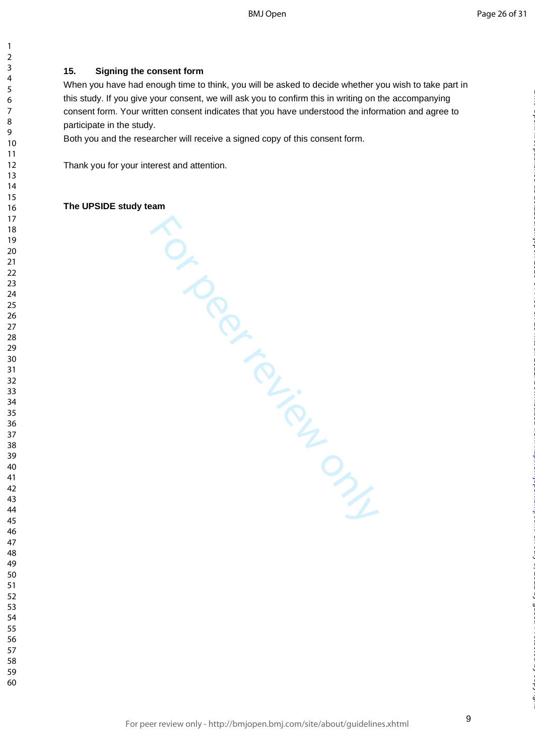### **15. Signing the consent form**

When you have had enough time to think, you will be asked to decide whether you wish to take part in this study. If you give your consent, we will ask you to confirm this in writing on the accompanying consent form. Your written consent indicates that you have understood the information and agree to participate in the study.

Both you and the researcher will receive a signed copy of this consent form.

Thank you for your interest and attention.

# Ferraristics Control Control Control Control Control Control Control Control Control Control Control Control Control Control Control Control Control Control Control Control Control Control Control Control Control Control C **The UPSIDE study team**

 $\mathbf{1}$  $\overline{2}$  $\overline{3}$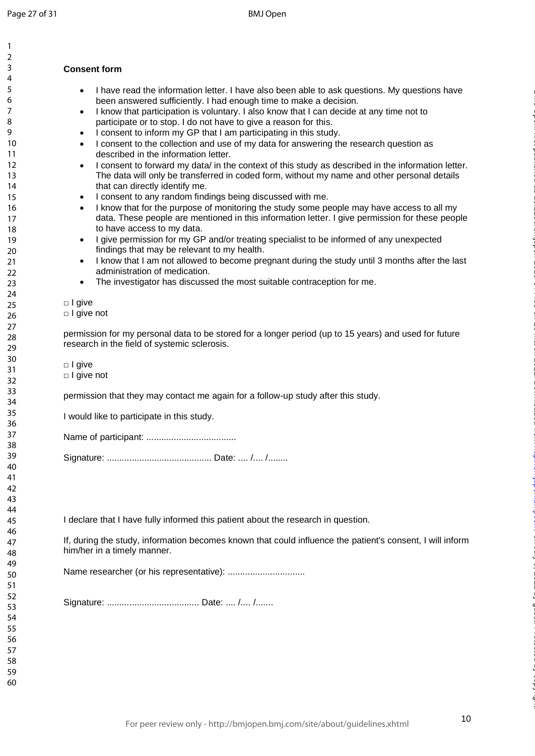$\mathbf{1}$ 

59 60

### **Consent form**

- I have read the information letter. I have also been able to ask questions. My questions have been answered sufficiently. I had enough time to make a decision.
- I know that participation is voluntary. I also know that I can decide at any time not to participate or to stop. I do not have to give a reason for this .
- I consent to inform my GP that I am participating in this study.
- I consent to the collection and use of my data for answering the research question as described in the information letter.
- I consent to forward my data/ in the context of this study as described in the information letter. The data will only be transferred in coded form, without my name and other personal details that can directly identify me.
- I consent to any random findings being discussed with me.
- I know that for the purpose of monitoring the study some people may have access to all my data. These people are mentioned in this information letter. I give permission for these people to have access to my data.
- I give permission for my GP and/or treating specialist to be informed of any unexpected findings that may be relevant to my health.
- eople are mentioned in this information letter. I give permi<br>sto to my data.<br>Sto to my GP and/or treating specialist to be informed of any be relevant to my health.<br>In m not allowed to become pregnant during the study unti • I know that I am not allowed to become pregnant during the study until 3 months after the last administration of medication.
- The investigator has discussed the most suitable contraception for me.

□ I give

□ I give not

permission for my personal data to be stored for a longer period (up to 15 years) and used for future research in the field of systemic sclerosis.

□ I give

□ I give not

permission that they may contact me again for a follow -up study after this study.

I would like to participate in this study.

Name of participant: ....................................

Signature: .......................................... Date: .... /.... /........

I declare that I have fully informed this patient about the research in question.

If, during the study, information becomes known that could influence the patient's consent, I will inform him/her in a timely manner.

Name researcher (or his representative): ...............................

Signature: ..................................... Date: .... /.... /.......

on July 5, 2022 by guest. Protected by copyright. <http://bmjopen.bmj.com/> BMJ Open: first published as 10.1136/bmjopen-2020-044483 on 18 March 2021. Downloaded from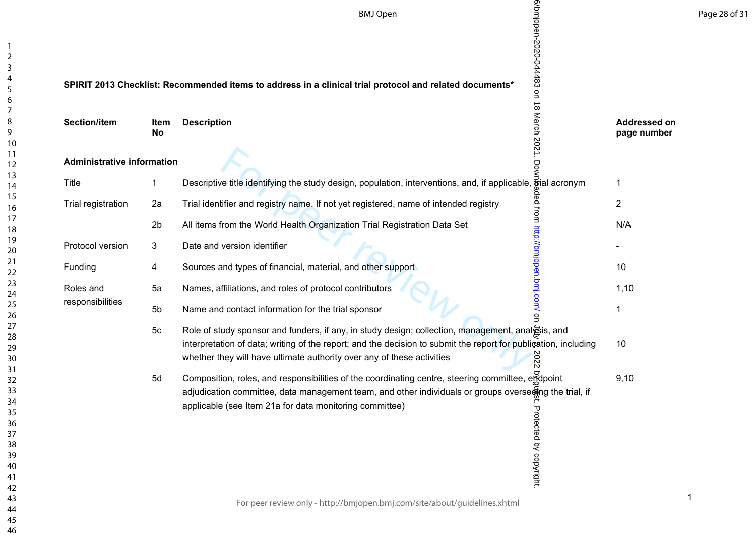|                                   |                   | 6/bmjopen-2020-044483 on 18<br><b>BMJ Open</b>                                                                                                                                                                                                                                                         |                                    |
|-----------------------------------|-------------------|--------------------------------------------------------------------------------------------------------------------------------------------------------------------------------------------------------------------------------------------------------------------------------------------------------|------------------------------------|
|                                   |                   | SPIRIT 2013 Checklist: Recommended items to address in a clinical trial protocol and related documents*                                                                                                                                                                                                |                                    |
| <b>Section/item</b>               | Item<br><b>No</b> | March<br><b>Description</b>                                                                                                                                                                                                                                                                            | <b>Addressed on</b><br>page number |
| <b>Administrative information</b> |                   | 2021.<br>Бò                                                                                                                                                                                                                                                                                            |                                    |
| <b>Title</b>                      | $\mathbf{1}$      | Descriptive title identifying the study design, population, interventions, and, if applicable, Brial acronym                                                                                                                                                                                           | 1                                  |
| Trial registration                | 2a                | Trial identifier and registry name. If not yet registered, name of intended registry                                                                                                                                                                                                                   | $\overline{c}$                     |
|                                   | 2 <sub>b</sub>    | ded from http://bmjope<br>All items from the World Health Organization Trial Registration Data Set                                                                                                                                                                                                     | N/A                                |
| Protocol version                  | 3                 | Date and version identifier                                                                                                                                                                                                                                                                            |                                    |
| Funding                           | 4                 | Sources and types of financial, material, and other support                                                                                                                                                                                                                                            | 10                                 |
| Roles and                         | 5a                | hmj.com/ on<br>Names, affiliations, and roles of protocol contributors                                                                                                                                                                                                                                 | 1,10                               |
| responsibilities                  | 5b                | Name and contact information for the trial sponsor                                                                                                                                                                                                                                                     | 1                                  |
|                                   | 5 <sub>c</sub>    | Role of study sponsor and funders, if any, in study design; collection, management, analysis, and<br>interpretation of data; writing of the report; and the decision to submit the report for publication, including<br>2022<br>whether they will have ultimate authority over any of these activities | 10                                 |
|                                   | 5d                | Composition, roles, and responsibilities of the coordinating centre, steering committee, endpoint<br>adjudication committee, data management team, and other individuals or groups overse mg the trial, if<br>applicable (see Item 21a for data monitoring committee)<br>Protected by copyright.       | 9,10                               |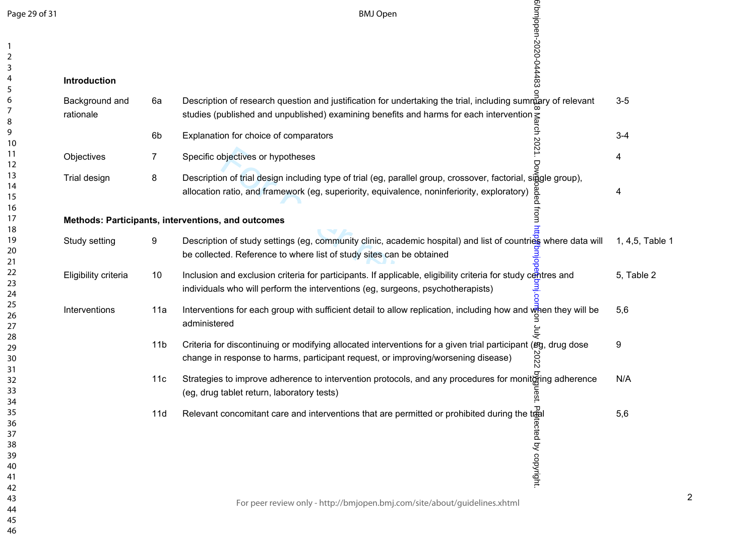| Page 29 of 31                                |                             |                                                    | <b>BMJ Open</b>                                                                                                                                                                                                        |                 |
|----------------------------------------------|-----------------------------|----------------------------------------------------|------------------------------------------------------------------------------------------------------------------------------------------------------------------------------------------------------------------------|-----------------|
| 2<br>3<br>4                                  | Introduction                |                                                    | 6/bmjopen-2020-044483                                                                                                                                                                                                  |                 |
| 5<br>6<br>8                                  | Background and<br>rationale | 6a                                                 | Description of research question and justification for undertaking the trial, including summary of relevant<br>studies (published and unpublished) examining benefits and harms for each intervention $\leq$           | $3-5$           |
| 9<br>10                                      |                             | 6 <sub>b</sub>                                     | Explanation for choice of comparators                                                                                                                                                                                  | $3 - 4$         |
| 11<br>12                                     | Objectives                  | 7                                                  | Specific objectives or hypotheses                                                                                                                                                                                      | 4               |
| 13<br>14<br>15                               | Trial design                | 8                                                  | Description of trial design including type of trial (eg, parallel group, crossover, factorial, single group),<br>allocation ratio, and framework (eg, superiority, equivalence, noninferiority, exploratory)           | 4               |
| 16<br>17                                     |                             | Methods: Participants, interventions, and outcomes |                                                                                                                                                                                                                        |                 |
| 18<br>19<br>20<br>21                         | Study setting               | 9                                                  | Description of study settings (eg, community clinic, academic hospital) and list of countries where data will<br>be collected. Reference to where list of study sites can be obtained                                  | 1, 4,5, Table 1 |
| 22<br>23<br>24                               | Eligibility criteria        | 10                                                 | Inclusion and exclusion criteria for participants. If applicable, eligibility criteria for study centres and<br>individuals who will perform the interventions (eg, surgeons, psychotherapists)                        | 5, Table 2      |
| 25<br>26<br>27                               | Interventions               | 11a                                                | Interventions for each group with sufficient detail to allow replication, including how and when they will be<br>administered                                                                                          | 5,6             |
| 28<br>29<br>30<br>31                         |                             | 11 <sub>b</sub>                                    | Criteria for discontinuing or modifying allocated interventions for a given trial participant (eg, drug dose<br>change in response to harms, participant request, or improving/worsening disease)<br>S<br>$\mathsf{N}$ | 9               |
| 32<br>33<br>34                               |                             | 11c                                                | Strategies to improve adherence to intervention protocols, and any procedures for monitgring adherence<br>(eg, drug tablet return, laboratory tests)<br>est.                                                           | N/A             |
| 35<br>36<br>37<br>38<br>39<br>40<br>41<br>42 |                             | 11d                                                | Relevant concomitant care and interventions that are permitted or prohibited during the trail<br>ected by copyright.                                                                                                   | 5,6             |
| 43<br>44<br>45                               |                             |                                                    | For peer review only - http://bmjopen.bmj.com/site/about/guidelines.xhtml                                                                                                                                              |                 |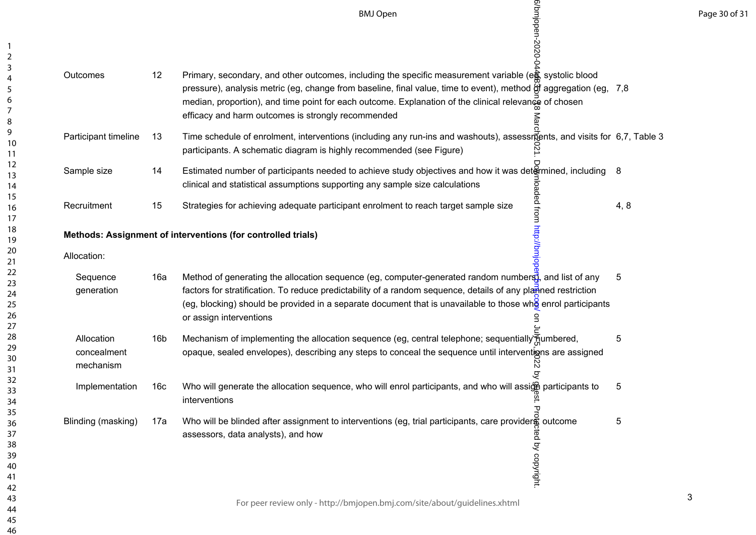Page 30 of 31

|                                        |                 | 6/bmjopen-2020-0-<br><b>BMJ Open</b>                                                                                                                                                                                                                                                                                                                                                              |      |
|----------------------------------------|-----------------|---------------------------------------------------------------------------------------------------------------------------------------------------------------------------------------------------------------------------------------------------------------------------------------------------------------------------------------------------------------------------------------------------|------|
| Outcomes                               | 12              | Primary, secondary, and other outcomes, including the specific measurement variable (eg, systolic blood<br>pressure), analysis metric (eg, change from baseline, final value, time to event), method of aggregation (eg, 7,8<br>median, proportion), and time point for each outcome. Explanation of the clinical relevance of chosen<br>efficacy and harm outcomes is strongly recommended<br>వ్ |      |
| Participant timeline                   | 13              | Time schedule of enrolment, interventions (including any run-ins and washouts), assessments, and visits for 6,7, Table 3<br>participants. A schematic diagram is highly recommended (see Figure)                                                                                                                                                                                                  |      |
| Sample size                            | 14              | Estimated number of participants needed to achieve study objectives and how it was det&mined, including<br>8                                                                                                                                                                                                                                                                                      |      |
| Recruitment                            | 15              | clinical and statistical assumptions supporting any sample size calculations<br>Strategies for achieving adequate participant enrolment to reach target sample size<br>therventions (for controlled trials)<br>Method of generating                                                                                                                                                               | 4, 8 |
|                                        |                 | Methods: Assignment of interventions (for controlled trials)                                                                                                                                                                                                                                                                                                                                      |      |
| Allocation:                            |                 |                                                                                                                                                                                                                                                                                                                                                                                                   |      |
| Sequence<br>generation                 | 16a             | 5<br>factors for stratification. To reduce predictability of a random sequence, details of any planned restriction<br>(eg, blocking) should be provided in a separate document that is unavailable to those who enrol participants<br>or assign interventions                                                                                                                                     |      |
| Allocation<br>concealment<br>mechanism | 16 <sub>b</sub> | Mechanism of implementing the allocation sequence (eg, central telephone; sequentially numbered,<br>5<br>opaque, sealed envelopes), describing any steps to conceal the sequence until interventions are assigned<br>N<br>्र                                                                                                                                                                      |      |
| Implementation                         | 16c             | Who will generate the allocation sequence, who will enrol participants, and who will assign participants to<br>5<br>interventions                                                                                                                                                                                                                                                                 |      |
| Blinding (masking)                     | 17a             | or<br>Who will be blinded after assignment to interventions (eg, trial participants, care providers outcome<br>5<br>assessors, data analysts), and how<br>ed by copyright.                                                                                                                                                                                                                        |      |
|                                        |                 | For peer review only - http://bmjopen.bmj.com/site/about/guidelines.xhtml                                                                                                                                                                                                                                                                                                                         |      |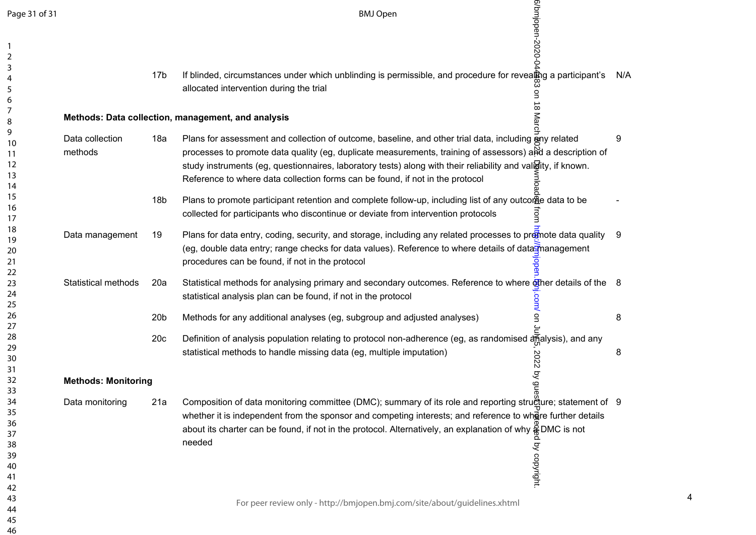| Page 31 of 31                                      |                            |                 | 6/bmjopen-2020-0<br><b>BMJ Open</b>                                                                                                                                                                                                                                                                                                                                                                                   |     |
|----------------------------------------------------|----------------------------|-----------------|-----------------------------------------------------------------------------------------------------------------------------------------------------------------------------------------------------------------------------------------------------------------------------------------------------------------------------------------------------------------------------------------------------------------------|-----|
| $\overline{2}$<br>3<br>4<br>5<br>6                 |                            | 17 <sub>b</sub> | If blinded, circumstances under which unblinding is permissible, and procedure for revealing a participant's<br>allocated intervention during the trial                                                                                                                                                                                                                                                               | N/A |
| 7<br>8                                             |                            |                 | $\infty$<br>Mar<br>Methods: Data collection, management, and analysis                                                                                                                                                                                                                                                                                                                                                 |     |
| 9<br>10<br>11<br>12<br>13<br>14                    | Data collection<br>methods | 18a             | Plans for assessment and collection of outcome, baseline, and other trial data, including any related<br>processes to promote data quality (eg, duplicate measurements, training of assessors) and a description of<br>study instruments (eg, questionnaires, laboratory tests) along with their reliability and validity, if known.<br>Reference to where data collection forms can be found, if not in the protocol | 9   |
| 15<br>16<br>17                                     |                            | 18 <sub>b</sub> | Plans to promote participant retention and complete follow-up, including list of any outcome data to be<br>collected for participants who discontinue or deviate from intervention protocols                                                                                                                                                                                                                          |     |
| 18<br>19<br>20<br>21                               | Data management            | 19              | Plans for data entry, coding, security, and storage, including any related processes to promote data quality<br>(eg, double data entry; range checks for data values). Reference to where details of data management<br>procedures can be found, if not in the protocol<br>Ďец                                                                                                                                        | -9  |
| 22<br>23<br>24<br>25                               | Statistical methods        | 20a             | Statistical methods for analysing primary and secondary outcomes. Reference to where The details of the 8<br>statistical analysis plan can be found, if not in the protocol                                                                                                                                                                                                                                           |     |
| 26<br>27                                           |                            | 20 <sub>b</sub> | John on<br>Methods for any additional analyses (eg, subgroup and adjusted analyses)                                                                                                                                                                                                                                                                                                                                   | 8   |
| 28<br>29<br>30<br>31                               |                            | 20c             | Definition of analysis population relating to protocol non-adherence (eg, as randomised analysis), and any<br>statistical methods to handle missing data (eg, multiple imputation)<br>2022                                                                                                                                                                                                                            | 8   |
| 32<br>33                                           | <b>Methods: Monitoring</b> |                 | by gue                                                                                                                                                                                                                                                                                                                                                                                                                |     |
| 34<br>35<br>36<br>37<br>38<br>39<br>40<br>41<br>42 | Data monitoring            | 21a             | Composition of data monitoring committee (DMC); summary of its role and reporting strugture; statement of 9<br>whether it is independent from the sponsor and competing interests; and reference to where further details<br>about its charter can be found, if not in the protocol. Alternatively, an explanation of why $\frac{2}{3}$ DMC is not<br>needed<br>by copyright.                                         |     |
| 43<br>44<br>45<br>46                               |                            |                 | For peer review only - http://bmjopen.bmj.com/site/about/guidelines.xhtml                                                                                                                                                                                                                                                                                                                                             |     |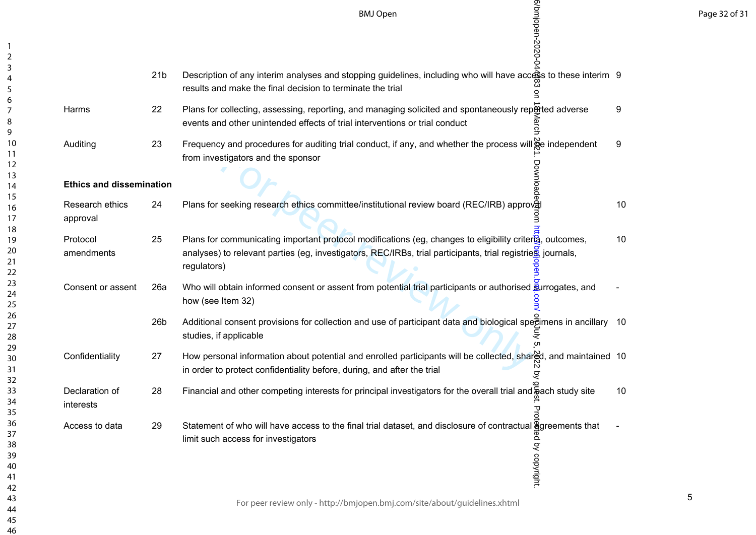Page 32 of 31

|                                 | <b>BMJ Open</b>                                                                                                                                                                                                                                 |                                        |
|---------------------------------|-------------------------------------------------------------------------------------------------------------------------------------------------------------------------------------------------------------------------------------------------|----------------------------------------|
| 21 <sub>b</sub>                 | Description of any interim analyses and stopping guidelines, including who will have access to these interim 9<br>results and make the final decision to terminate the trial                                                                    |                                        |
| 22                              | Plans for collecting, assessing, reporting, and managing solicited and spontaneously reported adverse<br>events and other unintended effects of trial interventions or trial conduct                                                            | 9                                      |
| 23                              | Frequency and procedures for auditing trial conduct, if any, and whether the process will ge independent<br>from investigators and the sponsor                                                                                                  | 9                                      |
| <b>Ethics and dissemination</b> |                                                                                                                                                                                                                                                 |                                        |
| 24                              | Plans for seeking research ethics committee/institutional review board (REC/IRB) approval                                                                                                                                                       | 10                                     |
| 25                              | Plans for communicating important protocol modifications (eg, changes to eligibility critera, outcomes,<br>analyses) to relevant parties (eg, investigators, REC/IRBs, trial participants, trial registries, journals,<br>regulators)<br>$\Phi$ | 10                                     |
| 26a                             | Who will obtain informed consent or assent from potential trial participants or authorised surrogates, and<br>how (see Item 32)                                                                                                                 |                                        |
| 26 <sub>b</sub>                 | Additional consent provisions for collection and use of participant data and biological spectimens in ancillary 10<br>studies, if applicable                                                                                                    |                                        |
| 27                              | How personal information about potential and enrolled participants will be collected, shared, and maintained 10<br>in order to protect confidentiality before, during, and after the trial<br>्र                                                |                                        |
| 28                              | Financial and other competing interests for principal investigators for the overall trial and a ach study site                                                                                                                                  | 10 <sup>°</sup>                        |
| 29                              | Statement of who will have access to the final trial dataset, and disclosure of contractual ggreements that<br>limit such access for investigators<br>by copyright                                                                              |                                        |
|                                 |                                                                                                                                                                                                                                                 | 6/bmjopen-2020-0<br>Download<br>ທ<br>공 |